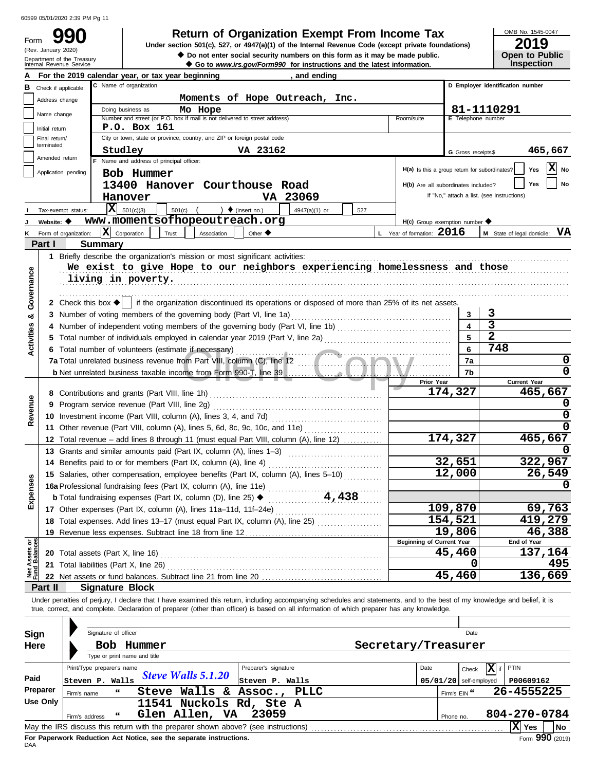Department of the Treasury<br>Internal Revenue Service Form (Rev. January 2020)

# **990 a Return of Organization Exempt From Income Tax Physical Party 1945-0 2019**

 $\triangle$  Do not enter social security numbers on this form as it may be made public. **Under section 501(c), 527, or 4947(a)(1) of the Internal Revenue Code (except private foundations)**

♦ Go to *www.irs.gov/Form990* for instructions and the latest information.

OMB No. 1545-0047 **Open to Public<br>Inspection** 

|                                |                             | For the 2019 calendar year, or tax year beginning<br>, and ending                                                                                                                                                                                                                                                        |                                               |                          |                                            |
|--------------------------------|-----------------------------|--------------------------------------------------------------------------------------------------------------------------------------------------------------------------------------------------------------------------------------------------------------------------------------------------------------------------|-----------------------------------------------|--------------------------|--------------------------------------------|
| в                              | Check if applicable:        | C Name of organization                                                                                                                                                                                                                                                                                                   |                                               |                          | D Employer identification number           |
|                                | Address change              | Moments of Hope Outreach, Inc.                                                                                                                                                                                                                                                                                           |                                               |                          |                                            |
|                                | Name change                 | Doing business as<br>Mo Hope                                                                                                                                                                                                                                                                                             |                                               |                          | 81-1110291                                 |
|                                |                             | Number and street (or P.O. box if mail is not delivered to street address)                                                                                                                                                                                                                                               | Room/suite                                    | E Telephone number       |                                            |
|                                | Initial return              | P.O. Box 161<br>City or town, state or province, country, and ZIP or foreign postal code                                                                                                                                                                                                                                 |                                               |                          |                                            |
|                                | Final return/<br>terminated |                                                                                                                                                                                                                                                                                                                          |                                               |                          |                                            |
|                                | Amended return              | VA 23162<br>Studley                                                                                                                                                                                                                                                                                                      |                                               | G Gross receipts\$       | 465,667                                    |
|                                |                             | F Name and address of principal officer:                                                                                                                                                                                                                                                                                 | H(a) Is this a group return for subordinates? |                          | x<br>Yes<br>No                             |
|                                | Application pending         | Bob Hummer                                                                                                                                                                                                                                                                                                               |                                               |                          |                                            |
|                                |                             | 13400 Hanover Courthouse Road                                                                                                                                                                                                                                                                                            | H(b) Are all subordinates included?           |                          | No<br>Yes                                  |
|                                |                             | VA 23069<br>Hanover                                                                                                                                                                                                                                                                                                      |                                               |                          | If "No," attach a list. (see instructions) |
|                                | Tax-exempt status:          | ΙX<br>501(c)(3)<br>501(c)<br>$\blacklozenge$ (insert no.)<br>4947(a)(1) or<br>527                                                                                                                                                                                                                                        |                                               |                          |                                            |
|                                | Website: $\blacklozenge$    | www.momentsofhopeoutreach.org                                                                                                                                                                                                                                                                                            | $H(c)$ Group exemption number $\blacklozenge$ |                          |                                            |
|                                | Form of organization:       | x <br>Corporation<br>Other $\blacklozenge$<br>Trust<br>Association                                                                                                                                                                                                                                                       | L Year of formation: $2016$                   |                          | VA<br>M State of legal domicile:           |
|                                | Part I                      | <b>Summary</b>                                                                                                                                                                                                                                                                                                           |                                               |                          |                                            |
| Governance                     |                             | 1 Briefly describe the organization's mission or most significant activities:<br>We exist to give Hope to our neighbors experiencing homelessness and those<br>living in poverty.<br>2 Check this box $\bullet$   if the organization discontinued its operations or disposed of more than 25% of its net assets.        |                                               |                          |                                            |
| ೲ                              |                             | 3 Number of voting members of the governing body (Part VI, line 1a)                                                                                                                                                                                                                                                      |                                               | 3                        | 3                                          |
|                                |                             |                                                                                                                                                                                                                                                                                                                          |                                               | 4                        | 3                                          |
| Activities                     |                             |                                                                                                                                                                                                                                                                                                                          |                                               | 5                        | $\overline{2}$                             |
|                                |                             | 6 Total number of volunteers (estimate if necessary)                                                                                                                                                                                                                                                                     |                                               | 6                        | 748                                        |
|                                |                             |                                                                                                                                                                                                                                                                                                                          |                                               | 7a                       | 0                                          |
|                                |                             |                                                                                                                                                                                                                                                                                                                          |                                               | 7b                       | 0                                          |
|                                |                             |                                                                                                                                                                                                                                                                                                                          | <b>Prior Year</b>                             |                          | <b>Current Year</b>                        |
|                                |                             | 8 Contributions and grants (Part VIII, line 1h)                                                                                                                                                                                                                                                                          |                                               | 174,327                  | 465,667                                    |
|                                |                             | 9 Program service revenue (Part VIII, line 2g)                                                                                                                                                                                                                                                                           |                                               |                          | O                                          |
| Revenue                        |                             |                                                                                                                                                                                                                                                                                                                          |                                               |                          | 0                                          |
|                                |                             | 11 Other revenue (Part VIII, column (A), lines 5, 6d, 8c, 9c, 10c, and 11e)                                                                                                                                                                                                                                              |                                               |                          | 0                                          |
|                                |                             | 12 Total revenue - add lines 8 through 11 (must equal Part VIII, column (A), line 12)                                                                                                                                                                                                                                    |                                               | 174,327                  | 465,667                                    |
|                                |                             | 13 Grants and similar amounts paid (Part IX, column (A), lines 1-3)                                                                                                                                                                                                                                                      |                                               |                          |                                            |
|                                |                             | 14 Benefits paid to or for members (Part IX, column (A), line 4)                                                                                                                                                                                                                                                         |                                               | 32,651                   | 322,967                                    |
|                                |                             | 15 Salaries, other compensation, employee benefits (Part IX, column (A), lines 5-10)                                                                                                                                                                                                                                     |                                               | 12,000                   | 26,549                                     |
| xpenses                        |                             |                                                                                                                                                                                                                                                                                                                          |                                               |                          | O                                          |
|                                |                             |                                                                                                                                                                                                                                                                                                                          |                                               |                          |                                            |
| ш                              |                             | 17 Other expenses (Part IX, column (A), lines 11a-11d, 11f-24e)                                                                                                                                                                                                                                                          |                                               | 109,870                  | 69,763                                     |
|                                |                             | 18 Total expenses. Add lines 13-17 (must equal Part IX, column (A), line 25) [                                                                                                                                                                                                                                           |                                               | 154,521                  | 419,279                                    |
|                                |                             | 19 Revenue less expenses. Subtract line 18 from line 12                                                                                                                                                                                                                                                                  |                                               | 19,806                   | 46,388                                     |
| Net Assets or<br>Fund Balances |                             |                                                                                                                                                                                                                                                                                                                          | <b>Beginning of Current Year</b>              |                          | End of Year                                |
|                                |                             | 20 Total assets (Part X, line 16)                                                                                                                                                                                                                                                                                        |                                               | 45,460                   | 137,164                                    |
|                                |                             | 21 Total liabilities (Part X, line 26)                                                                                                                                                                                                                                                                                   |                                               | O                        | 495                                        |
|                                |                             | 22 Net assets or fund balances. Subtract line 21 from line 20                                                                                                                                                                                                                                                            |                                               | 45,460                   | 136,669                                    |
|                                | Part II                     | <b>Signature Block</b>                                                                                                                                                                                                                                                                                                   |                                               |                          |                                            |
|                                |                             | Under penalties of perjury, I declare that I have examined this return, including accompanying schedules and statements, and to the best of my knowledge and belief, it is<br>true, correct, and complete. Declaration of preparer (other than officer) is based on all information of which preparer has any knowledge. |                                               |                          |                                            |
|                                |                             |                                                                                                                                                                                                                                                                                                                          |                                               |                          |                                            |
|                                |                             |                                                                                                                                                                                                                                                                                                                          |                                               |                          |                                            |
| Sign                           |                             | Signature of officer                                                                                                                                                                                                                                                                                                     |                                               | Date                     |                                            |
| Here                           |                             | Bob Hummer                                                                                                                                                                                                                                                                                                               | Secretary/Treasurer                           |                          |                                            |
|                                |                             | Type or print name and title                                                                                                                                                                                                                                                                                             |                                               |                          |                                            |
|                                |                             | Print/Type preparer's name<br>Preparer's signature<br><b>Steve Walls 5.1.20</b>                                                                                                                                                                                                                                          | Date                                          | Check                    | $\mathbf{X}$ if<br>PTIN                    |
| Paid                           |                             | Steven P. Walls<br>Steven P. Walls                                                                                                                                                                                                                                                                                       |                                               | $05/01/20$ self-employed | P00609162                                  |
|                                | Preparer<br>Firm's name     | Steve Walls & Assoc., PLLC<br>66                                                                                                                                                                                                                                                                                         |                                               | Firm's EIN <sup>66</sup> | 26-4555225                                 |
|                                | <b>Use Only</b>             | 11541 Nuckols Rd, Ste A                                                                                                                                                                                                                                                                                                  |                                               |                          |                                            |
|                                | Firm's address              | Glen Allen, VA<br>23059<br>66                                                                                                                                                                                                                                                                                            |                                               | Phone no.                | 804-270-0784                               |
|                                |                             | May the IRS discuss this return with the preparer shown above? (see instructions)                                                                                                                                                                                                                                        |                                               |                          | $ \mathbf{X} $ Yes<br>No                   |

| Sign     |                                                                             | Signature of officer |       |                                                                                   |                      |  |  |      |                          | Date                     |     |              |    |
|----------|-----------------------------------------------------------------------------|----------------------|-------|-----------------------------------------------------------------------------------|----------------------|--|--|------|--------------------------|--------------------------|-----|--------------|----|
| Here     | Secretary/Treasurer<br><b>Bob</b><br>Hummer<br>Type or print name and title |                      |       |                                                                                   |                      |  |  |      |                          |                          |     |              |    |
|          | Print/Type preparer's name                                                  |                      |       |                                                                                   | Preparer's signature |  |  | Date |                          | Check                    | Ixl | PTIN         |    |
| Paid     | Steven P. Walls                                                             |                      |       | <b>Steve Walls 5.1.20</b>                                                         | Steven P. Walls      |  |  |      |                          | $05/01/20$ self-employed |     | P00609162    |    |
| Preparer | Firm's name                                                                 | 66                   | Steve | Walls & Assoc., PLLC                                                              |                      |  |  |      | Firm's EIN <sup>66</sup> |                          |     | 26-4555225   |    |
| Use Only |                                                                             |                      |       | 11541 Nuckols Rd, Ste A                                                           |                      |  |  |      |                          |                          |     |              |    |
|          | Firm's address                                                              | 66                   |       | Glen Allen,<br>VA                                                                 | 23059                |  |  |      | Phone no.                |                          |     | 804-270-0784 |    |
|          |                                                                             |                      |       | May the IRS discuss this return with the preparer shown above? (see instructions) |                      |  |  |      |                          |                          |     | X Yes        | No |

**For Paperwork Reduction Act Notice, see the separate instructions.**<br>DAA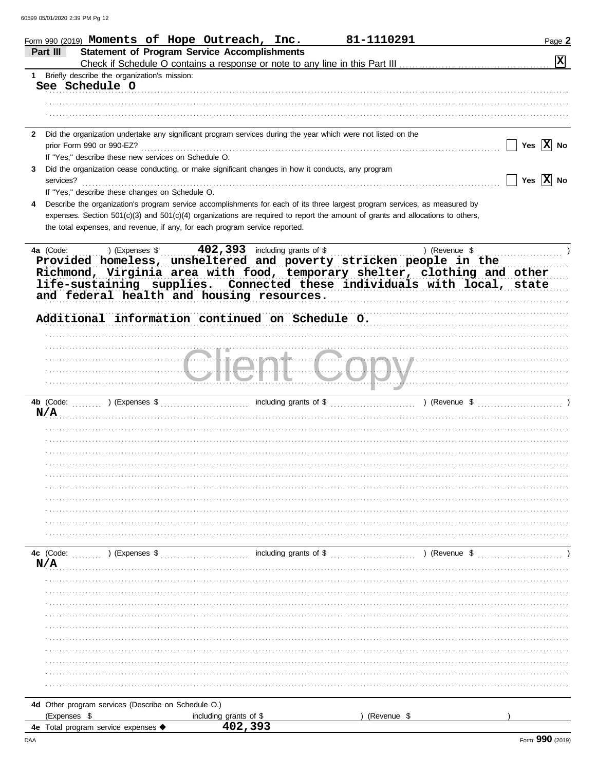|              | 81-1110291<br>Form 990 (2019) Moments of Hope Outreach, Inc.                                                                                                                                     | Page 2                            |
|--------------|--------------------------------------------------------------------------------------------------------------------------------------------------------------------------------------------------|-----------------------------------|
|              | <b>Statement of Program Service Accomplishments</b><br>Part III                                                                                                                                  |                                   |
|              |                                                                                                                                                                                                  | $\vert x \vert$                   |
| 1.           | Briefly describe the organization's mission:                                                                                                                                                     |                                   |
|              | See Schedule O                                                                                                                                                                                   |                                   |
|              |                                                                                                                                                                                                  |                                   |
|              |                                                                                                                                                                                                  |                                   |
|              |                                                                                                                                                                                                  |                                   |
| $\mathbf{2}$ | Did the organization undertake any significant program services during the year which were not listed on the                                                                                     |                                   |
|              | prior Form 990 or 990-EZ?                                                                                                                                                                        | Yes $ X $ No                      |
|              | If "Yes," describe these new services on Schedule O.                                                                                                                                             |                                   |
| 3            | Did the organization cease conducting, or make significant changes in how it conducts, any program<br>services?                                                                                  | Yes $ X $ No                      |
|              | If "Yes," describe these changes on Schedule O.                                                                                                                                                  |                                   |
| 4            | Describe the organization's program service accomplishments for each of its three largest program services, as measured by                                                                       |                                   |
|              | expenses. Section 501(c)(3) and 501(c)(4) organizations are required to report the amount of grants and allocations to others,                                                                   |                                   |
|              | the total expenses, and revenue, if any, for each program service reported.                                                                                                                      |                                   |
|              |                                                                                                                                                                                                  |                                   |
|              | $402,393$ including grants of \$<br>4a (Code:<br>a (Code: ) (Expenses \$402,393 including grants of \$) (Revenue \$900,000 model to melloss, unsheltered and poverty stricken people in the      |                                   |
|              | Richmond, Virginia area with food, temporary shelter, clothing and other<br>life-sustaining supplies. Connected these individuals with local, state<br>and federal health and housing resources. |                                   |
|              | Additional information continued on Schedule 0.                                                                                                                                                  |                                   |
|              |                                                                                                                                                                                                  |                                   |
|              |                                                                                                                                                                                                  |                                   |
|              |                                                                                                                                                                                                  |                                   |
|              |                                                                                                                                                                                                  |                                   |
|              |                                                                                                                                                                                                  |                                   |
|              |                                                                                                                                                                                                  |                                   |
|              | including grants of \$<br>N/A                                                                                                                                                                    | ) (Revenue $\$$ (1) (Revenue $\$$ |
|              |                                                                                                                                                                                                  |                                   |
|              |                                                                                                                                                                                                  |                                   |
|              |                                                                                                                                                                                                  |                                   |
|              |                                                                                                                                                                                                  |                                   |
|              |                                                                                                                                                                                                  |                                   |
|              |                                                                                                                                                                                                  |                                   |
|              |                                                                                                                                                                                                  |                                   |
|              |                                                                                                                                                                                                  |                                   |
|              |                                                                                                                                                                                                  |                                   |
|              |                                                                                                                                                                                                  |                                   |
|              |                                                                                                                                                                                                  |                                   |
|              | including grants of \$<br>) (Revenue \$<br>4c (Code:<br>(Expenses \$                                                                                                                             |                                   |
|              | N/A                                                                                                                                                                                              |                                   |
|              |                                                                                                                                                                                                  |                                   |
|              |                                                                                                                                                                                                  |                                   |
|              |                                                                                                                                                                                                  |                                   |
|              |                                                                                                                                                                                                  |                                   |
|              |                                                                                                                                                                                                  |                                   |
|              |                                                                                                                                                                                                  |                                   |
|              |                                                                                                                                                                                                  |                                   |
|              |                                                                                                                                                                                                  |                                   |
|              |                                                                                                                                                                                                  |                                   |
|              |                                                                                                                                                                                                  |                                   |
|              |                                                                                                                                                                                                  |                                   |
|              | 4d Other program services (Describe on Schedule O.)<br>(Expenses \$<br>(Revenue \$<br>including grants of \$                                                                                     |                                   |
|              | 402.393<br>4e Total program service expenses                                                                                                                                                     |                                   |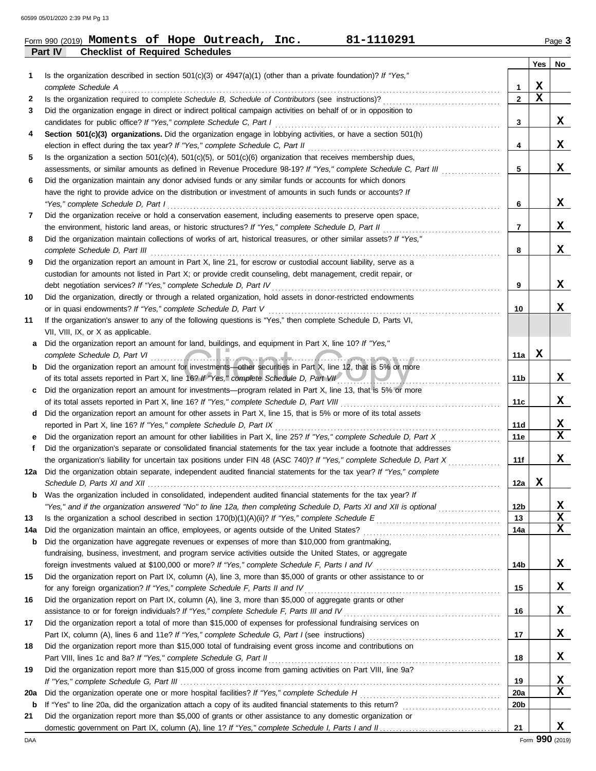|     | Form 990 (2019) Moments of Hope Outreach, Inc.<br>81-1110291<br><b>Checklist of Required Schedules</b><br>Part IV                                                                                                              |                |             | Page 3      |
|-----|--------------------------------------------------------------------------------------------------------------------------------------------------------------------------------------------------------------------------------|----------------|-------------|-------------|
|     |                                                                                                                                                                                                                                |                |             | Yes No      |
| 1.  | Is the organization described in section $501(c)(3)$ or $4947(a)(1)$ (other than a private foundation)? If "Yes,"                                                                                                              |                |             |             |
|     |                                                                                                                                                                                                                                | $\mathbf{1}$   | X           |             |
| 2   |                                                                                                                                                                                                                                | $\overline{2}$ | $\mathbf x$ |             |
| 3   | Did the organization engage in direct or indirect political campaign activities on behalf of or in opposition to                                                                                                               |                |             |             |
|     | candidates for public office? If "Yes," complete Schedule C, Part I                                                                                                                                                            | 3              |             | X           |
| 4   | Section 501(c)(3) organizations. Did the organization engage in lobbying activities, or have a section 501(h)                                                                                                                  | 4              |             | X           |
| 5   | Is the organization a section $501(c)(4)$ , $501(c)(5)$ , or $501(c)(6)$ organization that receives membership dues,                                                                                                           |                |             |             |
|     | assessments, or similar amounts as defined in Revenue Procedure 98-19? If "Yes," complete Schedule C, Part III                                                                                                                 | 5              |             | X           |
| 6   | Did the organization maintain any donor advised funds or any similar funds or accounts for which donors                                                                                                                        |                |             |             |
|     | have the right to provide advice on the distribution or investment of amounts in such funds or accounts? If                                                                                                                    |                |             |             |
|     |                                                                                                                                                                                                                                | 6              |             | x           |
| 7   | Did the organization receive or hold a conservation easement, including easements to preserve open space,                                                                                                                      |                |             |             |
|     |                                                                                                                                                                                                                                | $\overline{7}$ |             | х           |
| 8   | Did the organization maintain collections of works of art, historical treasures, or other similar assets? If "Yes,"                                                                                                            |                |             |             |
|     |                                                                                                                                                                                                                                | 8              |             | X           |
| 9   | Did the organization report an amount in Part X, line 21, for escrow or custodial account liability, serve as a                                                                                                                |                |             |             |
|     | custodian for amounts not listed in Part X; or provide credit counseling, debt management, credit repair, or                                                                                                                   |                |             |             |
|     | debt negotiation services? If "Yes," complete Schedule D, Part IV [[11] Content Content Content Content Content Content Content Content Content Content Content Content Content Content Content Content Content Content Conten | 9              |             | X           |
| 10  | Did the organization, directly or through a related organization, hold assets in donor-restricted endowments                                                                                                                   |                |             |             |
|     | or in quasi endowments? If "Yes," complete Schedule D, Part V                                                                                                                                                                  | 10             |             | x           |
| 11  | If the organization's answer to any of the following questions is "Yes," then complete Schedule D, Parts VI,                                                                                                                   |                |             |             |
|     | VII, VIII, IX, or X as applicable.                                                                                                                                                                                             |                |             |             |
|     | a Did the organization report an amount for land, buildings, and equipment in Part X, line 10? If "Yes,"                                                                                                                       |                |             |             |
|     | complete Schedule D, Part VI et al. and the complete Schedule D, Part VI et al. and the complete Schedule D,                                                                                                                   | 11a            | x           |             |
|     | <b>b</b> Did the organization report an amount for investments—other securities in Part X, line 12, that is 5% or more                                                                                                         |                |             |             |
|     | of its total assets reported in Part X, line 16? If "Yes," complete Schedule D, Part VII                                                                                                                                       | 11b            |             | X           |
|     | c Did the organization report an amount for investments—program related in Part X, line 13, that is 5% or more                                                                                                                 |                |             | х           |
|     | of its total assets reported in Part X, line 16? If "Yes," complete Schedule D, Part VIII [[[[[[[[[[[[[[[[[[[[                                                                                                                 | 11c            |             |             |
|     | d Did the organization report an amount for other assets in Part X, line 15, that is 5% or more of its total assets                                                                                                            | 11d            |             | х           |
|     | reported in Part X, line 16? If "Yes," complete Schedule D, Part IX<br>Did the organization report an amount for other liabilities in Part X, line 25? If "Yes," complete Schedule D, Part X                                   | 11e            |             | $\mathbf x$ |
| f   | Did the organization's separate or consolidated financial statements for the tax year include a footnote that addresses                                                                                                        |                |             |             |
|     | the organization's liability for uncertain tax positions under FIN 48 (ASC 740)? If "Yes," complete Schedule D, Part X [[[[[[[[[[[[[[[[[[[[[[[[[[]]]]]]]]]                                                                     | 11f            |             | X           |
| 12a | Did the organization obtain separate, independent audited financial statements for the tax year? If "Yes," complete                                                                                                            |                |             |             |
|     |                                                                                                                                                                                                                                | 12a            | X           |             |
| b   | Was the organization included in consolidated, independent audited financial statements for the tax year? If                                                                                                                   |                |             |             |
|     | "Yes," and if the organization answered "No" to line 12a, then completing Schedule D, Parts XI and XII is optional                                                                                                             | 12b            |             | X           |
| 13  |                                                                                                                                                                                                                                | 13             |             | X           |
| 14a |                                                                                                                                                                                                                                | 14a            |             | X           |
| b   | Did the organization have aggregate revenues or expenses of more than \$10,000 from grantmaking,                                                                                                                               |                |             |             |
|     | fundraising, business, investment, and program service activities outside the United States, or aggregate                                                                                                                      |                |             |             |
|     |                                                                                                                                                                                                                                | 14b            |             | X           |
| 15  | Did the organization report on Part IX, column (A), line 3, more than \$5,000 of grants or other assistance to or                                                                                                              |                |             |             |
|     | for any foreign organization? If "Yes," complete Schedule F, Parts II and IV                                                                                                                                                   | 15             |             | X           |
| 16  | Did the organization report on Part IX, column (A), line 3, more than \$5,000 of aggregate grants or other                                                                                                                     |                |             |             |
|     |                                                                                                                                                                                                                                | 16             |             | X           |
| 17  | Did the organization report a total of more than \$15,000 of expenses for professional fundraising services on                                                                                                                 |                |             |             |
|     |                                                                                                                                                                                                                                | 17             |             | x           |
| 18  | Did the organization report more than \$15,000 total of fundraising event gross income and contributions on                                                                                                                    |                |             |             |
|     |                                                                                                                                                                                                                                | 18             |             | x           |
|     |                                                                                                                                                                                                                                |                |             |             |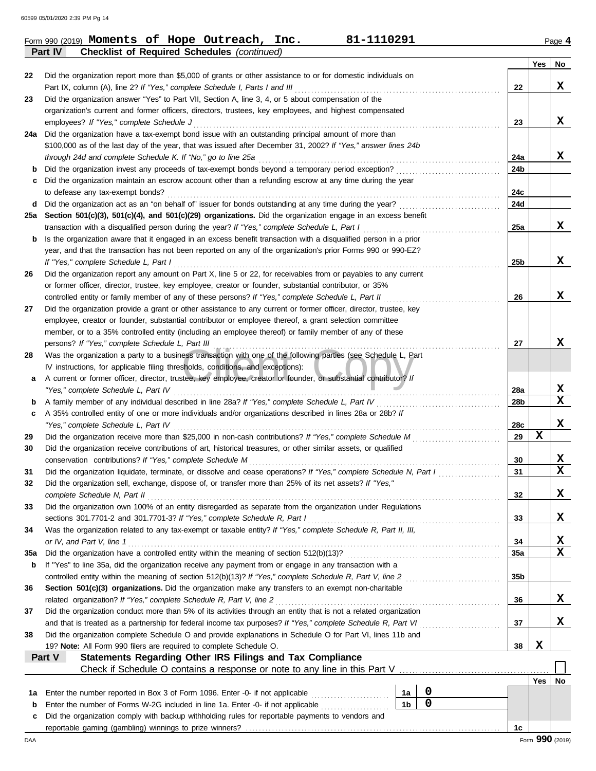|     | Part IV<br><b>Checklist of Required Schedules (continued)</b>                                                                                                                                                                  |                |             |                 |     |                         |
|-----|--------------------------------------------------------------------------------------------------------------------------------------------------------------------------------------------------------------------------------|----------------|-------------|-----------------|-----|-------------------------|
|     |                                                                                                                                                                                                                                |                |             |                 | Yes | No                      |
| 22  | Did the organization report more than \$5,000 of grants or other assistance to or for domestic individuals on                                                                                                                  |                |             |                 |     |                         |
|     | Part IX, column (A), line 2? If "Yes," complete Schedule I, Parts I and III                                                                                                                                                    |                |             | 22              |     | X                       |
| 23  | Did the organization answer "Yes" to Part VII, Section A, line 3, 4, or 5 about compensation of the                                                                                                                            |                |             |                 |     |                         |
|     | organization's current and former officers, directors, trustees, key employees, and highest compensated                                                                                                                        |                |             |                 |     | x                       |
|     | employees? If "Yes," complete Schedule J<br>Did the organization have a tax-exempt bond issue with an outstanding principal amount of more than                                                                                |                |             | 23              |     |                         |
| 24a | \$100,000 as of the last day of the year, that was issued after December 31, 2002? If "Yes," answer lines 24b                                                                                                                  |                |             |                 |     |                         |
|     | through 24d and complete Schedule K. If "No," go to line 25a                                                                                                                                                                   |                |             | 24a             |     | x                       |
| b   |                                                                                                                                                                                                                                |                |             | 24b             |     |                         |
| с   | Did the organization maintain an escrow account other than a refunding escrow at any time during the year                                                                                                                      |                |             |                 |     |                         |
|     | to defease any tax-exempt bonds?                                                                                                                                                                                               |                |             | 24c             |     |                         |
| d   | Did the organization act as an "on behalf of" issuer for bonds outstanding at any time during the year?                                                                                                                        |                |             | 24d             |     |                         |
| 25a | Section 501(c)(3), 501(c)(4), and 501(c)(29) organizations. Did the organization engage in an excess benefit                                                                                                                   |                |             |                 |     |                         |
|     | transaction with a disqualified person during the year? If "Yes," complete Schedule L, Part I                                                                                                                                  |                |             | 25a             |     | x                       |
| b   | Is the organization aware that it engaged in an excess benefit transaction with a disqualified person in a prior                                                                                                               |                |             |                 |     |                         |
|     | year, and that the transaction has not been reported on any of the organization's prior Forms 990 or 990-EZ?                                                                                                                   |                |             |                 |     |                         |
|     | If "Yes," complete Schedule L, Part I                                                                                                                                                                                          |                |             | 25 <sub>b</sub> |     | x                       |
| 26  | Did the organization report any amount on Part X, line 5 or 22, for receivables from or payables to any current                                                                                                                |                |             |                 |     |                         |
|     | or former officer, director, trustee, key employee, creator or founder, substantial contributor, or 35%                                                                                                                        |                |             |                 |     |                         |
|     | controlled entity or family member of any of these persons? If "Yes," complete Schedule L, Part II                                                                                                                             |                |             | 26              |     | X                       |
| 27  | Did the organization provide a grant or other assistance to any current or former officer, director, trustee, key                                                                                                              |                |             |                 |     |                         |
|     | employee, creator or founder, substantial contributor or employee thereof, a grant selection committee                                                                                                                         |                |             |                 |     |                         |
|     | member, or to a 35% controlled entity (including an employee thereof) or family member of any of these                                                                                                                         |                |             |                 |     |                         |
|     | persons? If "Yes," complete Schedule L, Part III                                                                                                                                                                               |                |             | 27              |     | x                       |
| 28  | Was the organization a party to a business transaction with one of the following parties (see Schedule L, Part                                                                                                                 |                |             |                 |     |                         |
|     | IV instructions, for applicable filing thresholds, conditions, and exceptions):                                                                                                                                                |                |             |                 |     |                         |
| a   | A current or former officer, director, trustee, key employee, creator or founder, or substantial contributor? If                                                                                                               |                |             |                 |     |                         |
|     | "Yes," complete Schedule L, Part IV                                                                                                                                                                                            |                |             | 28a             |     | $\mathbf x$             |
| b   |                                                                                                                                                                                                                                |                |             | 28b             |     | $\overline{\mathbf{x}}$ |
| c   | A 35% controlled entity of one or more individuals and/or organizations described in lines 28a or 28b? If                                                                                                                      |                |             |                 |     |                         |
|     | "Yes," complete Schedule L, Part IV                                                                                                                                                                                            |                |             | 28c             |     | X                       |
| 29  |                                                                                                                                                                                                                                |                |             | 29              | х   |                         |
| 30  | Did the organization receive contributions of art, historical treasures, or other similar assets, or qualified                                                                                                                 |                |             |                 |     |                         |
|     | conservation contributions? If "Yes," complete Schedule M                                                                                                                                                                      |                |             | 30              |     | $\mathbf{x}$            |
| 31  | Did the organization liquidate, terminate, or dissolve and cease operations? If "Yes," complete Schedule N, Part I                                                                                                             |                |             | 31              |     | $\overline{\mathbf{x}}$ |
| 32  | Did the organization sell, exchange, dispose of, or transfer more than 25% of its net assets? If "Yes,"                                                                                                                        |                |             |                 |     |                         |
|     | complete Schedule N, Part II et al. (2008) and the set of the schedule N, Part II et al. (2008) and the schedule N, Part II et al. (2009) and the set of the set of the set of the set of the set of the set of the set of the |                |             | 32              |     | X                       |
| 33  | Did the organization own 100% of an entity disregarded as separate from the organization under Regulations                                                                                                                     |                |             |                 |     |                         |
|     | sections 301.7701-2 and 301.7701-3? If "Yes," complete Schedule R, Part I                                                                                                                                                      |                |             | 33              |     | X                       |
| 34  | Was the organization related to any tax-exempt or taxable entity? If "Yes," complete Schedule R, Part II, III,                                                                                                                 |                |             |                 |     |                         |
|     | or IV, and Part V, line 1                                                                                                                                                                                                      |                |             | 34              |     | х                       |
| 35a |                                                                                                                                                                                                                                |                |             | 35a             |     | $\mathbf{x}$            |
| b   | If "Yes" to line 35a, did the organization receive any payment from or engage in any transaction with a                                                                                                                        |                |             |                 |     |                         |
|     | controlled entity within the meaning of section 512(b)(13)? If "Yes," complete Schedule R, Part V, line 2                                                                                                                      |                |             | 35b             |     |                         |
| 36  | Section 501(c)(3) organizations. Did the organization make any transfers to an exempt non-charitable                                                                                                                           |                |             |                 |     |                         |
|     |                                                                                                                                                                                                                                |                |             | 36              |     | X                       |
| 37  | Did the organization conduct more than 5% of its activities through an entity that is not a related organization                                                                                                               |                |             | 37              |     | x                       |
| 38  | Did the organization complete Schedule O and provide explanations in Schedule O for Part VI, lines 11b and                                                                                                                     |                |             |                 |     |                         |
|     | 19? Note: All Form 990 filers are required to complete Schedule O.                                                                                                                                                             |                |             | 38              | X   |                         |
|     | Part V<br><b>Statements Regarding Other IRS Filings and Tax Compliance</b>                                                                                                                                                     |                |             |                 |     |                         |
|     | Check if Schedule O contains a response or note to any line in this Part V                                                                                                                                                     |                |             |                 |     |                         |
|     |                                                                                                                                                                                                                                |                |             |                 | Yes | No                      |
| 1a  | Enter the number reported in Box 3 of Form 1096. Enter -0- if not applicable                                                                                                                                                   | 1a             | $\mathbf 0$ |                 |     |                         |
| b   | Enter the number of Forms W-2G included in line 1a. Enter -0- if not applicable                                                                                                                                                | 1 <sub>b</sub> | $\mathbf 0$ |                 |     |                         |
| c   | Did the organization comply with backup withholding rules for reportable payments to vendors and                                                                                                                               |                |             |                 |     |                         |
|     |                                                                                                                                                                                                                                |                |             | 1c              |     |                         |
| DAA |                                                                                                                                                                                                                                |                |             |                 |     | Form 990 (2019)         |
|     |                                                                                                                                                                                                                                |                |             |                 |     |                         |

Form 990 (2019) **Moments of Hope Outreach, Inc.** 81-1110291 Page 4 **Moments of Hope Outreach, Inc. 81-1110291**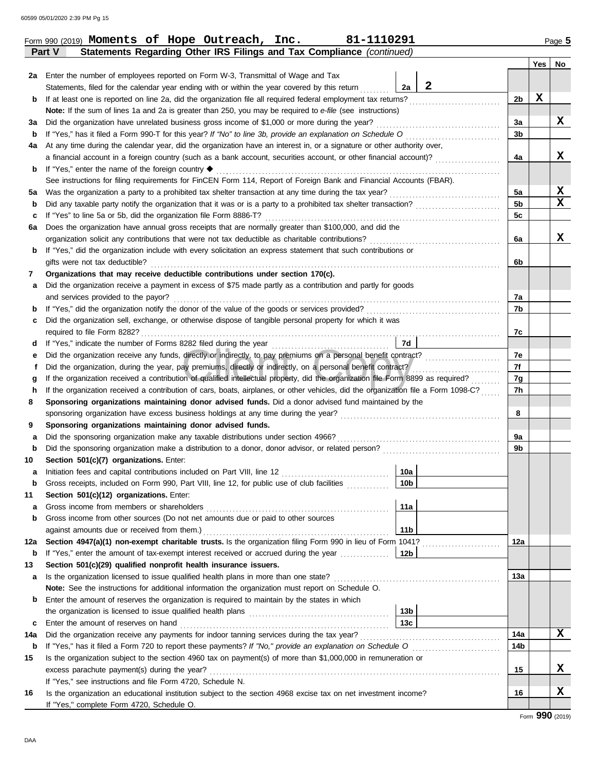|     |                                                                                                                                                                             |                 |              |                 | Yes | No                          |
|-----|-----------------------------------------------------------------------------------------------------------------------------------------------------------------------------|-----------------|--------------|-----------------|-----|-----------------------------|
|     | 2a Enter the number of employees reported on Form W-3, Transmittal of Wage and Tax                                                                                          |                 |              |                 |     |                             |
|     | Statements, filed for the calendar year ending with or within the year covered by this return                                                                               | 2a              | $\mathbf{2}$ |                 |     |                             |
| b   |                                                                                                                                                                             |                 |              | 2 <sub>b</sub>  | X   |                             |
|     | Note: If the sum of lines 1a and 2a is greater than 250, you may be required to e-file (see instructions)                                                                   |                 |              |                 |     |                             |
| За  | Did the organization have unrelated business gross income of \$1,000 or more during the year?                                                                               |                 |              | За              |     | X                           |
| b   |                                                                                                                                                                             |                 |              | 3b              |     |                             |
| 4a  | At any time during the calendar year, did the organization have an interest in, or a signature or other authority over,                                                     |                 |              |                 |     |                             |
|     | a financial account in a foreign country (such as a bank account, securities account, or other financial account)?                                                          |                 |              | 4a              |     | x                           |
| b   | If "Yes," enter the name of the foreign country $\blacklozenge$                                                                                                             |                 |              |                 |     |                             |
|     | See instructions for filing requirements for FinCEN Form 114, Report of Foreign Bank and Financial Accounts (FBAR).                                                         |                 |              |                 |     | X                           |
| 5а  |                                                                                                                                                                             |                 |              | 5a<br><b>5b</b> |     | $\mathbf x$                 |
| b   |                                                                                                                                                                             |                 |              | 5c              |     |                             |
| c   | If "Yes" to line 5a or 5b, did the organization file Form 8886-T?<br>Does the organization have annual gross receipts that are normally greater than \$100,000, and did the |                 |              |                 |     |                             |
| 6а  |                                                                                                                                                                             |                 |              | 6a              |     | x                           |
| b   | If "Yes," did the organization include with every solicitation an express statement that such contributions or                                                              |                 |              |                 |     |                             |
|     | gifts were not tax deductible?                                                                                                                                              |                 |              | 6b              |     |                             |
| 7   | Organizations that may receive deductible contributions under section 170(c).                                                                                               |                 |              |                 |     |                             |
| а   | Did the organization receive a payment in excess of \$75 made partly as a contribution and partly for goods                                                                 |                 |              |                 |     |                             |
|     | and services provided to the payor?                                                                                                                                         |                 |              | 7a              |     |                             |
| b   |                                                                                                                                                                             |                 |              | 7b              |     |                             |
| c   | Did the organization sell, exchange, or otherwise dispose of tangible personal property for which it was                                                                    |                 |              |                 |     |                             |
|     | required to file Form 8282?                                                                                                                                                 |                 |              | 7c              |     |                             |
| d   |                                                                                                                                                                             | 7d              |              |                 |     |                             |
| е   |                                                                                                                                                                             |                 |              | 7e              |     |                             |
| f   | Did the organization, during the year, pay premiums, directly or indirectly, on a personal benefit contract?                                                                |                 |              | 7f              |     |                             |
| g   | If the organization received a contribution of qualified intellectual property, did the organization file Form 8899 as required?                                            |                 |              | 7g              |     |                             |
| h   | If the organization received a contribution of cars, boats, airplanes, or other vehicles, did the organization file a Form 1098-C?                                          |                 |              | 7h              |     |                             |
| 8   | Sponsoring organizations maintaining donor advised funds. Did a donor advised fund maintained by the                                                                        |                 |              |                 |     |                             |
|     |                                                                                                                                                                             |                 |              | 8               |     |                             |
| 9   | Sponsoring organizations maintaining donor advised funds.                                                                                                                   |                 |              |                 |     |                             |
| а   | Did the sponsoring organization make any taxable distributions under section 4966?                                                                                          |                 |              | 9a              |     |                             |
| b   |                                                                                                                                                                             |                 |              | 9b              |     |                             |
| 10  | Section 501(c)(7) organizations. Enter:                                                                                                                                     |                 |              |                 |     |                             |
| а   |                                                                                                                                                                             | 10a             |              |                 |     |                             |
| b   | Gross receipts, included on Form 990, Part VIII, line 12, for public use of club facilities                                                                                 | 10 <sub>b</sub> |              |                 |     |                             |
| 11  | Section 501(c)(12) organizations. Enter:                                                                                                                                    |                 |              |                 |     |                             |
| а   |                                                                                                                                                                             | 11a             |              |                 |     |                             |
| b   | Gross income from other sources (Do not net amounts due or paid to other sources                                                                                            |                 |              |                 |     |                             |
|     |                                                                                                                                                                             | 11 <sub>b</sub> |              |                 |     |                             |
| 12a | Section 4947(a)(1) non-exempt charitable trusts. Is the organization filing Form 990 in lieu of Form 1041?                                                                  |                 |              | 12a             |     |                             |
| b   |                                                                                                                                                                             |                 |              |                 |     |                             |
| 13  | Section 501(c)(29) qualified nonprofit health insurance issuers.                                                                                                            |                 |              |                 |     |                             |
| a   | Is the organization licensed to issue qualified health plans in more than one state?                                                                                        |                 |              | 13а             |     |                             |
|     | Note: See the instructions for additional information the organization must report on Schedule O.                                                                           |                 |              |                 |     |                             |
| b   | Enter the amount of reserves the organization is required to maintain by the states in which                                                                                |                 |              |                 |     |                             |
|     |                                                                                                                                                                             | 13b             |              |                 |     |                             |
| c   | Enter the amount of reserves on hand                                                                                                                                        | 13с             |              |                 |     |                             |
| 14a |                                                                                                                                                                             |                 |              | 14a             |     | X.                          |
| b   |                                                                                                                                                                             |                 |              | 14b             |     |                             |
| 15  | Is the organization subject to the section 4960 tax on payment(s) of more than \$1,000,000 in remuneration or                                                               |                 |              |                 |     |                             |
|     | excess parachute payment(s) during the year?                                                                                                                                |                 |              | 15              |     | x                           |
|     | If "Yes," see instructions and file Form 4720, Schedule N.                                                                                                                  |                 |              |                 |     |                             |
| 16  | Is the organization an educational institution subject to the section 4968 excise tax on net investment income?                                                             |                 |              | 16              |     | x                           |
|     | If "Yes," complete Form 4720, Schedule O.                                                                                                                                   |                 |              |                 |     | $F_{\text{OCD}}$ 990 (2019) |

**Part V Statements Regarding Other IRS Filings and Tax Compliance** *(continued)*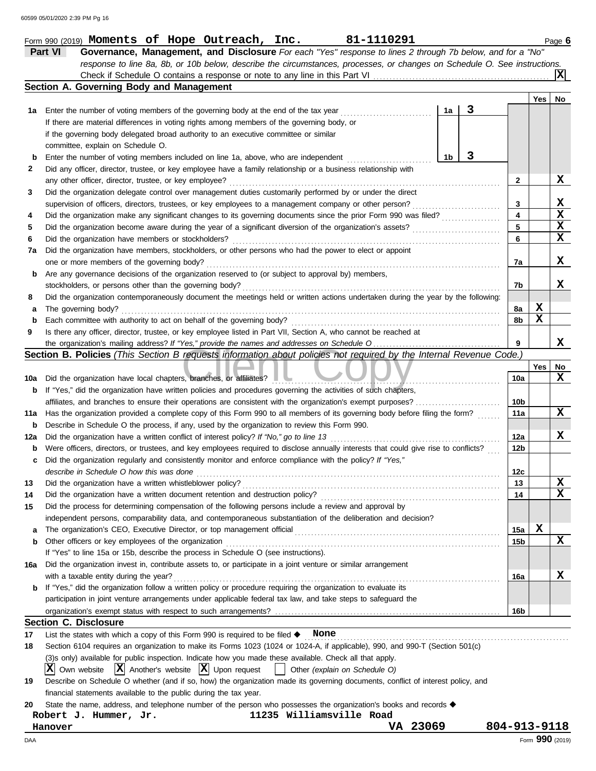|     | response to line 8a, 8b, or 10b below, describe the circumstances, processes, or changes on Schedule O. See instructions.                                                                                                                |                 |                 |             |
|-----|------------------------------------------------------------------------------------------------------------------------------------------------------------------------------------------------------------------------------------------|-----------------|-----------------|-------------|
|     |                                                                                                                                                                                                                                          |                 |                 | ΙxΙ         |
|     | Section A. Governing Body and Management                                                                                                                                                                                                 |                 |                 |             |
|     |                                                                                                                                                                                                                                          |                 | Yes             | No          |
| 1a  | 3<br>Enter the number of voting members of the governing body at the end of the tax year<br>1a                                                                                                                                           |                 |                 |             |
|     | If there are material differences in voting rights among members of the governing body, or                                                                                                                                               |                 |                 |             |
|     | if the governing body delegated broad authority to an executive committee or similar                                                                                                                                                     |                 |                 |             |
|     | committee, explain on Schedule O.<br>3                                                                                                                                                                                                   |                 |                 |             |
| b   | Enter the number of voting members included on line 1a, above, who are independent<br>1b                                                                                                                                                 |                 |                 |             |
| 2   | Did any officer, director, trustee, or key employee have a family relationship or a business relationship with                                                                                                                           | $\mathbf{2}$    |                 | X           |
| 3   | any other officer, director, trustee, or key employee?<br>Did the organization delegate control over management duties customarily performed by or under the direct                                                                      |                 |                 |             |
|     | supervision of officers, directors, trustees, or key employees to a management company or other person?                                                                                                                                  | 3               |                 | X           |
| 4   | Did the organization make any significant changes to its governing documents since the prior Form 990 was filed?                                                                                                                         | 4               |                 | $\mathbf x$ |
| 5   | Did the organization become aware during the year of a significant diversion of the organization's assets?                                                                                                                               | 5               |                 | X           |
| 6   | Did the organization have members or stockholders?                                                                                                                                                                                       | 6               |                 | X           |
| 7a  | Did the organization have members, stockholders, or other persons who had the power to elect or appoint                                                                                                                                  |                 |                 |             |
|     | one or more members of the governing body?                                                                                                                                                                                               | 7a              |                 | X           |
| b   | Are any governance decisions of the organization reserved to (or subject to approval by) members,                                                                                                                                        |                 |                 |             |
|     | stockholders, or persons other than the governing body?                                                                                                                                                                                  | 7b              |                 | x           |
| 8   | Did the organization contemporaneously document the meetings held or written actions undertaken during the year by the following:                                                                                                        |                 |                 |             |
| а   | The governing body?                                                                                                                                                                                                                      | 8а              | X               |             |
| b   | Each committee with authority to act on behalf of the governing body?                                                                                                                                                                    | 8b              | X               |             |
| 9   | Is there any officer, director, trustee, or key employee listed in Part VII, Section A, who cannot be reached at                                                                                                                         |                 |                 |             |
|     |                                                                                                                                                                                                                                          | 9               |                 | X           |
|     | Section B. Policies (This Section B requests information about policies not required by the Internal Revenue Code.)                                                                                                                      |                 |                 |             |
|     |                                                                                                                                                                                                                                          |                 | Yes             | No          |
| 10a | Did the organization have local chapters, branches, or affiliates?                                                                                                                                                                       | 10a             |                 | x           |
| b   | If "Yes," did the organization have written policies and procedures governing the activities of such chapters,                                                                                                                           |                 |                 |             |
|     | affiliates, and branches to ensure their operations are consistent with the organization's exempt purposes?                                                                                                                              | 10 <sub>b</sub> |                 |             |
| 11a | Has the organization provided a complete copy of this Form 990 to all members of its governing body before filing the form?                                                                                                              | 11a             |                 | x           |
| b   | Describe in Schedule O the process, if any, used by the organization to review this Form 990.                                                                                                                                            |                 |                 |             |
| 12a | Did the organization have a written conflict of interest policy? If "No," go to line 13                                                                                                                                                  | 12a             |                 | x           |
| b   | Were officers, directors, or trustees, and key employees required to disclose annually interests that could give rise to conflicts?                                                                                                      | 12b             |                 |             |
| c   | Did the organization regularly and consistently monitor and enforce compliance with the policy? If "Yes,"                                                                                                                                |                 |                 |             |
|     | describe in Schedule O how this was done                                                                                                                                                                                                 | 12c             |                 |             |
| 13  |                                                                                                                                                                                                                                          | 13              |                 | X           |
| 14  | Did the organization have a written document retention and destruction policy?                                                                                                                                                           | 14              |                 | X           |
| 15  | Did the process for determining compensation of the following persons include a review and approval by                                                                                                                                   |                 |                 |             |
|     | independent persons, comparability data, and contemporaneous substantiation of the deliberation and decision?                                                                                                                            |                 |                 |             |
| а   |                                                                                                                                                                                                                                          | 15a             | X               |             |
| b   | Other officers or key employees of the organization                                                                                                                                                                                      | 15b             |                 | X           |
|     | If "Yes" to line 15a or 15b, describe the process in Schedule O (see instructions).                                                                                                                                                      |                 |                 |             |
| 16a | Did the organization invest in, contribute assets to, or participate in a joint venture or similar arrangement                                                                                                                           |                 |                 |             |
|     | with a taxable entity during the year?                                                                                                                                                                                                   | 16a             |                 | x           |
| b   | If "Yes," did the organization follow a written policy or procedure requiring the organization to evaluate its                                                                                                                           |                 |                 |             |
|     | participation in joint venture arrangements under applicable federal tax law, and take steps to safeguard the                                                                                                                            |                 |                 |             |
|     |                                                                                                                                                                                                                                          | 16 <sub>b</sub> |                 |             |
|     | <b>Section C. Disclosure</b>                                                                                                                                                                                                             |                 |                 |             |
| 17  | List the states with which a copy of this Form 990 is required to be filed $\blacklozenge$ None                                                                                                                                          |                 |                 |             |
| 18  | Section 6104 requires an organization to make its Forms 1023 (1024 or 1024-A, if applicable), 990, and 990-T (Section 501(c)<br>(3)s only) available for public inspection. Indicate how you made these available. Check all that apply. |                 |                 |             |
|     | $ \mathbf{X} $ Own website $ \mathbf{X} $ Another's website $ \mathbf{X} $ Upon request<br>Other (explain on Schedule O)                                                                                                                 |                 |                 |             |
| 19  | Describe on Schedule O whether (and if so, how) the organization made its governing documents, conflict of interest policy, and                                                                                                          |                 |                 |             |
|     | financial statements available to the public during the tax year.                                                                                                                                                                        |                 |                 |             |
| 20  | State the name, address, and telephone number of the person who possesses the organization's books and records ◆                                                                                                                         |                 |                 |             |
|     | 11235 Williamsville Road<br>Robert J. Hummer, Jr.                                                                                                                                                                                        |                 |                 |             |
|     | VA 23069<br>Hanover                                                                                                                                                                                                                      | 804-913-9118    |                 |             |
| DAA |                                                                                                                                                                                                                                          |                 | Form 990 (2019) |             |

Form 990 (2019) **Moments of Hope Outreach, Inc.** 81-1110291 Page 6 **Part VI Governance, Management, and Disclosure** *For each "Yes" response to lines 2 through 7b below, and for a "No"*

**Moments of Hope Outreach, Inc. 81-1110291**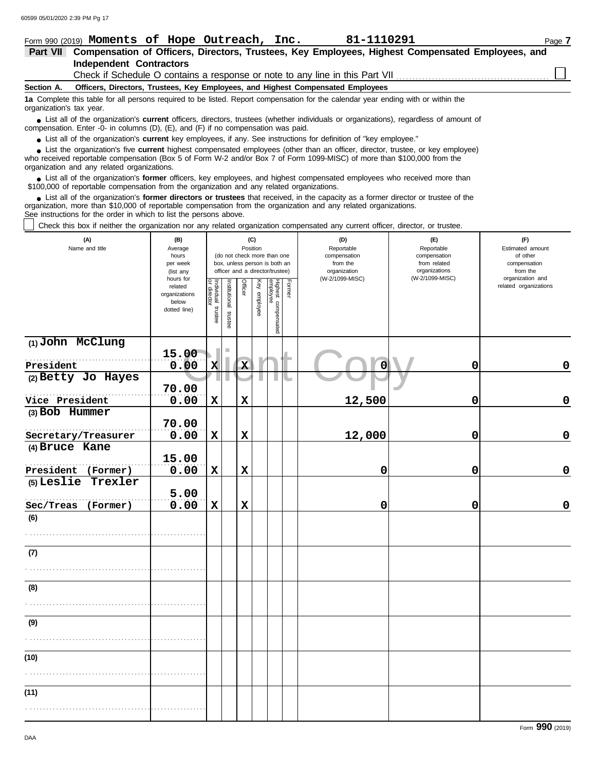| Form 990 (2019) Moments of Hope Outreach, Inc.                                                                                                                                                                                                                                                                                |                |                                                                                                  | 81-1110291        |                   | Page 7                  |  |  |  |  |  |  |
|-------------------------------------------------------------------------------------------------------------------------------------------------------------------------------------------------------------------------------------------------------------------------------------------------------------------------------|----------------|--------------------------------------------------------------------------------------------------|-------------------|-------------------|-------------------------|--|--|--|--|--|--|
| <b>Part VII</b>                                                                                                                                                                                                                                                                                                               |                | Compensation of Officers, Directors, Trustees, Key Employees, Highest Compensated Employees, and |                   |                   |                         |  |  |  |  |  |  |
| Independent Contractors                                                                                                                                                                                                                                                                                                       |                |                                                                                                  |                   |                   |                         |  |  |  |  |  |  |
|                                                                                                                                                                                                                                                                                                                               |                |                                                                                                  |                   |                   |                         |  |  |  |  |  |  |
| Section A. Officers, Directors, Trustees, Key Employees, and Highest Compensated Employees                                                                                                                                                                                                                                    |                |                                                                                                  |                   |                   |                         |  |  |  |  |  |  |
| 1a Complete this table for all persons required to be listed. Report compensation for the calendar year ending with or within the<br>organization's tax year.                                                                                                                                                                 |                |                                                                                                  |                   |                   |                         |  |  |  |  |  |  |
| • List all of the organization's <b>current</b> officers, directors, trustees (whether individuals or organizations), regardless of amount of<br>compensation. Enter -0- in columns $(D)$ , $(E)$ , and $(F)$ if no compensation was paid.                                                                                    |                |                                                                                                  |                   |                   |                         |  |  |  |  |  |  |
| • List all of the organization's <b>current</b> key employees, if any. See instructions for definition of "key employee."                                                                                                                                                                                                     |                |                                                                                                  |                   |                   |                         |  |  |  |  |  |  |
| • List the organization's five <b>current</b> highest compensated employees (other than an officer, director, trustee, or key employee)<br>who received reportable compensation (Box 5 of Form W-2 and/or Box 7 of Form 1099-MISC) of more than \$100,000 from the<br>organization and any related organizations.             |                |                                                                                                  |                   |                   |                         |  |  |  |  |  |  |
| List all of the organization's former officers, key employees, and highest compensated employees who received more than<br>\$100,000 of reportable compensation from the organization and any related organizations.                                                                                                          |                |                                                                                                  |                   |                   |                         |  |  |  |  |  |  |
| • List all of the organization's former directors or trustees that received, in the capacity as a former director or trustee of the<br>organization, more than \$10,000 of reportable compensation from the organization and any related organizations.<br>See instructions for the order in which to list the persons above. |                |                                                                                                  |                   |                   |                         |  |  |  |  |  |  |
| Check this box if neither the organization nor any related organization compensated any current officer, director, or trustee.                                                                                                                                                                                                |                |                                                                                                  |                   |                   |                         |  |  |  |  |  |  |
| (A)<br>Name and title                                                                                                                                                                                                                                                                                                         | (B)<br>Average | (C)<br>Position                                                                                  | (D)<br>Reportable | (E)<br>Reportable | (F)<br>Estimated amount |  |  |  |  |  |  |

| Name and title                   | Average<br>hours<br>per week<br>(list any                      |                                   |                       | POSItion<br>(do not check more than one<br>box, unless person is both an<br>officer and a director/trustee) |              |                                 |        | керопаріе<br>compensation<br>from the<br>organization | керопаріе<br>compensation<br>from related<br>organizations | Estimated amount<br>of other<br>compensation<br>from the |
|----------------------------------|----------------------------------------------------------------|-----------------------------------|-----------------------|-------------------------------------------------------------------------------------------------------------|--------------|---------------------------------|--------|-------------------------------------------------------|------------------------------------------------------------|----------------------------------------------------------|
|                                  | hours for<br>related<br>organizations<br>below<br>dotted line) | Individual trustee<br>or director | Institutional trustee | <b>Officer</b>                                                                                              | Key employee | Highest compensated<br>employee | Former | (W-2/1099-MISC)                                       | (W-2/1099-MISC)                                            | organization and<br>related organizations                |
| (1) John McClung                 | 15.00                                                          |                                   |                       |                                                                                                             |              |                                 |        |                                                       |                                                            |                                                          |
| President                        | 0.00                                                           | $\mathbf x$                       |                       | $\mathbf x$                                                                                                 |              |                                 |        | $\overline{0}$                                        | 0                                                          | $\pmb{0}$                                                |
| (2) Betty Jo Hayes               | 70.00                                                          |                                   |                       |                                                                                                             |              |                                 |        |                                                       |                                                            |                                                          |
| Vice President<br>(3) Bob Hummer | 0.00                                                           | $\mathbf x$                       |                       | $\mathbf x$                                                                                                 |              |                                 |        | 12,500                                                | 0                                                          | $\mathbf 0$                                              |
| Secretary/Treasurer              | 70.00<br>0.00                                                  | $\mathbf x$                       |                       | $\mathbf x$                                                                                                 |              |                                 |        | 12,000                                                | 0                                                          | $\pmb{0}$                                                |
| (4) Bruce Kane                   |                                                                |                                   |                       |                                                                                                             |              |                                 |        |                                                       |                                                            |                                                          |
| President (Former)               | 15.00<br>0.00                                                  | $\mathbf x$                       |                       | $\mathbf x$                                                                                                 |              |                                 |        | 0                                                     | 0                                                          | $\pmb{0}$                                                |
| $(5)$ Leslie<br>Trexler          |                                                                |                                   |                       |                                                                                                             |              |                                 |        |                                                       |                                                            |                                                          |
| Sec/Treas<br>(Former)            | 5.00<br>0.00                                                   | $\mathbf x$                       |                       | $\mathbf x$                                                                                                 |              |                                 |        | 0                                                     | 0                                                          | $\pmb{0}$                                                |
| (6)                              |                                                                |                                   |                       |                                                                                                             |              |                                 |        |                                                       |                                                            |                                                          |
|                                  |                                                                |                                   |                       |                                                                                                             |              |                                 |        |                                                       |                                                            |                                                          |
| (7)                              |                                                                |                                   |                       |                                                                                                             |              |                                 |        |                                                       |                                                            |                                                          |
|                                  |                                                                |                                   |                       |                                                                                                             |              |                                 |        |                                                       |                                                            |                                                          |
| (8)                              |                                                                |                                   |                       |                                                                                                             |              |                                 |        |                                                       |                                                            |                                                          |
|                                  |                                                                |                                   |                       |                                                                                                             |              |                                 |        |                                                       |                                                            |                                                          |
| (9)                              |                                                                |                                   |                       |                                                                                                             |              |                                 |        |                                                       |                                                            |                                                          |
|                                  |                                                                |                                   |                       |                                                                                                             |              |                                 |        |                                                       |                                                            |                                                          |
| (10)                             |                                                                |                                   |                       |                                                                                                             |              |                                 |        |                                                       |                                                            |                                                          |
|                                  |                                                                |                                   |                       |                                                                                                             |              |                                 |        |                                                       |                                                            |                                                          |
| (11)                             |                                                                |                                   |                       |                                                                                                             |              |                                 |        |                                                       |                                                            |                                                          |
|                                  |                                                                |                                   |                       |                                                                                                             |              |                                 |        |                                                       |                                                            |                                                          |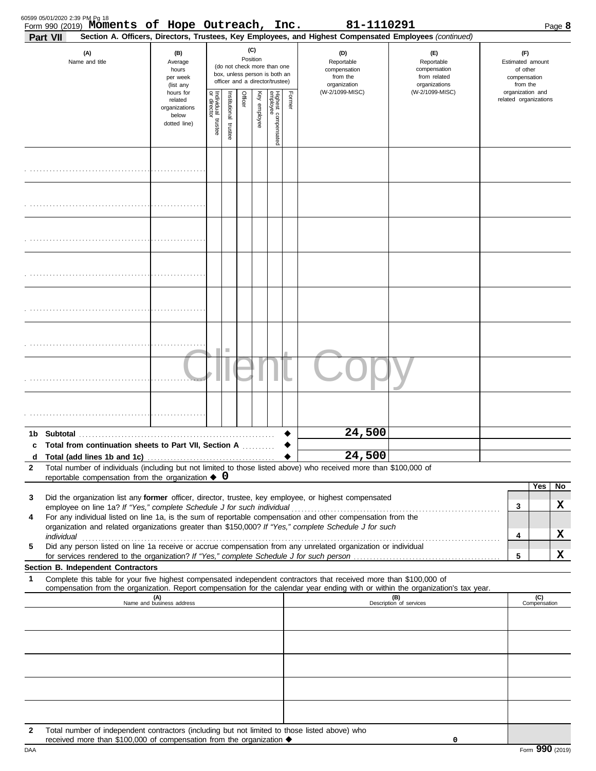| (C)<br>(A)<br>(B)<br>(D)<br>(E)<br>(F)<br>Position<br>Name and title<br>Reportable<br>Reportable<br>Estimated amount<br>Average<br>(do not check more than one<br>hours<br>compensation<br>compensation<br>of other<br>box, unless person is both an<br>per week<br>from the<br>from related<br>compensation<br>officer and a director/trustee)<br>organizations<br>organization<br>from the<br>(list any<br>(W-2/1099-MISC)<br>(W-2/1099-MISC)<br>organization and<br>hours for<br>Individual 1<br>Highest compensated<br>employee<br>Officer<br>Key employee<br>Former<br>nstitutional trustee<br>related organizations<br>related<br>organizations<br>below<br>trustee<br>dotted line)<br>ш<br>24,500<br>1b.<br><b>Total from continuation sheets to Part VII, Section A </b><br>C<br>24,500<br>d<br>Total number of individuals (including but not limited to those listed above) who received more than \$100,000 of<br>$\mathbf{2}$<br>reportable compensation from the organization $\blacklozenge$ 0<br>Yes<br>No<br>Did the organization list any former officer, director, trustee, key employee, or highest compensated<br>3<br>X<br>employee on line 1a? If "Yes," complete Schedule J for such individual<br>3<br>For any individual listed on line 1a, is the sum of reportable compensation and other compensation from the<br>4<br>organization and related organizations greater than \$150,000? If "Yes," complete Schedule J for such<br>X<br>4<br>Did any person listed on line 1a receive or accrue compensation from any unrelated organization or individual<br>5<br>X<br>5<br>Section B. Independent Contractors<br>Complete this table for your five highest compensated independent contractors that received more than \$100,000 of<br>1<br>compensation from the organization. Report compensation for the calendar year ending with or within the organization's tax year.<br>(B)<br>(C)<br>Compensation<br>(A)<br>Name and business address<br>Description of services<br>Total number of independent contractors (including but not limited to those listed above) who<br>$\mathbf{2}$ | Part VII | Form 990 (2019) Moments of Hope Outreach, Inc. |  |  |  | 81-1110291<br>Section A. Officers, Directors, Trustees, Key Employees, and Highest Compensated Employees (continued) |  |  | Page 8 |
|-----------------------------------------------------------------------------------------------------------------------------------------------------------------------------------------------------------------------------------------------------------------------------------------------------------------------------------------------------------------------------------------------------------------------------------------------------------------------------------------------------------------------------------------------------------------------------------------------------------------------------------------------------------------------------------------------------------------------------------------------------------------------------------------------------------------------------------------------------------------------------------------------------------------------------------------------------------------------------------------------------------------------------------------------------------------------------------------------------------------------------------------------------------------------------------------------------------------------------------------------------------------------------------------------------------------------------------------------------------------------------------------------------------------------------------------------------------------------------------------------------------------------------------------------------------------------------------------------------------------------------------------------------------------------------------------------------------------------------------------------------------------------------------------------------------------------------------------------------------------------------------------------------------------------------------------------------------------------------------------------------------------------------------------------------------------------------------------------------------------------|----------|------------------------------------------------|--|--|--|----------------------------------------------------------------------------------------------------------------------|--|--|--------|
|                                                                                                                                                                                                                                                                                                                                                                                                                                                                                                                                                                                                                                                                                                                                                                                                                                                                                                                                                                                                                                                                                                                                                                                                                                                                                                                                                                                                                                                                                                                                                                                                                                                                                                                                                                                                                                                                                                                                                                                                                                                                                                                       |          |                                                |  |  |  |                                                                                                                      |  |  |        |
|                                                                                                                                                                                                                                                                                                                                                                                                                                                                                                                                                                                                                                                                                                                                                                                                                                                                                                                                                                                                                                                                                                                                                                                                                                                                                                                                                                                                                                                                                                                                                                                                                                                                                                                                                                                                                                                                                                                                                                                                                                                                                                                       |          |                                                |  |  |  |                                                                                                                      |  |  |        |
|                                                                                                                                                                                                                                                                                                                                                                                                                                                                                                                                                                                                                                                                                                                                                                                                                                                                                                                                                                                                                                                                                                                                                                                                                                                                                                                                                                                                                                                                                                                                                                                                                                                                                                                                                                                                                                                                                                                                                                                                                                                                                                                       |          |                                                |  |  |  |                                                                                                                      |  |  |        |
|                                                                                                                                                                                                                                                                                                                                                                                                                                                                                                                                                                                                                                                                                                                                                                                                                                                                                                                                                                                                                                                                                                                                                                                                                                                                                                                                                                                                                                                                                                                                                                                                                                                                                                                                                                                                                                                                                                                                                                                                                                                                                                                       |          |                                                |  |  |  |                                                                                                                      |  |  |        |
|                                                                                                                                                                                                                                                                                                                                                                                                                                                                                                                                                                                                                                                                                                                                                                                                                                                                                                                                                                                                                                                                                                                                                                                                                                                                                                                                                                                                                                                                                                                                                                                                                                                                                                                                                                                                                                                                                                                                                                                                                                                                                                                       |          |                                                |  |  |  |                                                                                                                      |  |  |        |
|                                                                                                                                                                                                                                                                                                                                                                                                                                                                                                                                                                                                                                                                                                                                                                                                                                                                                                                                                                                                                                                                                                                                                                                                                                                                                                                                                                                                                                                                                                                                                                                                                                                                                                                                                                                                                                                                                                                                                                                                                                                                                                                       |          |                                                |  |  |  |                                                                                                                      |  |  |        |
|                                                                                                                                                                                                                                                                                                                                                                                                                                                                                                                                                                                                                                                                                                                                                                                                                                                                                                                                                                                                                                                                                                                                                                                                                                                                                                                                                                                                                                                                                                                                                                                                                                                                                                                                                                                                                                                                                                                                                                                                                                                                                                                       |          |                                                |  |  |  |                                                                                                                      |  |  |        |
|                                                                                                                                                                                                                                                                                                                                                                                                                                                                                                                                                                                                                                                                                                                                                                                                                                                                                                                                                                                                                                                                                                                                                                                                                                                                                                                                                                                                                                                                                                                                                                                                                                                                                                                                                                                                                                                                                                                                                                                                                                                                                                                       |          |                                                |  |  |  |                                                                                                                      |  |  |        |
|                                                                                                                                                                                                                                                                                                                                                                                                                                                                                                                                                                                                                                                                                                                                                                                                                                                                                                                                                                                                                                                                                                                                                                                                                                                                                                                                                                                                                                                                                                                                                                                                                                                                                                                                                                                                                                                                                                                                                                                                                                                                                                                       |          |                                                |  |  |  |                                                                                                                      |  |  |        |
|                                                                                                                                                                                                                                                                                                                                                                                                                                                                                                                                                                                                                                                                                                                                                                                                                                                                                                                                                                                                                                                                                                                                                                                                                                                                                                                                                                                                                                                                                                                                                                                                                                                                                                                                                                                                                                                                                                                                                                                                                                                                                                                       |          |                                                |  |  |  |                                                                                                                      |  |  |        |
|                                                                                                                                                                                                                                                                                                                                                                                                                                                                                                                                                                                                                                                                                                                                                                                                                                                                                                                                                                                                                                                                                                                                                                                                                                                                                                                                                                                                                                                                                                                                                                                                                                                                                                                                                                                                                                                                                                                                                                                                                                                                                                                       |          |                                                |  |  |  |                                                                                                                      |  |  |        |
|                                                                                                                                                                                                                                                                                                                                                                                                                                                                                                                                                                                                                                                                                                                                                                                                                                                                                                                                                                                                                                                                                                                                                                                                                                                                                                                                                                                                                                                                                                                                                                                                                                                                                                                                                                                                                                                                                                                                                                                                                                                                                                                       |          |                                                |  |  |  |                                                                                                                      |  |  |        |
|                                                                                                                                                                                                                                                                                                                                                                                                                                                                                                                                                                                                                                                                                                                                                                                                                                                                                                                                                                                                                                                                                                                                                                                                                                                                                                                                                                                                                                                                                                                                                                                                                                                                                                                                                                                                                                                                                                                                                                                                                                                                                                                       |          |                                                |  |  |  |                                                                                                                      |  |  |        |
|                                                                                                                                                                                                                                                                                                                                                                                                                                                                                                                                                                                                                                                                                                                                                                                                                                                                                                                                                                                                                                                                                                                                                                                                                                                                                                                                                                                                                                                                                                                                                                                                                                                                                                                                                                                                                                                                                                                                                                                                                                                                                                                       |          |                                                |  |  |  |                                                                                                                      |  |  |        |
|                                                                                                                                                                                                                                                                                                                                                                                                                                                                                                                                                                                                                                                                                                                                                                                                                                                                                                                                                                                                                                                                                                                                                                                                                                                                                                                                                                                                                                                                                                                                                                                                                                                                                                                                                                                                                                                                                                                                                                                                                                                                                                                       |          |                                                |  |  |  |                                                                                                                      |  |  |        |
|                                                                                                                                                                                                                                                                                                                                                                                                                                                                                                                                                                                                                                                                                                                                                                                                                                                                                                                                                                                                                                                                                                                                                                                                                                                                                                                                                                                                                                                                                                                                                                                                                                                                                                                                                                                                                                                                                                                                                                                                                                                                                                                       |          |                                                |  |  |  |                                                                                                                      |  |  |        |
|                                                                                                                                                                                                                                                                                                                                                                                                                                                                                                                                                                                                                                                                                                                                                                                                                                                                                                                                                                                                                                                                                                                                                                                                                                                                                                                                                                                                                                                                                                                                                                                                                                                                                                                                                                                                                                                                                                                                                                                                                                                                                                                       |          |                                                |  |  |  |                                                                                                                      |  |  |        |
|                                                                                                                                                                                                                                                                                                                                                                                                                                                                                                                                                                                                                                                                                                                                                                                                                                                                                                                                                                                                                                                                                                                                                                                                                                                                                                                                                                                                                                                                                                                                                                                                                                                                                                                                                                                                                                                                                                                                                                                                                                                                                                                       |          |                                                |  |  |  |                                                                                                                      |  |  |        |
|                                                                                                                                                                                                                                                                                                                                                                                                                                                                                                                                                                                                                                                                                                                                                                                                                                                                                                                                                                                                                                                                                                                                                                                                                                                                                                                                                                                                                                                                                                                                                                                                                                                                                                                                                                                                                                                                                                                                                                                                                                                                                                                       |          |                                                |  |  |  |                                                                                                                      |  |  |        |
|                                                                                                                                                                                                                                                                                                                                                                                                                                                                                                                                                                                                                                                                                                                                                                                                                                                                                                                                                                                                                                                                                                                                                                                                                                                                                                                                                                                                                                                                                                                                                                                                                                                                                                                                                                                                                                                                                                                                                                                                                                                                                                                       |          |                                                |  |  |  |                                                                                                                      |  |  |        |
|                                                                                                                                                                                                                                                                                                                                                                                                                                                                                                                                                                                                                                                                                                                                                                                                                                                                                                                                                                                                                                                                                                                                                                                                                                                                                                                                                                                                                                                                                                                                                                                                                                                                                                                                                                                                                                                                                                                                                                                                                                                                                                                       |          |                                                |  |  |  |                                                                                                                      |  |  |        |
|                                                                                                                                                                                                                                                                                                                                                                                                                                                                                                                                                                                                                                                                                                                                                                                                                                                                                                                                                                                                                                                                                                                                                                                                                                                                                                                                                                                                                                                                                                                                                                                                                                                                                                                                                                                                                                                                                                                                                                                                                                                                                                                       |          |                                                |  |  |  |                                                                                                                      |  |  |        |
|                                                                                                                                                                                                                                                                                                                                                                                                                                                                                                                                                                                                                                                                                                                                                                                                                                                                                                                                                                                                                                                                                                                                                                                                                                                                                                                                                                                                                                                                                                                                                                                                                                                                                                                                                                                                                                                                                                                                                                                                                                                                                                                       |          |                                                |  |  |  |                                                                                                                      |  |  |        |
|                                                                                                                                                                                                                                                                                                                                                                                                                                                                                                                                                                                                                                                                                                                                                                                                                                                                                                                                                                                                                                                                                                                                                                                                                                                                                                                                                                                                                                                                                                                                                                                                                                                                                                                                                                                                                                                                                                                                                                                                                                                                                                                       |          |                                                |  |  |  |                                                                                                                      |  |  |        |
|                                                                                                                                                                                                                                                                                                                                                                                                                                                                                                                                                                                                                                                                                                                                                                                                                                                                                                                                                                                                                                                                                                                                                                                                                                                                                                                                                                                                                                                                                                                                                                                                                                                                                                                                                                                                                                                                                                                                                                                                                                                                                                                       |          |                                                |  |  |  |                                                                                                                      |  |  |        |
|                                                                                                                                                                                                                                                                                                                                                                                                                                                                                                                                                                                                                                                                                                                                                                                                                                                                                                                                                                                                                                                                                                                                                                                                                                                                                                                                                                                                                                                                                                                                                                                                                                                                                                                                                                                                                                                                                                                                                                                                                                                                                                                       |          |                                                |  |  |  |                                                                                                                      |  |  |        |
|                                                                                                                                                                                                                                                                                                                                                                                                                                                                                                                                                                                                                                                                                                                                                                                                                                                                                                                                                                                                                                                                                                                                                                                                                                                                                                                                                                                                                                                                                                                                                                                                                                                                                                                                                                                                                                                                                                                                                                                                                                                                                                                       |          |                                                |  |  |  |                                                                                                                      |  |  |        |
|                                                                                                                                                                                                                                                                                                                                                                                                                                                                                                                                                                                                                                                                                                                                                                                                                                                                                                                                                                                                                                                                                                                                                                                                                                                                                                                                                                                                                                                                                                                                                                                                                                                                                                                                                                                                                                                                                                                                                                                                                                                                                                                       |          |                                                |  |  |  |                                                                                                                      |  |  |        |
| received more than \$100,000 of compensation from the organization ♦                                                                                                                                                                                                                                                                                                                                                                                                                                                                                                                                                                                                                                                                                                                                                                                                                                                                                                                                                                                                                                                                                                                                                                                                                                                                                                                                                                                                                                                                                                                                                                                                                                                                                                                                                                                                                                                                                                                                                                                                                                                  |          |                                                |  |  |  |                                                                                                                      |  |  |        |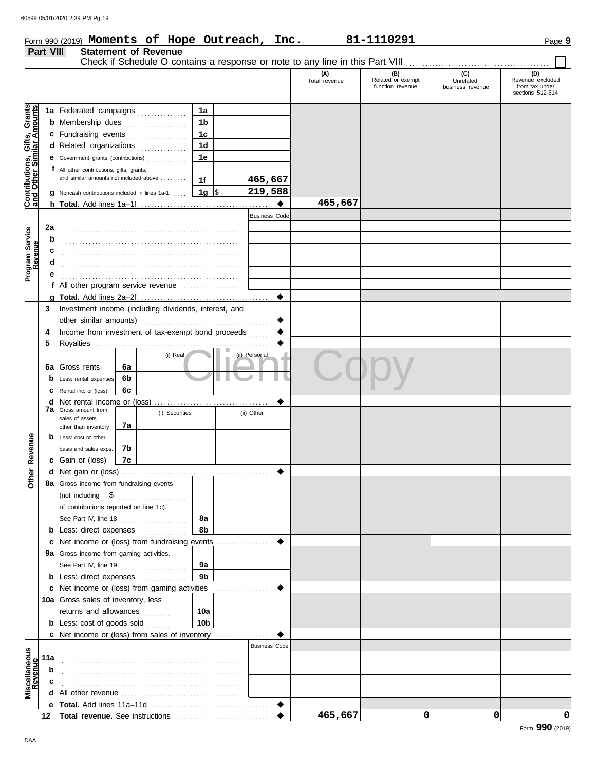### Form 990 (2019) Page **9 Moments of Hope Outreach, Inc. 81-1110291**

#### **Part VIII Statement of Revenue** Check if Schedule O contains a response or note to any line in this Part VIII ........ **(A) (B) (C) (D)** Total revenue Related or exempt Unrelated Revenue excluded function revenue | business revenue | from tax under sections 512-514 Gifts, Grants<br>ilar Amounts **Contributions, Gifts, Grants and Other Similar Amounts 1a 1a** Federated campaigns **. . . . . . . . . . . . 1b b** Membership dues **. . . . . . . . . . . . . . .** . . **1c c** Fundraising events **. . . . . . . . . . . . . .** . . **1d d** Related organizations ............... Contributions, (and Other Simi **1e e** Government grants (contributions) . . . . . . . . . . . . **f** All other contributions, gifts, grants, and similar amounts not included above . . . . . . . . **465,667 1f 1g** \$ . . . . . . . . . . . . . . . . . . . . . **219,588 g** Noncash contributions included in lines 1a-1f . . . .  $\bullet$ **465,667 h Total.** Add lines 1a–1f . . . . . . . . . . . . . . . . . . . . . . . . . . . . . . . . . . . . . . . . Business Code **2a** Program Service<br>Revenue **Program Service** . . . . . . . . . . . . . . . . . . . . . . . . . . . . . . . . . . . . . . . . . . . . . . . . . . . . . . . **b** . . . . . . . . . . . . . . . . . . . . . . . . . . . . . . . . . . . . . . . . . . . . . . . . . . . . . . . **c d** . . . . . . . . . . . . . . . . . . . . . . . . . . . . . . . . . . . . . . . . . . . . . . . . . . . . . . . **e** . . . . . . . . . . . . . . . . . . . . . . . . . . . . . . . . . . . . . . . . . . . . . . . . . . . . . . . **f** All other program service revenue . . . . . . . . . . . . . . . . . . . **g Total.** Add lines 2a–2f . . . . . . . . . . . . . . . . . . . . . . . . . . . . . . . . . . . . . . . . u **3** Investment income (including dividends, interest, and  $\blacklozenge$ other similar amounts) . . . . . . . . . . . . . . . . . . . . . . . . . . . . . . . . . . . . . . . Income from investment of tax-exempt bond proceeds **4**  $\blacklozenge$ **5** Royalties ......  $\blacklozenge$ **Client** Copy (i) Real (ii) Personal **6a 6a** Gross rents **6b b** Less: rental expenses **6c c** Rental inc. or (loss)  $\bullet$ **d** Net rental income or (loss) . . . . . . . . . . . . . . . . . . . . . . . . . . . . . . . . . . . **7a** Gross amount from (i) Securities (ii) Other sales of assets **7a** other than inventory **Other Revenue Other Revenue b** Less: cost or other basis and sales exps. **7b 7c c** Gain or (loss) **d** u Net gain or (loss) . . . . . . . . . . . . . . . . . . . . . . . . . . . . . . . . . . . . . . . . . . . . . **8a** Gross income from fundraising events  $($ not including  $\$\dots$ of contributions reported on line 1c). See Part IV, line 18 . . . . . . . . . . . . . . . . . . . . **8a 8b b** Less: direct expenses . . . . . . . . . . . . . **c** Net income or (loss) from fundraising events ............... ۰ 9a Gross income from gaming activities. See Part IV, line 19 . . . . . . . . . . . . . . . . . . . . **9a 9b b** Less: direct expenses ...............  $\bullet$ Net income or (loss) from gaming activities . . . . . . . . . . . . . . . . . . **c** 10a Gross sales of inventory, less returns and allowances **10a 10b b** Less: cost of goods sold  $\ldots$ u Net income or (loss) from sales of inventory . . . . . . . . . . . . . . . . . **c** Business Code **Miscellaneous**<br>Revenue **Miscellaneous 11a** . . . . . . . . . . . . . . . . . . . . . . . . . . . . . . . . . . . . . . . . . . . . . . . . . . . . . . . **b c** . . . . . . . . . . . . . . . . . . . . . . . . . . . . . . . . . . . . . . . . . . . . . . . . . . . . . . . **d** All other revenue . . . . . . . . . . . . . . . . . . . . . . . . . . . . . . . . . . . . . **Total.** Add lines 11a-11d .  $\bullet$ **e 465,667 0 0 0 12** Total revenue. See instructions ......  $\blacklozenge$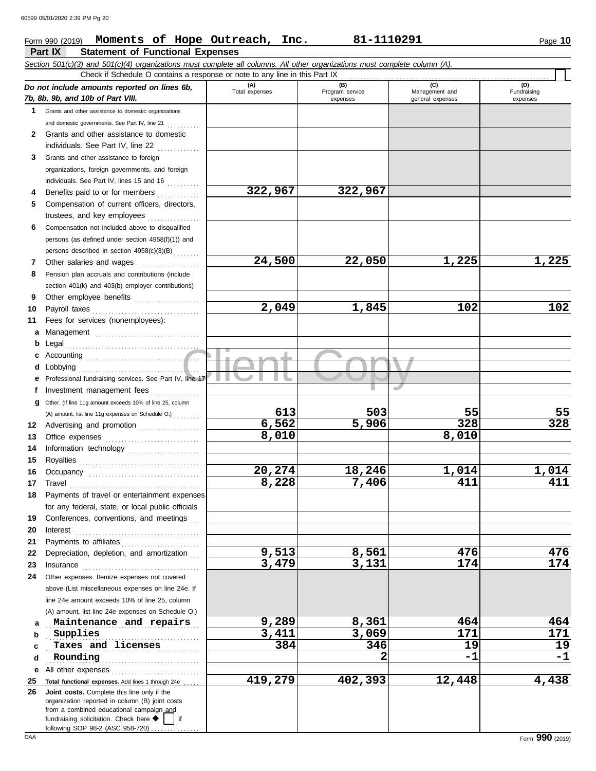## **Form 990 (2019) Moments of Hope Outreach, Inc. 81-1110291** Page 10

|              | Part IX<br><b>Statement of Functional Expenses</b>                                                                         |                       |                                    |                                           |                                |
|--------------|----------------------------------------------------------------------------------------------------------------------------|-----------------------|------------------------------------|-------------------------------------------|--------------------------------|
|              | Section 501(c)(3) and 501(c)(4) organizations must complete all columns. All other organizations must complete column (A). |                       |                                    |                                           |                                |
|              | Check if Schedule O contains a response or note to any line in this Part IX                                                |                       |                                    |                                           |                                |
|              | Do not include amounts reported on lines 6b,<br>7b, 8b, 9b, and 10b of Part VIII.                                          | (A)<br>Total expenses | (B)<br>Program service<br>expenses | (C)<br>Management and<br>general expenses | (D)<br>Fundraising<br>expenses |
| 1            | Grants and other assistance to domestic organizations                                                                      |                       |                                    |                                           |                                |
|              | and domestic governments. See Part IV, line 21                                                                             |                       |                                    |                                           |                                |
| $\mathbf{2}$ | Grants and other assistance to domestic                                                                                    |                       |                                    |                                           |                                |
|              | individuals. See Part IV, line 22                                                                                          |                       |                                    |                                           |                                |
| 3            | Grants and other assistance to foreign                                                                                     |                       |                                    |                                           |                                |
|              | organizations, foreign governments, and foreign                                                                            |                       |                                    |                                           |                                |
|              | individuals. See Part IV, lines 15 and 16                                                                                  |                       |                                    |                                           |                                |
| 4            | Benefits paid to or for members                                                                                            | 322,967               | 322,967                            |                                           |                                |
| 5            | Compensation of current officers, directors,                                                                               |                       |                                    |                                           |                                |
|              | trustees, and key employees                                                                                                |                       |                                    |                                           |                                |
| 6            | Compensation not included above to disqualified                                                                            |                       |                                    |                                           |                                |
|              | persons (as defined under section 4958(f)(1)) and                                                                          |                       |                                    |                                           |                                |
|              | persons described in section 4958(c)(3)(B)                                                                                 | 24,500                |                                    |                                           |                                |
| 7            | Other salaries and wages                                                                                                   |                       | 22,050                             | 1,225                                     | 1,225                          |
| 8            | Pension plan accruals and contributions (include                                                                           |                       |                                    |                                           |                                |
| 9            | section 401(k) and 403(b) employer contributions)                                                                          |                       |                                    |                                           |                                |
| 10           | Other employee benefits                                                                                                    | 2,049                 | 1,845                              | 102                                       | 102                            |
| 11           | Payroll taxes<br>Fees for services (nonemployees):                                                                         |                       |                                    |                                           |                                |
| а            |                                                                                                                            |                       |                                    |                                           |                                |
| b            | Legal                                                                                                                      |                       |                                    |                                           |                                |
|              |                                                                                                                            |                       |                                    |                                           |                                |
| d            | Lobbying                                                                                                                   |                       |                                    |                                           |                                |
| е            | Professional fundraising services. See Part IV, line 17                                                                    |                       |                                    |                                           |                                |
| Ť            | Investment management fees                                                                                                 |                       |                                    | v                                         |                                |
| g            | Other. (If line 11g amount exceeds 10% of line 25, column                                                                  |                       |                                    |                                           |                                |
|              | (A) amount, list line 11g expenses on Schedule O.)                                                                         | 613                   | 503                                | 55                                        | 55                             |
| 12           | Advertising and promotion                                                                                                  | 6,562                 | 5,906                              | 328                                       | 328                            |
| 13           |                                                                                                                            | 8,010                 |                                    | 8,010                                     |                                |
| 14           | Information technology                                                                                                     |                       |                                    |                                           |                                |
| 15           | Royalties                                                                                                                  |                       |                                    |                                           |                                |
| 16           | Occupancy                                                                                                                  | 20,274                | 18,246                             | 1,014                                     | 1,014                          |
| 17           | Travel                                                                                                                     | 8,228                 | 7,406                              | 411                                       | 411                            |
| 18           | Payments of travel or entertainment expenses                                                                               |                       |                                    |                                           |                                |
|              | for any federal, state, or local public officials                                                                          |                       |                                    |                                           |                                |
| 19           | Conferences, conventions, and meetings                                                                                     |                       |                                    |                                           |                                |
| 20           | Interest                                                                                                                   |                       |                                    |                                           |                                |
| 21           | Payments to affiliates                                                                                                     |                       |                                    |                                           |                                |
| 22           | Depreciation, depletion, and amortization                                                                                  | 9,513                 | 8,561                              | 476                                       | 476                            |
| 23           |                                                                                                                            | 3,479                 | 3,131                              | 174                                       | 174                            |
| 24           | Other expenses. Itemize expenses not covered                                                                               |                       |                                    |                                           |                                |
|              | above (List miscellaneous expenses on line 24e. If                                                                         |                       |                                    |                                           |                                |
|              | line 24e amount exceeds 10% of line 25, column                                                                             |                       |                                    |                                           |                                |
|              | (A) amount, list line 24e expenses on Schedule O.)                                                                         |                       |                                    |                                           |                                |
| a            | Maintenance and repairs                                                                                                    | 9,289                 | 8,361                              | 464                                       | 464                            |
| b            | Supplies                                                                                                                   | 3,411                 | 3,069                              | 171<br>19                                 | 171                            |
| c            | Taxes and licenses                                                                                                         | 384                   | 346<br>2                           | -1                                        | 19<br>$-1$                     |
| d            | Rounding                                                                                                                   |                       |                                    |                                           |                                |
| е            |                                                                                                                            | 419,279               | 402,393                            | 12,448                                    | 4,438                          |
| 25<br>26     | Total functional expenses. Add lines 1 through 24e<br>Joint costs. Complete this line only if the                          |                       |                                    |                                           |                                |
|              | organization reported in column (B) joint costs                                                                            |                       |                                    |                                           |                                |
|              | from a combined educational campaign and                                                                                   |                       |                                    |                                           |                                |
|              | fundraising solicitation. Check here $\blacklozenge$   if<br>following SOP 98-2 (ASC 958-720)                              |                       |                                    |                                           |                                |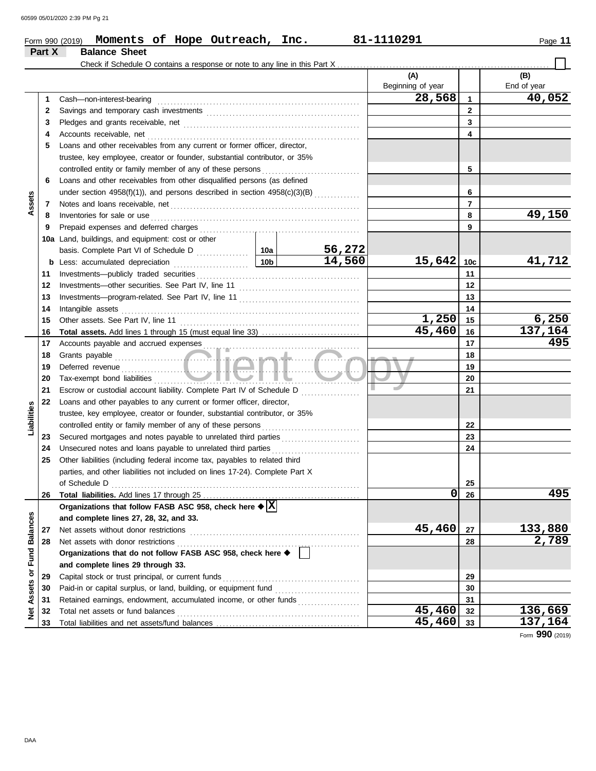|                 | Part X | <b>Balance Sheet</b>                                                                                                                                                                                                                |                 |        |                   |                 |             |
|-----------------|--------|-------------------------------------------------------------------------------------------------------------------------------------------------------------------------------------------------------------------------------------|-----------------|--------|-------------------|-----------------|-------------|
|                 |        | Check if Schedule O contains a response or note to any line in this Part X                                                                                                                                                          |                 |        | (A)               |                 | (B)         |
|                 |        |                                                                                                                                                                                                                                     |                 |        | Beginning of year |                 | End of year |
|                 | 1      | Cash-non-interest-bearing                                                                                                                                                                                                           |                 |        | 28,568            | $\mathbf{1}$    | 40,052      |
|                 | 2      |                                                                                                                                                                                                                                     |                 |        |                   | $\mathbf{2}$    |             |
|                 | 3      |                                                                                                                                                                                                                                     |                 |        |                   | 3               |             |
|                 | 4      | Accounts receivable, net                                                                                                                                                                                                            |                 |        |                   | 4               |             |
|                 | 5      | Loans and other receivables from any current or former officer, director,                                                                                                                                                           |                 |        |                   |                 |             |
|                 |        | trustee, key employee, creator or founder, substantial contributor, or 35%                                                                                                                                                          |                 |        |                   |                 |             |
|                 |        |                                                                                                                                                                                                                                     |                 |        |                   | 5               |             |
|                 | 6      | Loans and other receivables from other disqualified persons (as defined                                                                                                                                                             |                 |        |                   |                 |             |
|                 |        | under section $4958(f)(1)$ ), and persons described in section $4958(c)(3)(B)$                                                                                                                                                      |                 |        |                   | 6               |             |
| Assets          | 7      |                                                                                                                                                                                                                                     |                 |        |                   | $\overline{7}$  |             |
|                 | 8      | Inventories for sale or use <i>communication</i> and the state of the state or use of the state of the state of the state of the state of the state of the state of the state of the state of the state of the state of the state o |                 |        |                   | 8               | 49,150      |
|                 | 9      |                                                                                                                                                                                                                                     |                 |        |                   | 9               |             |
|                 |        | 10a Land, buildings, and equipment: cost or other                                                                                                                                                                                   |                 |        |                   |                 |             |
|                 |        |                                                                                                                                                                                                                                     |                 | 56,272 |                   |                 |             |
|                 |        | <b>b</b> Less: accumulated depreciation                                                                                                                                                                                             | 10 <sub>b</sub> | 14,560 | 15,642            | 10 <sub>c</sub> | 41,712      |
|                 | 11     |                                                                                                                                                                                                                                     |                 |        |                   | 11              |             |
|                 | 12     |                                                                                                                                                                                                                                     |                 |        |                   | 12              |             |
|                 | 13     |                                                                                                                                                                                                                                     |                 |        |                   | 13              |             |
|                 | 14     | Intangible assets                                                                                                                                                                                                                   |                 |        |                   | 14              |             |
|                 | 15     |                                                                                                                                                                                                                                     |                 |        | 1,250             | 15              | 6,250       |
|                 | 16     |                                                                                                                                                                                                                                     |                 |        | 45,460            | 16              | 137,164     |
|                 | 17     | Accounts payable and accrued expenses                                                                                                                                                                                               |                 |        |                   | 17              | 495         |
|                 | 18     |                                                                                                                                                                                                                                     |                 |        |                   | 18              |             |
|                 | 19     |                                                                                                                                                                                                                                     |                 | 19     |                   |                 |             |
|                 | 20     | Tax-exempt bond liabilities                                                                                                                                                                                                         |                 | 20     |                   |                 |             |
|                 | 21     | Escrow or custodial account liability. Complete Part IV of Schedule D                                                                                                                                                               |                 | 21     |                   |                 |             |
|                 | 22     | Loans and other payables to any current or former officer, director,                                                                                                                                                                |                 |        |                   |                 |             |
| Liabilities     |        | trustee, key employee, creator or founder, substantial contributor, or 35%                                                                                                                                                          |                 |        |                   |                 |             |
|                 |        | controlled entity or family member of any of these persons                                                                                                                                                                          |                 |        |                   | 22              |             |
|                 | 23     | Secured mortgages and notes payable to unrelated third parties                                                                                                                                                                      |                 |        |                   | 23              |             |
|                 | 24     | Unsecured notes and loans payable to unrelated third parties                                                                                                                                                                        |                 |        |                   | 24              |             |
|                 | 25     | Other liabilities (including federal income tax, payables to related third                                                                                                                                                          |                 |        |                   |                 |             |
|                 |        | parties, and other liabilities not included on lines 17-24). Complete Part X                                                                                                                                                        |                 |        |                   |                 |             |
|                 |        | of Schedule D                                                                                                                                                                                                                       |                 |        |                   | 25              |             |
|                 | 26     |                                                                                                                                                                                                                                     |                 |        | 0                 | 26              | 495         |
|                 |        | Organizations that follow FASB ASC 958, check here $\blacklozenge \boxed{X}$                                                                                                                                                        |                 |        |                   |                 |             |
|                 |        | and complete lines 27, 28, 32, and 33.                                                                                                                                                                                              |                 |        |                   |                 |             |
|                 | 27     | Net assets without donor restrictions                                                                                                                                                                                               |                 |        | 45,460            | 27              | 133,880     |
| <b>Balances</b> | 28     | Net assets with donor restrictions                                                                                                                                                                                                  |                 |        |                   | 28              | 2,789       |
|                 |        | Organizations that do not follow FASB ASC 958, check here ♦                                                                                                                                                                         |                 |        |                   |                 |             |
| Fund            |        | and complete lines 29 through 33.                                                                                                                                                                                                   |                 |        |                   |                 |             |
| ŏ               | 29     | Capital stock or trust principal, or current funds                                                                                                                                                                                  |                 |        |                   | 29              |             |
|                 | 30     |                                                                                                                                                                                                                                     |                 |        |                   | 30              |             |
| Assets          |        |                                                                                                                                                                                                                                     |                 |        |                   |                 |             |
|                 | 31     | Retained earnings, endowment, accumulated income, or other funds                                                                                                                                                                    |                 |        | 45,460            | 31              | 136,669     |
| ğ               | 32     |                                                                                                                                                                                                                                     |                 |        | 45,460            | 32<br>33        | 137,164     |
|                 | 33     |                                                                                                                                                                                                                                     |                 |        |                   |                 |             |

**Form 990 (2019) Moments of Hope Outreach, Inc. 81-1110291** Page 11

Form **990** (2019)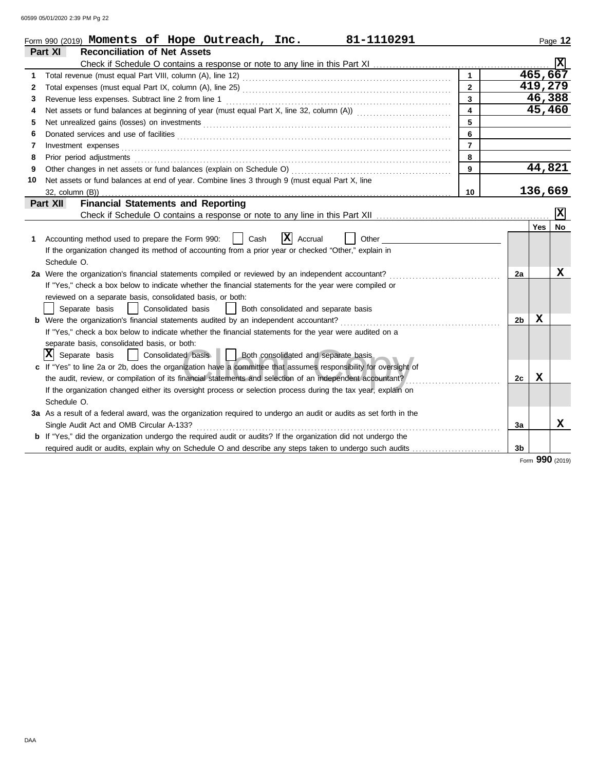|    | 81-1110291<br>Form 990 (2019) Moments of Hope Outreach, Inc.                                                                                                                                                                   |                         |                |         | Page 12                 |
|----|--------------------------------------------------------------------------------------------------------------------------------------------------------------------------------------------------------------------------------|-------------------------|----------------|---------|-------------------------|
|    | <b>Reconciliation of Net Assets</b><br>Part XI                                                                                                                                                                                 |                         |                |         |                         |
|    |                                                                                                                                                                                                                                |                         |                |         | X                       |
| 1  |                                                                                                                                                                                                                                | $\mathbf{1}$            |                | 465,667 |                         |
| 2  | Total expenses (must equal Part IX, column (A), line 25) Mathematic material expenses (must equal Part IX, column (A), line 25)                                                                                                | $\overline{2}$          |                | 419,279 |                         |
| 3  | Revenue less expenses. Subtract line 2 from line 1                                                                                                                                                                             | $\overline{\mathbf{3}}$ |                | 46,388  |                         |
| 4  |                                                                                                                                                                                                                                | $\overline{\mathbf{4}}$ |                | 45,460  |                         |
| 5  |                                                                                                                                                                                                                                | 5                       |                |         |                         |
| 6  |                                                                                                                                                                                                                                | 6                       |                |         |                         |
| 7  |                                                                                                                                                                                                                                | $\overline{7}$          |                |         |                         |
| 8  | Prior period adjustments entertainments and adjustments and account of the contract of the contract of the contract of the contract of the contract of the contract of the contract of the contract of the contract of the con | 8                       |                |         |                         |
| 9  |                                                                                                                                                                                                                                | 9                       |                | 44,821  |                         |
| 10 | Net assets or fund balances at end of year. Combine lines 3 through 9 (must equal Part X, line                                                                                                                                 |                         |                |         |                         |
|    |                                                                                                                                                                                                                                | 10                      |                | 136,669 |                         |
|    | <b>Financial Statements and Reporting</b><br>Part XII                                                                                                                                                                          |                         |                |         |                         |
|    |                                                                                                                                                                                                                                |                         |                |         | $\overline{\mathbf{x}}$ |
|    |                                                                                                                                                                                                                                |                         |                | Yes     | No                      |
| 1  | $ \mathbf{X} $ Accrual<br>Accounting method used to prepare the Form 990:<br>Cash<br>Other<br>$\perp$                                                                                                                          |                         |                |         |                         |
|    | If the organization changed its method of accounting from a prior year or checked "Other," explain in                                                                                                                          |                         |                |         |                         |
|    | Schedule O.                                                                                                                                                                                                                    |                         |                |         |                         |
|    | 2a Were the organization's financial statements compiled or reviewed by an independent accountant?                                                                                                                             |                         | 2a             |         | X                       |
|    | If "Yes," check a box below to indicate whether the financial statements for the year were compiled or                                                                                                                         |                         |                |         |                         |
|    | reviewed on a separate basis, consolidated basis, or both:                                                                                                                                                                     |                         |                |         |                         |
|    | Separate basis<br>  Consolidated basis<br>  Both consolidated and separate basis                                                                                                                                               |                         |                |         |                         |
|    | <b>b</b> Were the organization's financial statements audited by an independent accountant?                                                                                                                                    |                         | 2b             | x       |                         |
|    | If "Yes," check a box below to indicate whether the financial statements for the year were audited on a                                                                                                                        |                         |                |         |                         |
|    | separate basis, consolidated basis, or both:                                                                                                                                                                                   |                         |                |         |                         |
|    | $ X $ Separate basis<br>  Consolidated basis     Both consolidated and separate basis                                                                                                                                          |                         |                |         |                         |
|    | c If "Yes" to line 2a or 2b, does the organization have a committee that assumes responsibility for oversight of                                                                                                               |                         |                |         |                         |
|    | the audit, review, or compilation of its financial statements and selection of an independent accountant?                                                                                                                      |                         | 2c             | X       |                         |
|    | If the organization changed either its oversight process or selection process during the tax year, explain on                                                                                                                  |                         |                |         |                         |
|    | Schedule O.                                                                                                                                                                                                                    |                         |                |         |                         |
|    | 3a As a result of a federal award, was the organization required to undergo an audit or audits as set forth in the                                                                                                             |                         |                |         |                         |
|    | Single Audit Act and OMB Circular A-133?                                                                                                                                                                                       |                         | За             |         | x                       |
|    | <b>b</b> If "Yes," did the organization undergo the required audit or audits? If the organization did not undergo the                                                                                                          |                         |                |         |                         |
|    |                                                                                                                                                                                                                                |                         | 3 <sub>b</sub> |         |                         |

Form **990** (2019)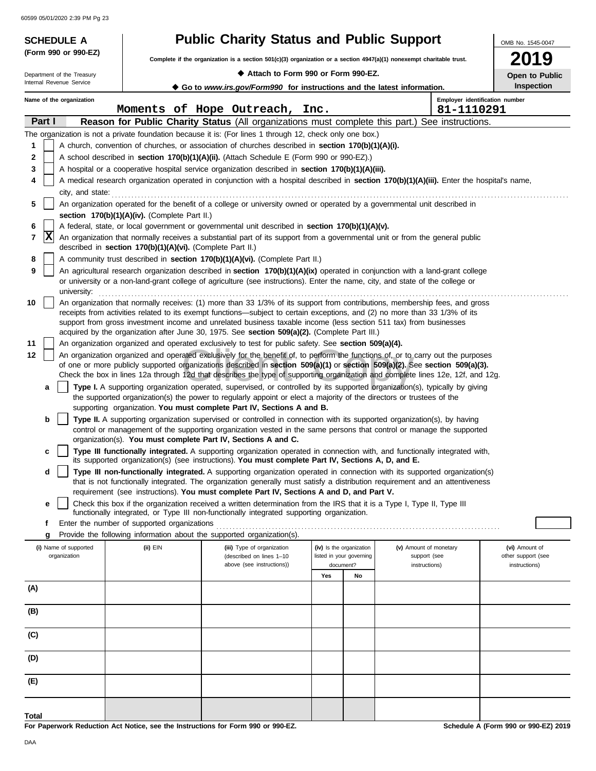Department of the Treasury

**(Form 990 or 990-EZ)**

# **SCHEDULE A Public Charity Status and Public Support**

**Complete if the organization is a section 501(c)(3) organization or a section 4947(a)(1) nonexempt charitable trust.**

u **Attach to Form 990 or Form 990-EZ.**

| 2019                         |
|------------------------------|
| Open to Public<br>Inenoction |

OMB No. 1545-0047

|       | Internal Revenue Service<br><b>Inspection</b><br>$\blacklozenge$ Go to www.irs.gov/Form990 for instructions and the latest information. |                                                                                                                                               |                                                            |                                                                                                                                                                                                                                                                                                                                                   |      |                          |                        |                                              |                    |  |
|-------|-----------------------------------------------------------------------------------------------------------------------------------------|-----------------------------------------------------------------------------------------------------------------------------------------------|------------------------------------------------------------|---------------------------------------------------------------------------------------------------------------------------------------------------------------------------------------------------------------------------------------------------------------------------------------------------------------------------------------------------|------|--------------------------|------------------------|----------------------------------------------|--------------------|--|
|       |                                                                                                                                         | Name of the organization                                                                                                                      |                                                            | Moments of Hope Outreach,                                                                                                                                                                                                                                                                                                                         | Inc. |                          |                        | Employer identification number<br>81-1110291 |                    |  |
|       | Part I                                                                                                                                  |                                                                                                                                               |                                                            | Reason for Public Charity Status (All organizations must complete this part.) See instructions.                                                                                                                                                                                                                                                   |      |                          |                        |                                              |                    |  |
|       |                                                                                                                                         |                                                                                                                                               |                                                            | The organization is not a private foundation because it is: (For lines 1 through 12, check only one box.)                                                                                                                                                                                                                                         |      |                          |                        |                                              |                    |  |
| 1     |                                                                                                                                         |                                                                                                                                               |                                                            | A church, convention of churches, or association of churches described in section 170(b)(1)(A)(i).                                                                                                                                                                                                                                                |      |                          |                        |                                              |                    |  |
| 2     |                                                                                                                                         |                                                                                                                                               |                                                            | A school described in section 170(b)(1)(A)(ii). (Attach Schedule E (Form 990 or 990-EZ).)                                                                                                                                                                                                                                                         |      |                          |                        |                                              |                    |  |
| 3     |                                                                                                                                         |                                                                                                                                               |                                                            |                                                                                                                                                                                                                                                                                                                                                   |      |                          |                        |                                              |                    |  |
| 4     |                                                                                                                                         | A hospital or a cooperative hospital service organization described in section 170(b)(1)(A)(iii).                                             |                                                            |                                                                                                                                                                                                                                                                                                                                                   |      |                          |                        |                                              |                    |  |
|       |                                                                                                                                         | A medical research organization operated in conjunction with a hospital described in section 170(b)(1)(A)(iii). Enter the hospital's name,    |                                                            |                                                                                                                                                                                                                                                                                                                                                   |      |                          |                        |                                              |                    |  |
|       |                                                                                                                                         | city, and state:<br>An organization operated for the benefit of a college or university owned or operated by a governmental unit described in |                                                            |                                                                                                                                                                                                                                                                                                                                                   |      |                          |                        |                                              |                    |  |
| 5     |                                                                                                                                         |                                                                                                                                               |                                                            |                                                                                                                                                                                                                                                                                                                                                   |      |                          |                        |                                              |                    |  |
|       |                                                                                                                                         |                                                                                                                                               | section 170(b)(1)(A)(iv). (Complete Part II.)              |                                                                                                                                                                                                                                                                                                                                                   |      |                          |                        |                                              |                    |  |
| 6     | X                                                                                                                                       |                                                                                                                                               |                                                            | A federal, state, or local government or governmental unit described in section 170(b)(1)(A)(v).                                                                                                                                                                                                                                                  |      |                          |                        |                                              |                    |  |
| 7     |                                                                                                                                         |                                                                                                                                               | described in section 170(b)(1)(A)(vi). (Complete Part II.) | An organization that normally receives a substantial part of its support from a governmental unit or from the general public                                                                                                                                                                                                                      |      |                          |                        |                                              |                    |  |
|       |                                                                                                                                         |                                                                                                                                               |                                                            | A community trust described in section 170(b)(1)(A)(vi). (Complete Part II.)                                                                                                                                                                                                                                                                      |      |                          |                        |                                              |                    |  |
| 8     |                                                                                                                                         |                                                                                                                                               |                                                            |                                                                                                                                                                                                                                                                                                                                                   |      |                          |                        |                                              |                    |  |
| 9     |                                                                                                                                         | university:                                                                                                                                   |                                                            | An agricultural research organization described in section 170(b)(1)(A)(ix) operated in conjunction with a land-grant college<br>or university or a non-land-grant college of agriculture (see instructions). Enter the name, city, and state of the college or                                                                                   |      |                          |                        |                                              |                    |  |
| 10    |                                                                                                                                         |                                                                                                                                               |                                                            | An organization that normally receives: (1) more than 33 1/3% of its support from contributions, membership fees, and gross                                                                                                                                                                                                                       |      |                          |                        |                                              |                    |  |
|       |                                                                                                                                         |                                                                                                                                               |                                                            | receipts from activities related to its exempt functions—subject to certain exceptions, and (2) no more than 33 1/3% of its<br>support from gross investment income and unrelated business taxable income (less section 511 tax) from businesses<br>acquired by the organization after June 30, 1975. See section 509(a)(2). (Complete Part III.) |      |                          |                        |                                              |                    |  |
| 11    |                                                                                                                                         |                                                                                                                                               |                                                            | An organization organized and operated exclusively to test for public safety. See section 509(a)(4).                                                                                                                                                                                                                                              |      |                          |                        |                                              |                    |  |
| 12    |                                                                                                                                         |                                                                                                                                               |                                                            | An organization organized and operated exclusively for the benefit of, to perform the functions of, or to carry out the purposes                                                                                                                                                                                                                  |      |                          |                        |                                              |                    |  |
|       |                                                                                                                                         |                                                                                                                                               |                                                            | of one or more publicly supported organizations described in section 509(a)(1) or section 509(a)(2). See section 509(a)(3).<br>Check the box in lines 12a through 12d that describes the type of supporting organization and complete lines 12e, 12f, and 12g.                                                                                    |      |                          |                        |                                              |                    |  |
|       | a                                                                                                                                       |                                                                                                                                               |                                                            | Type I. A supporting organization operated, supervised, or controlled by its supported organization(s), typically by giving                                                                                                                                                                                                                       |      |                          |                        |                                              |                    |  |
|       |                                                                                                                                         |                                                                                                                                               |                                                            | the supported organization(s) the power to regularly appoint or elect a majority of the directors or trustees of the                                                                                                                                                                                                                              |      |                          |                        |                                              |                    |  |
|       |                                                                                                                                         |                                                                                                                                               |                                                            | supporting organization. You must complete Part IV, Sections A and B.                                                                                                                                                                                                                                                                             |      |                          |                        |                                              |                    |  |
|       | b                                                                                                                                       |                                                                                                                                               |                                                            | Type II. A supporting organization supervised or controlled in connection with its supported organization(s), by having                                                                                                                                                                                                                           |      |                          |                        |                                              |                    |  |
|       |                                                                                                                                         |                                                                                                                                               |                                                            | control or management of the supporting organization vested in the same persons that control or manage the supported                                                                                                                                                                                                                              |      |                          |                        |                                              |                    |  |
|       |                                                                                                                                         |                                                                                                                                               |                                                            | organization(s). You must complete Part IV, Sections A and C.                                                                                                                                                                                                                                                                                     |      |                          |                        |                                              |                    |  |
|       | c                                                                                                                                       |                                                                                                                                               |                                                            | Type III functionally integrated. A supporting organization operated in connection with, and functionally integrated with,<br>its supported organization(s) (see instructions). You must complete Part IV, Sections A, D, and E.                                                                                                                  |      |                          |                        |                                              |                    |  |
|       | d                                                                                                                                       |                                                                                                                                               |                                                            | Type III non-functionally integrated. A supporting organization operated in connection with its supported organization(s)<br>that is not functionally integrated. The organization generally must satisfy a distribution requirement and an attentiveness                                                                                         |      |                          |                        |                                              |                    |  |
|       |                                                                                                                                         |                                                                                                                                               |                                                            | requirement (see instructions). You must complete Part IV, Sections A and D, and Part V.                                                                                                                                                                                                                                                          |      |                          |                        |                                              |                    |  |
|       | е                                                                                                                                       |                                                                                                                                               |                                                            | Check this box if the organization received a written determination from the IRS that it is a Type I, Type II, Type III<br>functionally integrated, or Type III non-functionally integrated supporting organization.                                                                                                                              |      |                          |                        |                                              |                    |  |
|       |                                                                                                                                         |                                                                                                                                               | Enter the number of supported organizations                |                                                                                                                                                                                                                                                                                                                                                   |      |                          |                        |                                              |                    |  |
|       | g                                                                                                                                       |                                                                                                                                               |                                                            | Provide the following information about the supported organization(s).                                                                                                                                                                                                                                                                            |      |                          |                        |                                              |                    |  |
|       |                                                                                                                                         | (i) Name of supported                                                                                                                         | (ii) EIN                                                   | (iii) Type of organization                                                                                                                                                                                                                                                                                                                        |      | (iv) Is the organization | (v) Amount of monetary |                                              | (vi) Amount of     |  |
|       |                                                                                                                                         | organization                                                                                                                                  |                                                            | (described on lines 1-10                                                                                                                                                                                                                                                                                                                          |      | listed in your governing | support (see           |                                              | other support (see |  |
|       |                                                                                                                                         |                                                                                                                                               |                                                            | above (see instructions))                                                                                                                                                                                                                                                                                                                         |      | document?                | instructions)          |                                              | instructions)      |  |
|       |                                                                                                                                         |                                                                                                                                               |                                                            |                                                                                                                                                                                                                                                                                                                                                   | Yes  | No                       |                        |                                              |                    |  |
| (A)   |                                                                                                                                         |                                                                                                                                               |                                                            |                                                                                                                                                                                                                                                                                                                                                   |      |                          |                        |                                              |                    |  |
| (B)   |                                                                                                                                         |                                                                                                                                               |                                                            |                                                                                                                                                                                                                                                                                                                                                   |      |                          |                        |                                              |                    |  |
| (C)   |                                                                                                                                         |                                                                                                                                               |                                                            |                                                                                                                                                                                                                                                                                                                                                   |      |                          |                        |                                              |                    |  |
| (D)   |                                                                                                                                         |                                                                                                                                               |                                                            |                                                                                                                                                                                                                                                                                                                                                   |      |                          |                        |                                              |                    |  |
| (E)   |                                                                                                                                         |                                                                                                                                               |                                                            |                                                                                                                                                                                                                                                                                                                                                   |      |                          |                        |                                              |                    |  |
|       |                                                                                                                                         |                                                                                                                                               |                                                            |                                                                                                                                                                                                                                                                                                                                                   |      |                          |                        |                                              |                    |  |
| Total |                                                                                                                                         |                                                                                                                                               |                                                            |                                                                                                                                                                                                                                                                                                                                                   |      |                          |                        |                                              |                    |  |

**For Paperwork Reduction Act Notice, see the Instructions for Form 990 or 990-EZ.**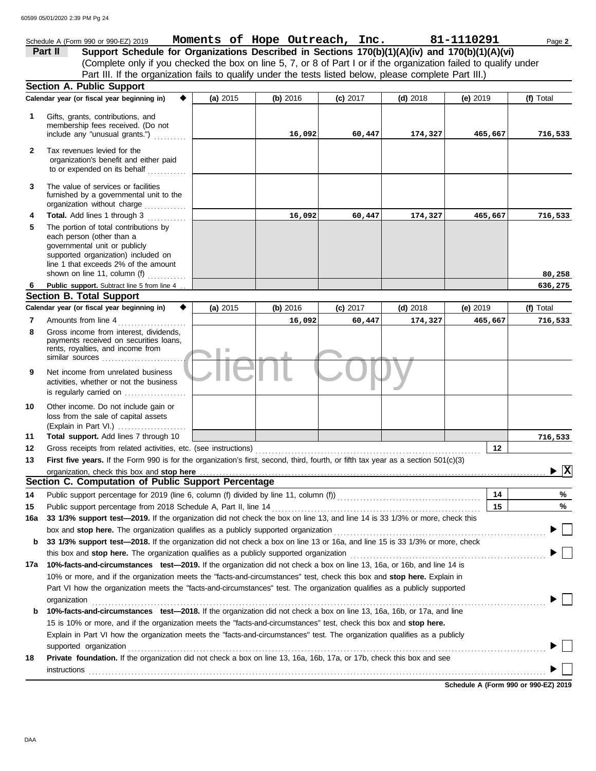|              | Schedule A (Form 990 or 990-EZ) 2019                                                                                                                                                                  |          |          | Moments of Hope Outreach, Inc. |            | 81-1110291 | Page 2                                      |  |  |
|--------------|-------------------------------------------------------------------------------------------------------------------------------------------------------------------------------------------------------|----------|----------|--------------------------------|------------|------------|---------------------------------------------|--|--|
|              | Support Schedule for Organizations Described in Sections 170(b)(1)(A)(iv) and 170(b)(1)(A)(vi)<br>Part II                                                                                             |          |          |                                |            |            |                                             |  |  |
|              | (Complete only if you checked the box on line 5, 7, or 8 of Part I or if the organization failed to qualify under                                                                                     |          |          |                                |            |            |                                             |  |  |
|              | Part III. If the organization fails to qualify under the tests listed below, please complete Part III.)                                                                                               |          |          |                                |            |            |                                             |  |  |
|              | <b>Section A. Public Support</b>                                                                                                                                                                      |          |          |                                |            |            |                                             |  |  |
|              | Calendar year (or fiscal year beginning in)                                                                                                                                                           | (a) 2015 | (b) 2016 | $(c)$ 2017                     | $(d)$ 2018 | (e) $2019$ | (f) Total                                   |  |  |
|              |                                                                                                                                                                                                       |          |          |                                |            |            |                                             |  |  |
| 1            | Gifts, grants, contributions, and<br>membership fees received. (Do not                                                                                                                                |          |          |                                |            |            |                                             |  |  |
|              | include any "unusual grants.")                                                                                                                                                                        |          | 16,092   | 60,447                         | 174,327    | 465,667    | 716,533                                     |  |  |
| $\mathbf{2}$ | Tax revenues levied for the                                                                                                                                                                           |          |          |                                |            |            |                                             |  |  |
|              | organization's benefit and either paid                                                                                                                                                                |          |          |                                |            |            |                                             |  |  |
|              | to or expended on its behalf                                                                                                                                                                          |          |          |                                |            |            |                                             |  |  |
|              | The value of services or facilities                                                                                                                                                                   |          |          |                                |            |            |                                             |  |  |
| 3            | furnished by a governmental unit to the                                                                                                                                                               |          |          |                                |            |            |                                             |  |  |
|              | organization without charge                                                                                                                                                                           |          |          |                                |            |            |                                             |  |  |
| 4            | Total. Add lines 1 through 3                                                                                                                                                                          |          | 16,092   | 60,447                         | 174,327    | 465,667    | 716,533                                     |  |  |
| 5            | The portion of total contributions by                                                                                                                                                                 |          |          |                                |            |            |                                             |  |  |
|              | each person (other than a                                                                                                                                                                             |          |          |                                |            |            |                                             |  |  |
|              | governmental unit or publicly<br>supported organization) included on                                                                                                                                  |          |          |                                |            |            |                                             |  |  |
|              | line 1 that exceeds 2% of the amount                                                                                                                                                                  |          |          |                                |            |            |                                             |  |  |
|              | shown on line 11, column (f)                                                                                                                                                                          |          |          |                                |            |            | 80,258                                      |  |  |
|              | Public support. Subtract line 5 from line 4                                                                                                                                                           |          |          |                                |            |            | 636,275                                     |  |  |
|              | <b>Section B. Total Support</b>                                                                                                                                                                       |          |          |                                |            |            |                                             |  |  |
|              | Calendar year (or fiscal year beginning in)<br>٠                                                                                                                                                      | (a) 2015 | (b) 2016 | (c) 2017                       | $(d)$ 2018 | (e) $2019$ | (f) Total                                   |  |  |
| 7            | Amounts from line 4                                                                                                                                                                                   |          | 16,092   | 60,447                         | 174,327    | 465,667    | 716,533                                     |  |  |
| 8            | Gross income from interest, dividends,                                                                                                                                                                |          |          |                                |            |            |                                             |  |  |
|              | payments received on securities loans,<br>rents, royalties, and income from                                                                                                                           |          |          |                                |            |            |                                             |  |  |
|              |                                                                                                                                                                                                       |          |          |                                |            |            |                                             |  |  |
| 9            | Net income from unrelated business                                                                                                                                                                    |          |          |                                |            |            |                                             |  |  |
|              | activities, whether or not the business                                                                                                                                                               |          |          |                                |            |            |                                             |  |  |
|              | is regularly carried on                                                                                                                                                                               |          |          |                                |            |            |                                             |  |  |
| 10           | Other income. Do not include gain or                                                                                                                                                                  |          |          |                                |            |            |                                             |  |  |
|              | loss from the sale of capital assets                                                                                                                                                                  |          |          |                                |            |            |                                             |  |  |
|              |                                                                                                                                                                                                       |          |          |                                |            |            |                                             |  |  |
| 11           | Total support. Add lines 7 through 10                                                                                                                                                                 |          |          |                                |            |            | 716,533                                     |  |  |
| 12           | Gross receipts from related activities, etc. (see instructions)<br>First five years. If the Form 990 is for the organization's first, second, third, fourth, or fifth tax year as a section 501(c)(3) |          |          |                                |            | 12         |                                             |  |  |
|              |                                                                                                                                                                                                       |          |          |                                |            |            | $\blacktriangleright \overline{\mathbf{x}}$ |  |  |
|              | Section C. Computation of Public Support Percentage                                                                                                                                                   |          |          |                                |            |            |                                             |  |  |
| 14           |                                                                                                                                                                                                       |          |          |                                |            | 14         | %                                           |  |  |
| 15           |                                                                                                                                                                                                       |          |          |                                |            | 15         | %                                           |  |  |
| 16a          | Public support percentage from 2018 Schedule A, Part II, line 14<br>33 1/3% support test-2019. If the organization did not check the box on line 13, and line 14 is 33 1/3% or more, check this       |          |          |                                |            |            |                                             |  |  |
|              | box and stop here. The organization qualifies as a publicly supported organization                                                                                                                    |          |          |                                |            |            |                                             |  |  |
| b            | 33 1/3% support test-2018. If the organization did not check a box on line 13 or 16a, and line 15 is 33 1/3% or more, check                                                                           |          |          |                                |            |            |                                             |  |  |
|              | this box and stop here. The organization qualifies as a publicly supported organization                                                                                                               |          |          |                                |            |            |                                             |  |  |
|              | 17a 10%-facts-and-circumstances test-2019. If the organization did not check a box on line 13, 16a, or 16b, and line 14 is                                                                            |          |          |                                |            |            |                                             |  |  |
|              | 10% or more, and if the organization meets the "facts-and-circumstances" test, check this box and stop here. Explain in                                                                               |          |          |                                |            |            |                                             |  |  |
|              | Part VI how the organization meets the "facts-and-circumstances" test. The organization qualifies as a publicly supported                                                                             |          |          |                                |            |            |                                             |  |  |
|              | organization www.community.com/www.community.com/www.community.com/www.community.com/www.com/www.com/www.com/w                                                                                        |          |          |                                |            |            |                                             |  |  |
| b            | 10%-facts-and-circumstances test-2018. If the organization did not check a box on line 13, 16a, 16b, or 17a, and line                                                                                 |          |          |                                |            |            |                                             |  |  |
|              | 15 is 10% or more, and if the organization meets the "facts-and-circumstances" test, check this box and stop here.                                                                                    |          |          |                                |            |            |                                             |  |  |
|              | Explain in Part VI how the organization meets the "facts-and-circumstances" test. The organization qualifies as a publicly                                                                            |          |          |                                |            |            |                                             |  |  |
|              | supported organization                                                                                                                                                                                |          |          |                                |            |            |                                             |  |  |
| 18           | Private foundation. If the organization did not check a box on line 13, 16a, 16b, 17a, or 17b, check this box and see                                                                                 |          |          |                                |            |            |                                             |  |  |
|              | instructions                                                                                                                                                                                          |          |          |                                |            |            |                                             |  |  |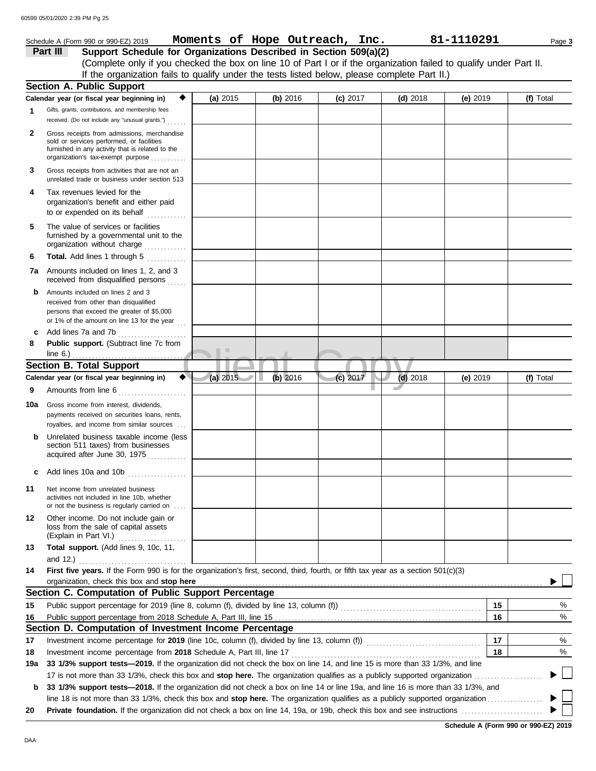|     | Schedule A (Form 990 or 990-EZ) 2019                                                                                                                                                                               |          |            | Moments of Hope Outreach, Inc. 81-1110291 |            |            | Page 3    |  |  |  |
|-----|--------------------------------------------------------------------------------------------------------------------------------------------------------------------------------------------------------------------|----------|------------|-------------------------------------------|------------|------------|-----------|--|--|--|
|     | Support Schedule for Organizations Described in Section 509(a)(2)<br>Part III                                                                                                                                      |          |            |                                           |            |            |           |  |  |  |
|     | (Complete only if you checked the box on line 10 of Part I or if the organization failed to qualify under Part II.<br>If the organization fails to qualify under the tests listed below, please complete Part II.) |          |            |                                           |            |            |           |  |  |  |
|     |                                                                                                                                                                                                                    |          |            |                                           |            |            |           |  |  |  |
|     | <b>Section A. Public Support</b>                                                                                                                                                                                   |          |            |                                           |            |            |           |  |  |  |
|     | Calendar year (or fiscal year beginning in)<br>٠                                                                                                                                                                   | (a) 2015 | (b) 2016   | $(c)$ 2017                                | $(d)$ 2018 | (e) $2019$ | (f) Total |  |  |  |
| 1   | Gifts, grants, contributions, and membership fees<br>received. (Do not include any "unusual grants.")                                                                                                              |          |            |                                           |            |            |           |  |  |  |
| 2   | Gross receipts from admissions, merchandise<br>sold or services performed, or facilities<br>furnished in any activity that is related to the<br>organization's tax-exempt purpose                                  |          |            |                                           |            |            |           |  |  |  |
| 3   | Gross receipts from activities that are not an<br>unrelated trade or business under section 513                                                                                                                    |          |            |                                           |            |            |           |  |  |  |
| 4   | Tax revenues levied for the<br>organization's benefit and either paid<br>to or expended on its behalf                                                                                                              |          |            |                                           |            |            |           |  |  |  |
| 5   | The value of services or facilities<br>furnished by a governmental unit to the<br>organization without charge                                                                                                      |          |            |                                           |            |            |           |  |  |  |
| 6   | Total. Add lines 1 through 5                                                                                                                                                                                       |          |            |                                           |            |            |           |  |  |  |
|     | <b>7a</b> Amounts included on lines 1, 2, and 3<br>received from disqualified persons                                                                                                                              |          |            |                                           |            |            |           |  |  |  |
| b   | Amounts included on lines 2 and 3<br>received from other than disqualified<br>persons that exceed the greater of \$5,000<br>or 1% of the amount on line 13 for the year                                            |          |            |                                           |            |            |           |  |  |  |
| c   |                                                                                                                                                                                                                    |          |            |                                           |            |            |           |  |  |  |
| 8   | Public support. (Subtract line 7c from                                                                                                                                                                             |          |            |                                           |            |            |           |  |  |  |
|     |                                                                                                                                                                                                                    | T.       |            |                                           |            |            |           |  |  |  |
|     | <b>Section B. Total Support</b>                                                                                                                                                                                    |          |            |                                           |            |            |           |  |  |  |
|     | Calendar year (or fiscal year beginning in)<br>$\bullet$                                                                                                                                                           | (a) 2015 | $(b)$ 2016 | $(c)$ 2017                                | $(d)$ 2018 | (e) $2019$ | (f) Total |  |  |  |
| 9   | Amounts from line 6                                                                                                                                                                                                |          |            |                                           |            |            |           |  |  |  |
| 10a | Gross income from interest, dividends,<br>payments received on securities loans, rents,<br>royalties, and income from similar sources                                                                              |          |            |                                           |            |            |           |  |  |  |
| b   | Unrelated business taxable income (less                                                                                                                                                                            |          |            |                                           |            |            |           |  |  |  |
|     | section 511 taxes) from businesses<br>acquired after June 30, 1975                                                                                                                                                 |          |            |                                           |            |            |           |  |  |  |
| c   | Add lines 10a and 10b                                                                                                                                                                                              |          |            |                                           |            |            |           |  |  |  |
| 11  | Net income from unrelated business<br>activities not included in line 10b, whether<br>or not the business is regularly carried on                                                                                  |          |            |                                           |            |            |           |  |  |  |
| 12  | Other income. Do not include gain or<br>loss from the sale of capital assets<br>(Explain in Part VI.)                                                                                                              |          |            |                                           |            |            |           |  |  |  |
| 13  | Total support. (Add lines 9, 10c, 11,                                                                                                                                                                              |          |            |                                           |            |            |           |  |  |  |
| 14  | and 12.) $\qquad \qquad$<br>First five years. If the Form 990 is for the organization's first, second, third, fourth, or fifth tax year as a section 501(c)(3)                                                     |          |            |                                           |            |            |           |  |  |  |
|     | organization, check this box and stop here                                                                                                                                                                         |          |            |                                           |            |            |           |  |  |  |
|     | Section C. Computation of Public Support Percentage                                                                                                                                                                |          |            |                                           |            |            |           |  |  |  |
| 15  |                                                                                                                                                                                                                    |          |            |                                           |            | 15         | %         |  |  |  |
| 16  |                                                                                                                                                                                                                    |          |            |                                           |            | 16         | $\%$      |  |  |  |
|     | Section D. Computation of Investment Income Percentage                                                                                                                                                             |          |            |                                           |            |            |           |  |  |  |
| 17  | Investment income percentage for 2019 (line 10c, column (f), divided by line 13, column (f))                                                                                                                       |          |            |                                           |            | 17         | %         |  |  |  |
| 18  |                                                                                                                                                                                                                    |          |            |                                           |            | 18         | %         |  |  |  |
| 19a | 33 1/3% support tests-2019. If the organization did not check the box on line 14, and line 15 is more than 33 1/3%, and line                                                                                       |          |            |                                           |            |            |           |  |  |  |
|     |                                                                                                                                                                                                                    |          |            |                                           |            |            |           |  |  |  |
| b   | 33 1/3% support tests-2018. If the organization did not check a box on line 14 or line 19a, and line 16 is more than 33 1/3%, and                                                                                  |          |            |                                           |            |            |           |  |  |  |
| 20  |                                                                                                                                                                                                                    |          |            |                                           |            |            |           |  |  |  |
|     |                                                                                                                                                                                                                    |          |            |                                           |            |            |           |  |  |  |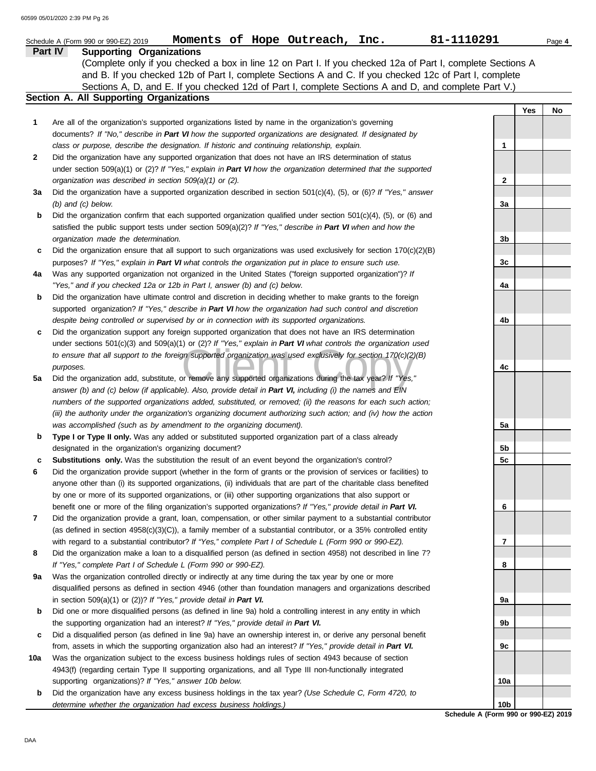|              | Moments of Hope Outreach, Inc.<br>Schedule A (Form 990 or 990-EZ) 2019                                                                                                                                                        | 81-1110291      |     | Page 4 |
|--------------|-------------------------------------------------------------------------------------------------------------------------------------------------------------------------------------------------------------------------------|-----------------|-----|--------|
|              | Part IV<br><b>Supporting Organizations</b>                                                                                                                                                                                    |                 |     |        |
|              | (Complete only if you checked a box in line 12 on Part I. If you checked 12a of Part I, complete Sections A                                                                                                                   |                 |     |        |
|              | and B. If you checked 12b of Part I, complete Sections A and C. If you checked 12c of Part I, complete                                                                                                                        |                 |     |        |
|              | Sections A, D, and E. If you checked 12d of Part I, complete Sections A and D, and complete Part V.)                                                                                                                          |                 |     |        |
|              | Section A. All Supporting Organizations                                                                                                                                                                                       |                 |     |        |
|              |                                                                                                                                                                                                                               |                 | Yes | No     |
| 1            | Are all of the organization's supported organizations listed by name in the organization's governing                                                                                                                          |                 |     |        |
|              | documents? If "No," describe in Part VI how the supported organizations are designated. If designated by                                                                                                                      |                 |     |        |
|              | class or purpose, describe the designation. If historic and continuing relationship, explain.                                                                                                                                 | 1               |     |        |
| $\mathbf{2}$ | Did the organization have any supported organization that does not have an IRS determination of status<br>under section 509(a)(1) or (2)? If "Yes," explain in Part VI how the organization determined that the supported     |                 |     |        |
|              | organization was described in section 509(a)(1) or (2).                                                                                                                                                                       | $\mathbf{2}$    |     |        |
| За           | Did the organization have a supported organization described in section $501(c)(4)$ , (5), or (6)? If "Yes," answer                                                                                                           |                 |     |        |
|              | $(b)$ and $(c)$ below.                                                                                                                                                                                                        | 3a              |     |        |
| b            | Did the organization confirm that each supported organization qualified under section $501(c)(4)$ , $(5)$ , or $(6)$ and                                                                                                      |                 |     |        |
|              | satisfied the public support tests under section 509(a)(2)? If "Yes," describe in Part VI when and how the                                                                                                                    |                 |     |        |
|              | organization made the determination.                                                                                                                                                                                          | 3b              |     |        |
| c            | Did the organization ensure that all support to such organizations was used exclusively for section $170(c)(2)(B)$                                                                                                            |                 |     |        |
|              | purposes? If "Yes," explain in Part VI what controls the organization put in place to ensure such use.                                                                                                                        | 3c              |     |        |
| 4a           | Was any supported organization not organized in the United States ("foreign supported organization")? If                                                                                                                      |                 |     |        |
|              | "Yes," and if you checked 12a or 12b in Part I, answer (b) and (c) below.                                                                                                                                                     | 4a              |     |        |
| b            | Did the organization have ultimate control and discretion in deciding whether to make grants to the foreign                                                                                                                   |                 |     |        |
|              | supported organization? If "Yes," describe in Part VI how the organization had such control and discretion                                                                                                                    |                 |     |        |
|              | despite being controlled or supervised by or in connection with its supported organizations.                                                                                                                                  | 4b              |     |        |
| c            | Did the organization support any foreign supported organization that does not have an IRS determination                                                                                                                       |                 |     |        |
|              | under sections $501(c)(3)$ and $509(a)(1)$ or $(2)?$ If "Yes," explain in Part VI what controls the organization used                                                                                                         |                 |     |        |
|              | to ensure that all support to the foreign supported organization was used exclusively for section 170(c)(2)(B)                                                                                                                |                 |     |        |
| 5a           | purposes.<br>Did the organization add, substitute, or remove any supported organizations during the tax year? If "Yes,"                                                                                                       | 4c              |     |        |
|              | answer (b) and (c) below (if applicable). Also, provide detail in Part VI, including (i) the names and EIN                                                                                                                    |                 |     |        |
|              | numbers of the supported organizations added, substituted, or removed; (ii) the reasons for each such action;                                                                                                                 |                 |     |        |
|              | (iii) the authority under the organization's organizing document authorizing such action; and (iv) how the action                                                                                                             |                 |     |        |
|              | was accomplished (such as by amendment to the organizing document).                                                                                                                                                           | 5a              |     |        |
| b            | Type I or Type II only. Was any added or substituted supported organization part of a class already                                                                                                                           |                 |     |        |
|              | designated in the organization's organizing document?                                                                                                                                                                         | 5b              |     |        |
|              | Substitutions only. Was the substitution the result of an event beyond the organization's control?                                                                                                                            | 5c              |     |        |
| 6            | Did the organization provide support (whether in the form of grants or the provision of services or facilities) to                                                                                                            |                 |     |        |
|              | anyone other than (i) its supported organizations, (ii) individuals that are part of the charitable class benefited                                                                                                           |                 |     |        |
|              | by one or more of its supported organizations, or (iii) other supporting organizations that also support or                                                                                                                   |                 |     |        |
|              | benefit one or more of the filing organization's supported organizations? If "Yes," provide detail in Part VI.                                                                                                                | 6               |     |        |
| 7            | Did the organization provide a grant, loan, compensation, or other similar payment to a substantial contributor                                                                                                               |                 |     |        |
|              | (as defined in section $4958(c)(3)(C)$ ), a family member of a substantial contributor, or a 35% controlled entity<br>with regard to a substantial contributor? If "Yes," complete Part I of Schedule L (Form 990 or 990-EZ). | 7               |     |        |
| 8            | Did the organization make a loan to a disqualified person (as defined in section 4958) not described in line 7?                                                                                                               |                 |     |        |
|              | If "Yes," complete Part I of Schedule L (Form 990 or 990-EZ).                                                                                                                                                                 | 8               |     |        |
| 9а           | Was the organization controlled directly or indirectly at any time during the tax year by one or more                                                                                                                         |                 |     |        |
|              | disqualified persons as defined in section 4946 (other than foundation managers and organizations described                                                                                                                   |                 |     |        |
|              | in section 509(a)(1) or (2))? If "Yes," provide detail in Part VI.                                                                                                                                                            | 9а              |     |        |
| b            | Did one or more disqualified persons (as defined in line 9a) hold a controlling interest in any entity in which                                                                                                               |                 |     |        |
|              | the supporting organization had an interest? If "Yes," provide detail in Part VI.                                                                                                                                             | 9b              |     |        |
| c            | Did a disqualified person (as defined in line 9a) have an ownership interest in, or derive any personal benefit                                                                                                               |                 |     |        |
|              | from, assets in which the supporting organization also had an interest? If "Yes," provide detail in Part VI.                                                                                                                  | 9c              |     |        |
| 10a          | Was the organization subject to the excess business holdings rules of section 4943 because of section                                                                                                                         |                 |     |        |
|              | 4943(f) (regarding certain Type II supporting organizations, and all Type III non-functionally integrated                                                                                                                     |                 |     |        |
|              | supporting organizations)? If "Yes," answer 10b below.                                                                                                                                                                        | 10a             |     |        |
| b            | Did the organization have any excess business holdings in the tax year? (Use Schedule C, Form 4720, to<br>determine whether the organization had excess business holdings.)                                                   | 10 <sub>b</sub> |     |        |
|              |                                                                                                                                                                                                                               |                 |     |        |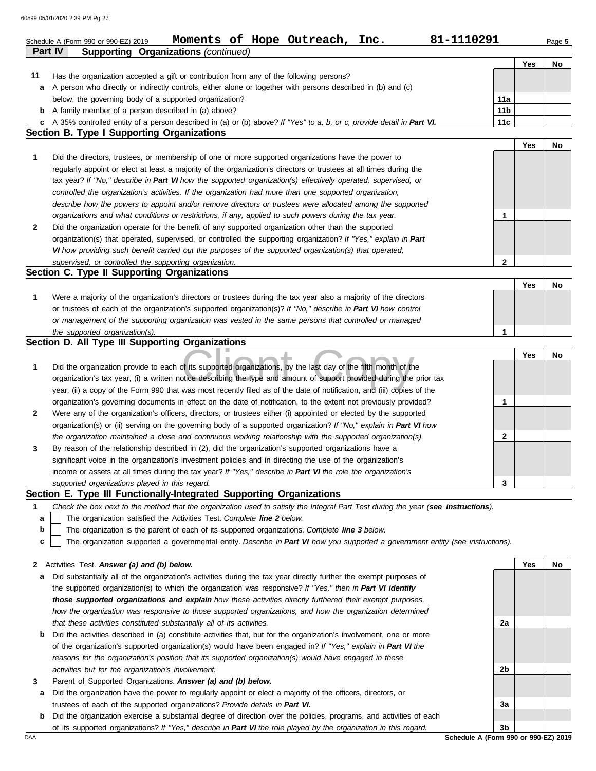|              | 81-1110291<br>Moments of Hope Outreach, Inc.<br>Schedule A (Form 990 or 990-EZ) 2019                                                                                       |                 |     | Page 5 |
|--------------|----------------------------------------------------------------------------------------------------------------------------------------------------------------------------|-----------------|-----|--------|
|              | Part IV<br><b>Supporting Organizations (continued)</b>                                                                                                                     |                 |     |        |
|              |                                                                                                                                                                            |                 | Yes | No     |
| 11           | Has the organization accepted a gift or contribution from any of the following persons?                                                                                    |                 |     |        |
| a            | A person who directly or indirectly controls, either alone or together with persons described in (b) and (c)                                                               |                 |     |        |
|              | below, the governing body of a supported organization?                                                                                                                     | 11a             |     |        |
|              | <b>b</b> A family member of a person described in (a) above?                                                                                                               | 11 <sub>b</sub> |     |        |
| c            | A 35% controlled entity of a person described in (a) or (b) above? If "Yes" to a, b, or c, provide detail in Part VI.<br><b>Section B. Type I Supporting Organizations</b> | 11c             |     |        |
|              |                                                                                                                                                                            |                 | Yes | No     |
| 1            | Did the directors, trustees, or membership of one or more supported organizations have the power to                                                                        |                 |     |        |
|              | regularly appoint or elect at least a majority of the organization's directors or trustees at all times during the                                                         |                 |     |        |
|              | tax year? If "No," describe in Part VI how the supported organization(s) effectively operated, supervised, or                                                              |                 |     |        |
|              | controlled the organization's activities. If the organization had more than one supported organization,                                                                    |                 |     |        |
|              | describe how the powers to appoint and/or remove directors or trustees were allocated among the supported                                                                  |                 |     |        |
|              | organizations and what conditions or restrictions, if any, applied to such powers during the tax year.                                                                     | 1               |     |        |
| 2            | Did the organization operate for the benefit of any supported organization other than the supported                                                                        |                 |     |        |
|              | organization(s) that operated, supervised, or controlled the supporting organization? If "Yes," explain in Part                                                            |                 |     |        |
|              | VI how providing such benefit carried out the purposes of the supported organization(s) that operated,                                                                     |                 |     |        |
|              | supervised, or controlled the supporting organization.                                                                                                                     | $\mathbf 2$     |     |        |
|              | Section C. Type II Supporting Organizations                                                                                                                                |                 |     |        |
|              |                                                                                                                                                                            |                 | Yes | No     |
| 1            | Were a majority of the organization's directors or trustees during the tax year also a majority of the directors                                                           |                 |     |        |
|              | or trustees of each of the organization's supported organization(s)? If "No," describe in Part VI how control                                                              |                 |     |        |
|              | or management of the supporting organization was vested in the same persons that controlled or managed                                                                     |                 |     |        |
|              | the supported organization(s).<br>Section D. All Type III Supporting Organizations                                                                                         | 1               |     |        |
|              |                                                                                                                                                                            |                 | Yes | No     |
| 1            | Did the organization provide to each of its supported organizations, by the last day of the fifth month of the                                                             |                 |     |        |
|              | organization's tax year, (i) a written notice describing the type and amount of support provided during the prior tax                                                      |                 |     |        |
|              | year, (ii) a copy of the Form 990 that was most recently filed as of the date of notification, and (iii) copies of the                                                     |                 |     |        |
|              | organization's governing documents in effect on the date of notification, to the extent not previously provided?                                                           | 1               |     |        |
| 2            | Were any of the organization's officers, directors, or trustees either (i) appointed or elected by the supported                                                           |                 |     |        |
|              | organization(s) or (ii) serving on the governing body of a supported organization? If "No," explain in Part VI how                                                         |                 |     |        |
|              | the organization maintained a close and continuous working relationship with the supported organization(s).                                                                | $\mathbf 2$     |     |        |
| 3            | By reason of the relationship described in (2), did the organization's supported organizations have a                                                                      |                 |     |        |
|              | significant voice in the organization's investment policies and in directing the use of the organization's                                                                 |                 |     |        |
|              | income or assets at all times during the tax year? If "Yes," describe in Part VI the role the organization's                                                               |                 |     |        |
|              | supported organizations played in this regard.                                                                                                                             | 3               |     |        |
|              | Section E. Type III Functionally-Integrated Supporting Organizations                                                                                                       |                 |     |        |
| 1            | Check the box next to the method that the organization used to satisfy the Integral Part Test during the year (see instructions).                                          |                 |     |        |
| a            | The organization satisfied the Activities Test. Complete line 2 below.                                                                                                     |                 |     |        |
| b            | The organization is the parent of each of its supported organizations. Complete line 3 below.                                                                              |                 |     |        |
| с            | The organization supported a governmental entity. Describe in Part VI how you supported a government entity (see instructions).                                            |                 |     |        |
|              |                                                                                                                                                                            |                 |     |        |
| $\mathbf{z}$ | Activities Test. Answer (a) and (b) below.<br>Did substantially all of the organization's activities during the tax year directly further the exempt purposes of           |                 | Yes | No     |
| а            | the supported organization(s) to which the organization was responsive? If "Yes," then in Part VI identify                                                                 |                 |     |        |
|              | those supported organizations and explain how these activities directly furthered their exempt purposes,                                                                   |                 |     |        |
|              | how the organization was responsive to those supported organizations, and how the organization determined                                                                  |                 |     |        |
|              | that these activities constituted substantially all of its activities.                                                                                                     | 2a              |     |        |
| b            | Did the activities described in (a) constitute activities that, but for the organization's involvement, one or more                                                        |                 |     |        |
|              | of the organization's supported organization(s) would have been engaged in? If "Yes," explain in Part VI the                                                               |                 |     |        |
|              | reasons for the organization's position that its supported organization(s) would have engaged in these                                                                     |                 |     |        |
|              | activities but for the organization's involvement.                                                                                                                         | 2b              |     |        |
| 3            | Parent of Supported Organizations. Answer (a) and (b) below.                                                                                                               |                 |     |        |
| а            | Did the organization have the power to regularly appoint or elect a majority of the officers, directors, or                                                                |                 |     |        |
|              | trustees of each of the supported organizations? Provide details in Part VI.                                                                                               | За              |     |        |
| b            | Did the organization exercise a substantial degree of direction over the policies, programs, and activities of each                                                        |                 |     |        |

of its supported organizations? *If "Yes," describe in Part VI the role played by the organization in this regard.*

DAA **Schedule A (Form 990 or 990-EZ) 2019 3b**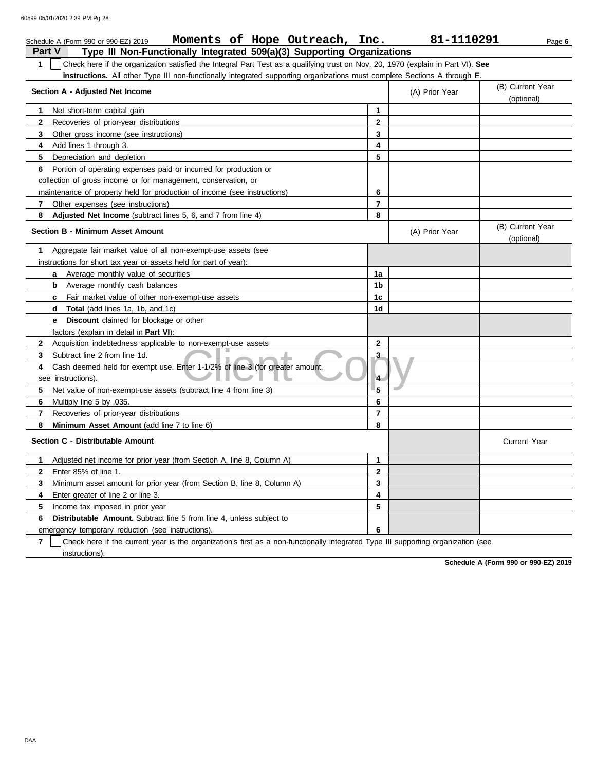| Moments of Hope Outreach, Inc.<br>Schedule A (Form 990 or 990-EZ) 2019                                                                           |                         | 81-1110291     | Page 6                         |
|--------------------------------------------------------------------------------------------------------------------------------------------------|-------------------------|----------------|--------------------------------|
| <b>Part V</b><br>Type III Non-Functionally Integrated 509(a)(3) Supporting Organizations                                                         |                         |                |                                |
| $\mathbf{1}$<br>Check here if the organization satisfied the Integral Part Test as a qualifying trust on Nov. 20, 1970 (explain in Part VI). See |                         |                |                                |
| instructions. All other Type III non-functionally integrated supporting organizations must complete Sections A through E.                        |                         |                |                                |
| Section A - Adjusted Net Income                                                                                                                  |                         | (A) Prior Year | (B) Current Year<br>(optional) |
| Net short-term capital gain<br>1                                                                                                                 | $\mathbf{1}$            |                |                                |
| $\mathbf{2}$<br>Recoveries of prior-year distributions                                                                                           | $\mathbf{2}$            |                |                                |
| Other gross income (see instructions)<br>3                                                                                                       | 3                       |                |                                |
| Add lines 1 through 3.<br>4                                                                                                                      | 4                       |                |                                |
| 5<br>Depreciation and depletion                                                                                                                  | 5                       |                |                                |
| Portion of operating expenses paid or incurred for production or<br>6                                                                            |                         |                |                                |
| collection of gross income or for management, conservation, or                                                                                   |                         |                |                                |
| maintenance of property held for production of income (see instructions)                                                                         | 6                       |                |                                |
| 7<br>Other expenses (see instructions)                                                                                                           | $\overline{7}$          |                |                                |
| 8<br><b>Adjusted Net Income</b> (subtract lines 5, 6, and 7 from line 4)                                                                         | 8                       |                |                                |
| <b>Section B - Minimum Asset Amount</b>                                                                                                          |                         | (A) Prior Year | (B) Current Year<br>(optional) |
| Aggregate fair market value of all non-exempt-use assets (see<br>1                                                                               |                         |                |                                |
| instructions for short tax year or assets held for part of year):                                                                                |                         |                |                                |
| <b>a</b> Average monthly value of securities                                                                                                     | 1a                      |                |                                |
| b<br>Average monthly cash balances                                                                                                               | 1b                      |                |                                |
| Fair market value of other non-exempt-use assets<br>c.                                                                                           | 1c                      |                |                                |
| Total (add lines 1a, 1b, and 1c)<br>d                                                                                                            | 1d                      |                |                                |
| <b>Discount</b> claimed for blockage or other<br>е                                                                                               |                         |                |                                |
| factors (explain in detail in Part VI):                                                                                                          |                         |                |                                |
| $\mathbf{2}$<br>Acquisition indebtedness applicable to non-exempt-use assets                                                                     | $\mathbf{2}$            |                |                                |
| 3<br>Subtract line 2 from line 1d.                                                                                                               | $\overline{\mathbf{3}}$ |                |                                |
| Cash deemed held for exempt use. Enter 1-1/2% of line 3 (for greater amount,<br>4<br>see instructions).                                          | 4                       |                |                                |
| 5<br>Net value of non-exempt-use assets (subtract line 4 from line 3)                                                                            | 5                       |                |                                |
| Multiply line 5 by .035.<br>6                                                                                                                    | 6                       |                |                                |
| $\overline{7}$<br>Recoveries of prior-year distributions                                                                                         | $\overline{7}$          |                |                                |
| 8<br>Minimum Asset Amount (add line 7 to line 6)                                                                                                 | 8                       |                |                                |
| Section C - Distributable Amount                                                                                                                 |                         |                | <b>Current Year</b>            |
| Adjusted net income for prior year (from Section A, line 8, Column A)<br>1                                                                       | 1                       |                |                                |
| $\mathbf{2}$<br>Enter 85% of line 1.                                                                                                             | 2                       |                |                                |
| Minimum asset amount for prior year (from Section B, line 8, Column A)<br>3                                                                      | 3                       |                |                                |
| Enter greater of line 2 or line 3.<br>4                                                                                                          | 4                       |                |                                |
| 5<br>Income tax imposed in prior year                                                                                                            | 5                       |                |                                |
| <b>Distributable Amount.</b> Subtract line 5 from line 4, unless subject to<br>6                                                                 |                         |                |                                |
| emergency temporary reduction (see instructions).                                                                                                | 6                       |                |                                |

 $\overline{7}$ instructions). Check here if the current year is the organization's first as a non-functionally integrated Type III supporting organization (see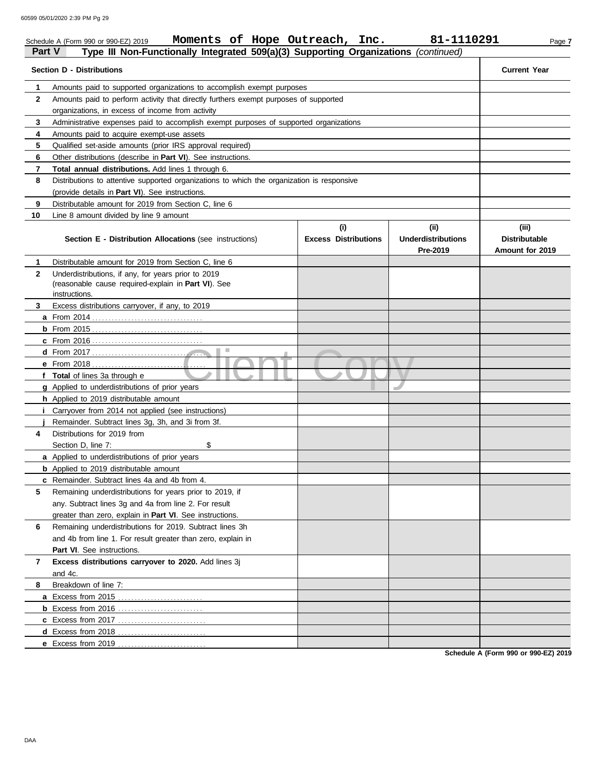|               | Moments of Hope Outreach, Inc.<br>Schedule A (Form 990 or 990-EZ) 2019                                            |                                    | 81-1110291                                    | Page 7                                           |  |  |  |  |  |  |  |
|---------------|-------------------------------------------------------------------------------------------------------------------|------------------------------------|-----------------------------------------------|--------------------------------------------------|--|--|--|--|--|--|--|
| <b>Part V</b> | Type III Non-Functionally Integrated 509(a)(3) Supporting Organizations (continued)                               |                                    |                                               |                                                  |  |  |  |  |  |  |  |
|               | <b>Current Year</b><br><b>Section D - Distributions</b>                                                           |                                    |                                               |                                                  |  |  |  |  |  |  |  |
| 1             | Amounts paid to supported organizations to accomplish exempt purposes                                             |                                    |                                               |                                                  |  |  |  |  |  |  |  |
| $\mathbf{2}$  | Amounts paid to perform activity that directly furthers exempt purposes of supported                              |                                    |                                               |                                                  |  |  |  |  |  |  |  |
|               | organizations, in excess of income from activity                                                                  |                                    |                                               |                                                  |  |  |  |  |  |  |  |
| 3             | Administrative expenses paid to accomplish exempt purposes of supported organizations                             |                                    |                                               |                                                  |  |  |  |  |  |  |  |
| 4             | Amounts paid to acquire exempt-use assets                                                                         |                                    |                                               |                                                  |  |  |  |  |  |  |  |
| 5             | Qualified set-aside amounts (prior IRS approval required)                                                         |                                    |                                               |                                                  |  |  |  |  |  |  |  |
| 6             | Other distributions (describe in Part VI). See instructions.                                                      |                                    |                                               |                                                  |  |  |  |  |  |  |  |
| 7             | Total annual distributions. Add lines 1 through 6.                                                                |                                    |                                               |                                                  |  |  |  |  |  |  |  |
| 8             | Distributions to attentive supported organizations to which the organization is responsive                        |                                    |                                               |                                                  |  |  |  |  |  |  |  |
|               | (provide details in Part VI). See instructions.                                                                   |                                    |                                               |                                                  |  |  |  |  |  |  |  |
| 9             | Distributable amount for 2019 from Section C, line 6                                                              |                                    |                                               |                                                  |  |  |  |  |  |  |  |
| 10            | Line 8 amount divided by line 9 amount                                                                            |                                    |                                               |                                                  |  |  |  |  |  |  |  |
|               | Section E - Distribution Allocations (see instructions)                                                           | (i)<br><b>Excess Distributions</b> | (ii)<br><b>Underdistributions</b><br>Pre-2019 | (iii)<br><b>Distributable</b><br>Amount for 2019 |  |  |  |  |  |  |  |
| 1             | Distributable amount for 2019 from Section C, line 6                                                              |                                    |                                               |                                                  |  |  |  |  |  |  |  |
| $\mathbf{2}$  | Underdistributions, if any, for years prior to 2019                                                               |                                    |                                               |                                                  |  |  |  |  |  |  |  |
|               | (reasonable cause required-explain in Part VI). See                                                               |                                    |                                               |                                                  |  |  |  |  |  |  |  |
|               | instructions.                                                                                                     |                                    |                                               |                                                  |  |  |  |  |  |  |  |
| 3             | Excess distributions carryover, if any, to 2019                                                                   |                                    |                                               |                                                  |  |  |  |  |  |  |  |
|               |                                                                                                                   |                                    |                                               |                                                  |  |  |  |  |  |  |  |
|               |                                                                                                                   |                                    |                                               |                                                  |  |  |  |  |  |  |  |
|               | ш                                                                                                                 |                                    |                                               |                                                  |  |  |  |  |  |  |  |
|               |                                                                                                                   |                                    |                                               |                                                  |  |  |  |  |  |  |  |
|               |                                                                                                                   |                                    |                                               |                                                  |  |  |  |  |  |  |  |
|               | f Total of lines 3a through e                                                                                     |                                    |                                               |                                                  |  |  |  |  |  |  |  |
|               | <b>g</b> Applied to underdistributions of prior years                                                             |                                    |                                               |                                                  |  |  |  |  |  |  |  |
|               | <b>h</b> Applied to 2019 distributable amount                                                                     |                                    |                                               |                                                  |  |  |  |  |  |  |  |
|               | Carryover from 2014 not applied (see instructions)                                                                |                                    |                                               |                                                  |  |  |  |  |  |  |  |
|               | Remainder. Subtract lines 3g, 3h, and 3i from 3f.                                                                 |                                    |                                               |                                                  |  |  |  |  |  |  |  |
| 4             | Distributions for 2019 from                                                                                       |                                    |                                               |                                                  |  |  |  |  |  |  |  |
|               | \$<br>Section D, line 7:                                                                                          |                                    |                                               |                                                  |  |  |  |  |  |  |  |
|               | <b>a</b> Applied to underdistributions of prior years                                                             |                                    |                                               |                                                  |  |  |  |  |  |  |  |
|               | <b>b</b> Applied to 2019 distributable amount<br>c Remainder. Subtract lines 4a and 4b from 4.                    |                                    |                                               |                                                  |  |  |  |  |  |  |  |
| 5             |                                                                                                                   |                                    |                                               |                                                  |  |  |  |  |  |  |  |
|               | Remaining underdistributions for years prior to 2019, if<br>any. Subtract lines 3g and 4a from line 2. For result |                                    |                                               |                                                  |  |  |  |  |  |  |  |
|               | greater than zero, explain in Part VI. See instructions.                                                          |                                    |                                               |                                                  |  |  |  |  |  |  |  |
| 6             | Remaining underdistributions for 2019. Subtract lines 3h                                                          |                                    |                                               |                                                  |  |  |  |  |  |  |  |
|               |                                                                                                                   |                                    |                                               |                                                  |  |  |  |  |  |  |  |
|               | and 4b from line 1. For result greater than zero, explain in                                                      |                                    |                                               |                                                  |  |  |  |  |  |  |  |
|               | Part VI. See instructions.                                                                                        |                                    |                                               |                                                  |  |  |  |  |  |  |  |
| 7             | Excess distributions carryover to 2020. Add lines 3j                                                              |                                    |                                               |                                                  |  |  |  |  |  |  |  |
| 8             | and 4c.<br>Breakdown of line 7:                                                                                   |                                    |                                               |                                                  |  |  |  |  |  |  |  |
|               | a Excess from 2015                                                                                                |                                    |                                               |                                                  |  |  |  |  |  |  |  |
|               | <b>b</b> Excess from 2016                                                                                         |                                    |                                               |                                                  |  |  |  |  |  |  |  |
|               | c Excess from 2017                                                                                                |                                    |                                               |                                                  |  |  |  |  |  |  |  |
|               | d Excess from 2018                                                                                                |                                    |                                               |                                                  |  |  |  |  |  |  |  |
|               | e Excess from 2019                                                                                                |                                    |                                               |                                                  |  |  |  |  |  |  |  |
|               |                                                                                                                   |                                    |                                               |                                                  |  |  |  |  |  |  |  |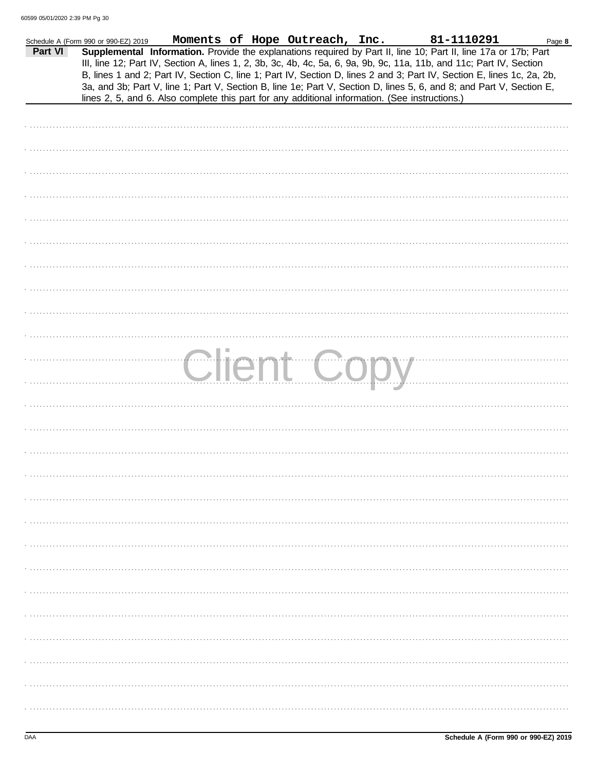| Part VI | Schedule A (Form 990 or 990-EZ) 2019<br>lines 2, 5, and 6. Also complete this part for any additional information. (See instructions.) |  | Moments of Hope Outreach, Inc. | 81-1110291<br>Supplemental Information. Provide the explanations required by Part II, line 10; Part II, line 17a or 17b; Part<br>III, line 12; Part IV, Section A, lines 1, 2, 3b, 3c, 4b, 4c, 5a, 6, 9a, 9b, 9c, 11a, 11b, and 11c; Part IV, Section<br>B, lines 1 and 2; Part IV, Section C, line 1; Part IV, Section D, lines 2 and 3; Part IV, Section E, lines 1c, 2a, 2b,<br>3a, and 3b; Part V, line 1; Part V, Section B, line 1e; Part V, Section D, lines 5, 6, and 8; and Part V, Section E, | Page 8 |
|---------|----------------------------------------------------------------------------------------------------------------------------------------|--|--------------------------------|---------------------------------------------------------------------------------------------------------------------------------------------------------------------------------------------------------------------------------------------------------------------------------------------------------------------------------------------------------------------------------------------------------------------------------------------------------------------------------------------------------|--------|
|         |                                                                                                                                        |  |                                |                                                                                                                                                                                                                                                                                                                                                                                                                                                                                                         |        |
|         |                                                                                                                                        |  |                                |                                                                                                                                                                                                                                                                                                                                                                                                                                                                                                         |        |
|         |                                                                                                                                        |  |                                |                                                                                                                                                                                                                                                                                                                                                                                                                                                                                                         |        |
|         |                                                                                                                                        |  |                                |                                                                                                                                                                                                                                                                                                                                                                                                                                                                                                         |        |
|         |                                                                                                                                        |  |                                |                                                                                                                                                                                                                                                                                                                                                                                                                                                                                                         |        |
|         |                                                                                                                                        |  |                                |                                                                                                                                                                                                                                                                                                                                                                                                                                                                                                         |        |
|         |                                                                                                                                        |  |                                |                                                                                                                                                                                                                                                                                                                                                                                                                                                                                                         |        |
|         |                                                                                                                                        |  |                                |                                                                                                                                                                                                                                                                                                                                                                                                                                                                                                         |        |
|         |                                                                                                                                        |  |                                |                                                                                                                                                                                                                                                                                                                                                                                                                                                                                                         |        |
|         |                                                                                                                                        |  |                                |                                                                                                                                                                                                                                                                                                                                                                                                                                                                                                         |        |
|         |                                                                                                                                        |  |                                |                                                                                                                                                                                                                                                                                                                                                                                                                                                                                                         |        |
|         |                                                                                                                                        |  |                                |                                                                                                                                                                                                                                                                                                                                                                                                                                                                                                         |        |
|         |                                                                                                                                        |  |                                |                                                                                                                                                                                                                                                                                                                                                                                                                                                                                                         |        |
|         |                                                                                                                                        |  |                                |                                                                                                                                                                                                                                                                                                                                                                                                                                                                                                         |        |
|         |                                                                                                                                        |  |                                |                                                                                                                                                                                                                                                                                                                                                                                                                                                                                                         |        |
|         |                                                                                                                                        |  | <b>Client Copy</b>             |                                                                                                                                                                                                                                                                                                                                                                                                                                                                                                         |        |
|         |                                                                                                                                        |  |                                |                                                                                                                                                                                                                                                                                                                                                                                                                                                                                                         |        |
|         |                                                                                                                                        |  |                                |                                                                                                                                                                                                                                                                                                                                                                                                                                                                                                         |        |
|         |                                                                                                                                        |  |                                |                                                                                                                                                                                                                                                                                                                                                                                                                                                                                                         |        |
|         |                                                                                                                                        |  |                                |                                                                                                                                                                                                                                                                                                                                                                                                                                                                                                         |        |
|         |                                                                                                                                        |  |                                |                                                                                                                                                                                                                                                                                                                                                                                                                                                                                                         |        |
|         |                                                                                                                                        |  |                                |                                                                                                                                                                                                                                                                                                                                                                                                                                                                                                         |        |
|         |                                                                                                                                        |  |                                |                                                                                                                                                                                                                                                                                                                                                                                                                                                                                                         |        |
|         |                                                                                                                                        |  |                                |                                                                                                                                                                                                                                                                                                                                                                                                                                                                                                         |        |
|         |                                                                                                                                        |  |                                |                                                                                                                                                                                                                                                                                                                                                                                                                                                                                                         |        |
|         |                                                                                                                                        |  |                                |                                                                                                                                                                                                                                                                                                                                                                                                                                                                                                         |        |
|         |                                                                                                                                        |  |                                |                                                                                                                                                                                                                                                                                                                                                                                                                                                                                                         |        |
|         |                                                                                                                                        |  |                                |                                                                                                                                                                                                                                                                                                                                                                                                                                                                                                         |        |
|         |                                                                                                                                        |  |                                |                                                                                                                                                                                                                                                                                                                                                                                                                                                                                                         |        |
|         |                                                                                                                                        |  |                                |                                                                                                                                                                                                                                                                                                                                                                                                                                                                                                         |        |
|         |                                                                                                                                        |  |                                |                                                                                                                                                                                                                                                                                                                                                                                                                                                                                                         |        |
|         |                                                                                                                                        |  |                                |                                                                                                                                                                                                                                                                                                                                                                                                                                                                                                         |        |
|         |                                                                                                                                        |  |                                |                                                                                                                                                                                                                                                                                                                                                                                                                                                                                                         |        |
|         |                                                                                                                                        |  |                                |                                                                                                                                                                                                                                                                                                                                                                                                                                                                                                         |        |
|         |                                                                                                                                        |  |                                |                                                                                                                                                                                                                                                                                                                                                                                                                                                                                                         |        |
|         |                                                                                                                                        |  |                                |                                                                                                                                                                                                                                                                                                                                                                                                                                                                                                         |        |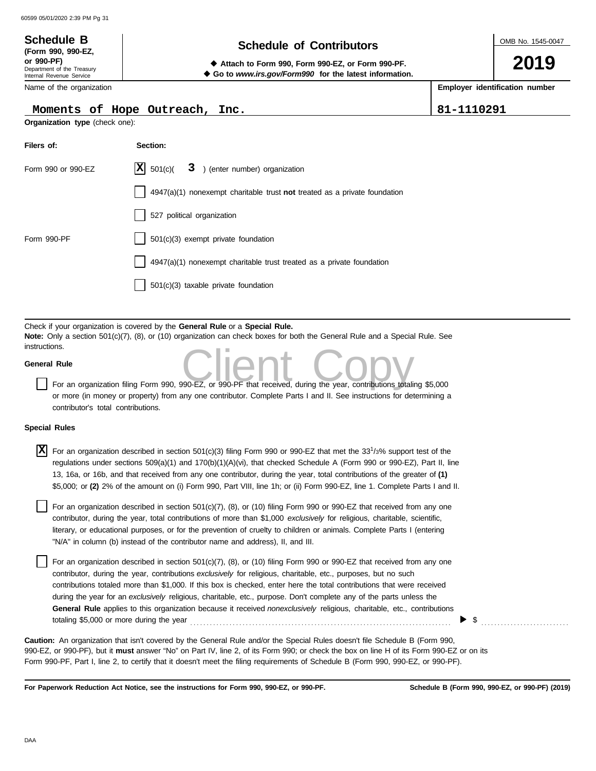| <b>Schedule B</b><br>(Form 990, 990-EZ,                              | <b>Schedule of Contributors</b> |            | OMB No. 1545-0047              |
|----------------------------------------------------------------------|---------------------------------|------------|--------------------------------|
| or 990-PF)<br>Department of the Treasury<br>Internal Revenue Service | 2019                            |            |                                |
| Name of the organization                                             |                                 |            | Employer identification number |
|                                                                      | Moments of Hope Outreach, Inc.  | 81-1110291 |                                |

**Organ** 

**Filers of: Section:**

|  |                                  | _______ |  |  |
|--|----------------------------------|---------|--|--|
|  | <b>ization type</b> (check one): |         |  |  |
|  |                                  |         |  |  |

| Form 990 or 990-EZ | $ \mathbf{X} $ 501(c)(<br>3 ) (enter number) organization                 |
|--------------------|---------------------------------------------------------------------------|
|                    | 4947(a)(1) nonexempt charitable trust not treated as a private foundation |
|                    | 527 political organization                                                |
| Form 990-PF        | 501(c)(3) exempt private foundation                                       |
|                    | 4947(a)(1) nonexempt charitable trust treated as a private foundation     |
|                    | $501(c)(3)$ taxable private foundation                                    |

Check if your organization is covered by the **General Rule** or a **Special Rule. Note:** Only a section 501(c)(7), (8), or (10) organization can check boxes for both the General Rule and a Special Rule. See instructions.

#### **General Rule**

Por an organization filing Form 990, 990-EZ, or 990-PF that received, during the year, contributions totaling \$5,000 or more (in money or property) from any one contributor. Complete Parts I and II. See instructions for determining a contributor's total contributions.

#### **Special Rules**

| ΙXΙ | For an organization described in section 501(c)(3) filing Form 990 or 990-EZ that met the 33 <sup>1</sup> /3% support test of the<br>regulations under sections 509(a)(1) and 170(b)(1)(A)(vi), that checked Schedule A (Form 990 or 990-EZ), Part II, line<br>13, 16a, or 16b, and that received from any one contributor, during the year, total contributions of the greater of (1)<br>\$5,000; or (2) 2% of the amount on (i) Form 990, Part VIII, line 1h; or (ii) Form 990-EZ, line 1. Complete Parts I and II.                                                                                                                                           |  |
|-----|-----------------------------------------------------------------------------------------------------------------------------------------------------------------------------------------------------------------------------------------------------------------------------------------------------------------------------------------------------------------------------------------------------------------------------------------------------------------------------------------------------------------------------------------------------------------------------------------------------------------------------------------------------------------|--|
|     | For an organization described in section 501(c)(7), (8), or (10) filing Form 990 or 990-EZ that received from any one<br>contributor, during the year, total contributions of more than \$1,000 exclusively for religious, charitable, scientific,<br>literary, or educational purposes, or for the prevention of cruelty to children or animals. Complete Parts I (entering<br>"N/A" in column (b) instead of the contributor name and address), II, and III.                                                                                                                                                                                                  |  |
|     | For an organization described in section 501(c)(7), (8), or (10) filing Form 990 or 990-EZ that received from any one<br>contributor, during the year, contributions exclusively for religious, charitable, etc., purposes, but no such<br>contributions totaled more than \$1,000. If this box is checked, enter here the total contributions that were received<br>during the year for an exclusively religious, charitable, etc., purpose. Don't complete any of the parts unless the<br>General Rule applies to this organization because it received nonexclusively religious, charitable, etc., contributions<br>totaling \$5,000 or more during the year |  |

990-EZ, or 990-PF), but it **must** answer "No" on Part IV, line 2, of its Form 990; or check the box on line H of its Form 990-EZ or on its Form 990-PF, Part I, line 2, to certify that it doesn't meet the filing requirements of Schedule B (Form 990, 990-EZ, or 990-PF). **Caution:** An organization that isn't covered by the General Rule and/or the Special Rules doesn't file Schedule B (Form 990,

**For Paperwork Reduction Act Notice, see the instructions for Form 990, 990-EZ, or 990-PF.**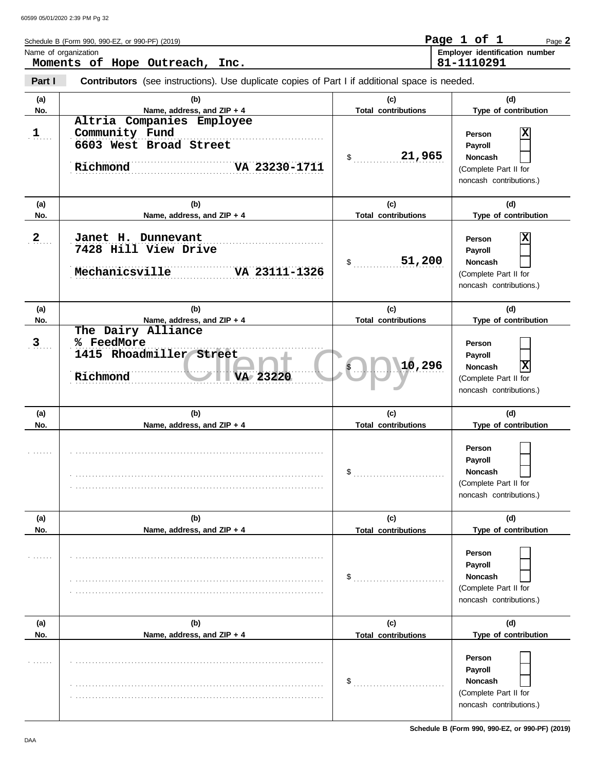|                         | Schedule B (Form 990, 990-EZ, or 990-PF) (2019)                                                       |                                   | Page 1 of 1<br>Page 2                                                                           |
|-------------------------|-------------------------------------------------------------------------------------------------------|-----------------------------------|-------------------------------------------------------------------------------------------------|
| Name of organization    | Moments of Hope Outreach, Inc.                                                                        |                                   | Employer identification number<br>81-1110291                                                    |
| Part I                  | <b>Contributors</b> (see instructions). Use duplicate copies of Part I if additional space is needed. |                                   |                                                                                                 |
| (a)<br>No.              | (b)<br>Name, address, and ZIP + 4                                                                     | (c)<br><b>Total contributions</b> | (d)<br>Type of contribution                                                                     |
| $\mathbf{1}$            | Altria Companies Employee<br>Community Fund<br>6603 West Broad Street<br>Richmond<br>VA 23230-1711    | 21,965<br>$\frac{1}{2}$           | X<br>Person<br>Payroll<br>Noncash<br>(Complete Part II for<br>noncash contributions.)           |
| (a)<br>No.              | (b)<br>Name, address, and ZIP + 4                                                                     | (c)<br><b>Total contributions</b> | (d)<br>Type of contribution                                                                     |
| $\mathbf{2}$            | Janet H. Dunnevant<br>7428 Hill View Drive<br>Mechanicsville<br>VA 23111-1326                         | 51,200<br>$\mathsf S$             | х<br>Person<br>Payroll<br><b>Noncash</b><br>(Complete Part II for<br>noncash contributions.)    |
| (a)<br>No.              | (b)<br>Name, address, and ZIP + 4                                                                     | (c)<br><b>Total contributions</b> | (d)<br>Type of contribution                                                                     |
| $\overline{\mathbf{3}}$ | The Dairy Alliance<br>% FeedMore<br>1415 Rhoadmiller Street<br>Richmond<br>VA 23220                   | 10,296                            | Person<br>Payroll<br>$\mathbf x$<br>Noncash<br>(Complete Part II for<br>noncash contributions.) |
| (a)<br>No.              | (b)<br>Name, address, and ZIP + 4                                                                     | (c)<br><b>Total contributions</b> | (d)<br>Type of contribution                                                                     |
|                         |                                                                                                       | ደ                                 | Person<br>Payroll<br>Noncash<br>(Complete Part II for<br>noncash contributions.)                |
| (a)<br>No.              | (b)<br>Name, address, and ZIP + 4                                                                     | (c)<br><b>Total contributions</b> | (d)<br>Type of contribution                                                                     |
|                         |                                                                                                       | \$                                | Person<br>Payroll<br>Noncash<br>(Complete Part II for<br>noncash contributions.)                |
| (a)<br>No.              | (b)<br>Name, address, and ZIP + 4                                                                     | (c)<br><b>Total contributions</b> | (d)<br>Type of contribution                                                                     |
|                         |                                                                                                       | \$                                | Person<br>Payroll<br>Noncash<br>(Complete Part II for                                           |

**Schedule B (Form 990, 990-EZ, or 990-PF) (2019)**

noncash contributions.)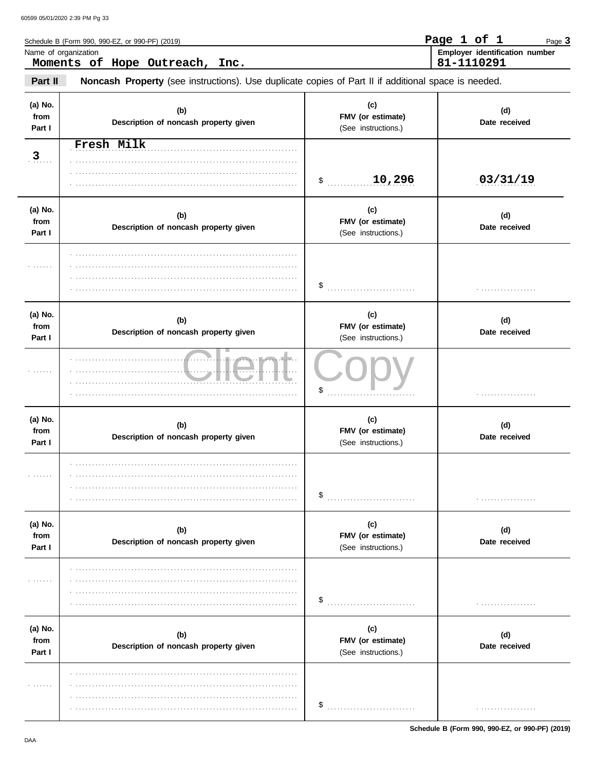| Name of organization      | Schedule B (Form 990, 990-EZ, or 990-PF) (2019)<br>Moments of Hope Outreach, Inc.                   |                                                 | Page 1 of 1<br>Page 3<br>Employer identification number<br>81-1110291 |
|---------------------------|-----------------------------------------------------------------------------------------------------|-------------------------------------------------|-----------------------------------------------------------------------|
| Part II                   | Noncash Property (see instructions). Use duplicate copies of Part II if additional space is needed. |                                                 |                                                                       |
| (a) No.<br>from<br>Part I | (b)<br>Description of noncash property given                                                        | (c)<br>FMV (or estimate)<br>(See instructions.) | (d)<br>Date received                                                  |
| $3$                       | Fresh Milk                                                                                          | 10,296<br>\$                                    | 03/31/19                                                              |
| (a) No.<br>from<br>Part I | (b)<br>Description of noncash property given                                                        | (c)<br>FMV (or estimate)<br>(See instructions.) | (d)<br>Date received                                                  |
|                           |                                                                                                     | \$                                              | .                                                                     |
| (a) No.<br>from<br>Part I | (b)<br>Description of noncash property given                                                        | (c)<br>FMV (or estimate)<br>(See instructions.) | (d)<br>Date received                                                  |
|                           | 1.1.1.1                                                                                             | \$                                              | .                                                                     |
| (a) No.<br>from<br>Part I | (b)<br>Description of noncash property given                                                        | (c)<br>FMV (or estimate)<br>(See instructions.) | (d)<br>Date received                                                  |
| .                         |                                                                                                     | \$                                              | .                                                                     |
| (a) No.<br>from<br>Part I | (b)<br>Description of noncash property given                                                        | (c)<br>FMV (or estimate)<br>(See instructions.) | (d)<br>Date received                                                  |
| 1.1.1.1.1.1               |                                                                                                     | \$                                              |                                                                       |
| (a) No.<br>from<br>Part I | (b)<br>Description of noncash property given                                                        | (c)<br>FMV (or estimate)<br>(See instructions.) | (d)<br>Date received                                                  |
| .                         |                                                                                                     | \$                                              | .                                                                     |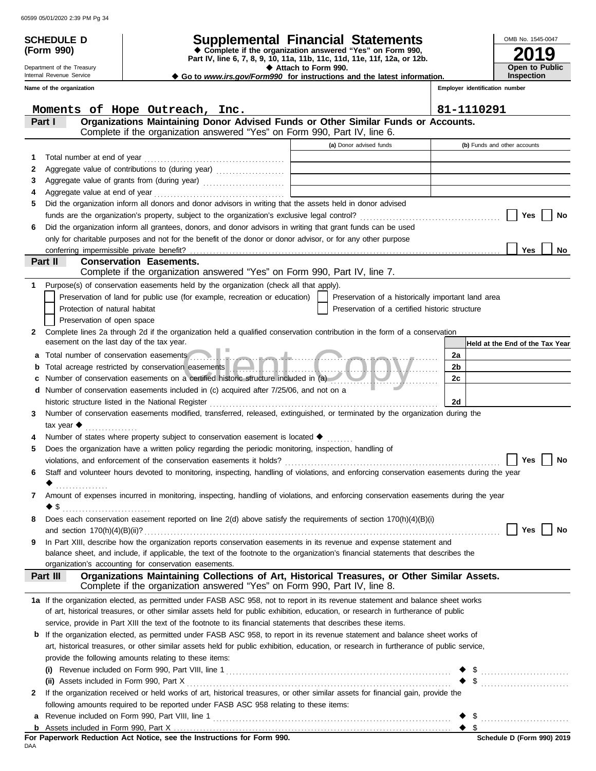**(Form 990)**

Department of the Treasury Internal Revenue Service **Name of the organization**

## **SCHEDULE D Supplemental Financial Statements**

**Part IV, line 6, 7, 8, 9, 10, 11a, 11b, 11c, 11d, 11e, 11f, 12a, or 12b.** ◆ Complete if the organization answered "Yes" on Form 990,

◆ Attach to Form 990.

| OMB No. 1545-0047 |
|-------------------|
| 2019              |
| Open to Public    |
| Inspection        |

**Employer identification number** ◆ Go to *www.irs.gov/Form990* for instructions and the latest information.

|   | Moments of Hope Outreach, Inc.                                                                                                                                           |                                                                                                                                         | 81-1110291                      |
|---|--------------------------------------------------------------------------------------------------------------------------------------------------------------------------|-----------------------------------------------------------------------------------------------------------------------------------------|---------------------------------|
|   | Organizations Maintaining Donor Advised Funds or Other Similar Funds or Accounts.<br>Part I<br>Complete if the organization answered "Yes" on Form 990, Part IV, line 6. |                                                                                                                                         |                                 |
|   |                                                                                                                                                                          | (a) Donor advised funds                                                                                                                 | (b) Funds and other accounts    |
| 1 | Total number at end of year                                                                                                                                              | $\mathcal{L}^{\mathcal{L}}$ and $\mathcal{L}^{\mathcal{L}}$ are the set of the set of the set of the set of $\mathcal{L}^{\mathcal{L}}$ |                                 |
| 2 | Aggregate value of contributions to (during year)                                                                                                                        | <u> 1980 - Johann Barbara, martin a</u>                                                                                                 |                                 |
| 3 |                                                                                                                                                                          |                                                                                                                                         |                                 |
| 4 |                                                                                                                                                                          | the control of the control of the control of the control of the control of                                                              |                                 |
| 5 | Did the organization inform all donors and donor advisors in writing that the assets held in donor advised                                                               |                                                                                                                                         |                                 |
|   |                                                                                                                                                                          |                                                                                                                                         | Yes<br>No                       |
| 6 | Did the organization inform all grantees, donors, and donor advisors in writing that grant funds can be used                                                             |                                                                                                                                         |                                 |
|   | only for charitable purposes and not for the benefit of the donor or donor advisor, or for any other purpose                                                             |                                                                                                                                         |                                 |
|   |                                                                                                                                                                          |                                                                                                                                         | <b>Yes</b><br>No                |
|   | Part II<br><b>Conservation Easements.</b>                                                                                                                                |                                                                                                                                         |                                 |
|   | Complete if the organization answered "Yes" on Form 990, Part IV, line 7.                                                                                                |                                                                                                                                         |                                 |
| 1 | Purpose(s) of conservation easements held by the organization (check all that apply).                                                                                    |                                                                                                                                         |                                 |
|   | Preservation of land for public use (for example, recreation or education)                                                                                               | Preservation of a historically important land area                                                                                      |                                 |
|   | Protection of natural habitat                                                                                                                                            | Preservation of a certified historic structure                                                                                          |                                 |
|   | Preservation of open space                                                                                                                                               |                                                                                                                                         |                                 |
| 2 | Complete lines 2a through 2d if the organization held a qualified conservation contribution in the form of a conservation                                                |                                                                                                                                         |                                 |
|   | easement on the last day of the tax year.                                                                                                                                |                                                                                                                                         | Held at the End of the Tax Year |
|   | a Total number of conservation easements                                                                                                                                 | <u> 1980 - Jan Barnach (f. 1980)</u>                                                                                                    | 2a                              |
| b |                                                                                                                                                                          |                                                                                                                                         | 2b                              |
| с | Number of conservation easements on a certified historic structure included in (a)                                                                                       |                                                                                                                                         | 2c                              |
| d | Number of conservation easements included in (c) acquired after 7/25/06, and not on a                                                                                    |                                                                                                                                         |                                 |
|   | historic structure listed in the National Register                                                                                                                       |                                                                                                                                         | 2d                              |
| 3 | Number of conservation easements modified, transferred, released, extinguished, or terminated by the organization during the                                             |                                                                                                                                         |                                 |
|   | tax year $\blacklozenge$                                                                                                                                                 |                                                                                                                                         |                                 |
| 4 | Number of states where property subject to conservation easement is located $\blacklozenge$                                                                              |                                                                                                                                         |                                 |
| 5 | Does the organization have a written policy regarding the periodic monitoring, inspection, handling of                                                                   |                                                                                                                                         |                                 |
|   | violations, and enforcement of the conservation easements it holds?                                                                                                      |                                                                                                                                         | Yes<br>No                       |
| 6 | Staff and volunteer hours devoted to monitoring, inspecting, handling of violations, and enforcing conservation easements during the year                                |                                                                                                                                         |                                 |
|   |                                                                                                                                                                          |                                                                                                                                         |                                 |
| 7 | Amount of expenses incurred in monitoring, inspecting, handling of violations, and enforcing conservation easements during the year                                      |                                                                                                                                         |                                 |
|   | $\bullet$ S                                                                                                                                                              |                                                                                                                                         |                                 |
| 8 | Does each conservation easement reported on line 2(d) above satisfy the requirements of section 170(h)(4)(B)(i)                                                          |                                                                                                                                         |                                 |
|   |                                                                                                                                                                          |                                                                                                                                         |                                 |
|   | In Part XIII, describe how the organization reports conservation easements in its revenue and expense statement and                                                      |                                                                                                                                         |                                 |
|   | balance sheet, and include, if applicable, the text of the footnote to the organization's financial statements that describes the                                        |                                                                                                                                         |                                 |
|   | organization's accounting for conservation easements.                                                                                                                    |                                                                                                                                         |                                 |
|   | Organizations Maintaining Collections of Art, Historical Treasures, or Other Similar Assets.<br>Part III                                                                 |                                                                                                                                         |                                 |
|   | Complete if the organization answered "Yes" on Form 990, Part IV, line 8.                                                                                                |                                                                                                                                         |                                 |
|   | 1a If the organization elected, as permitted under FASB ASC 958, not to report in its revenue statement and balance sheet works                                          |                                                                                                                                         |                                 |
|   | of art, historical treasures, or other similar assets held for public exhibition, education, or research in furtherance of public                                        |                                                                                                                                         |                                 |
|   | service, provide in Part XIII the text of the footnote to its financial statements that describes these items.                                                           |                                                                                                                                         |                                 |
|   | <b>b</b> If the organization elected, as permitted under FASB ASC 958, to report in its revenue statement and balance sheet works of                                     |                                                                                                                                         |                                 |
|   | art, historical treasures, or other similar assets held for public exhibition, education, or research in furtherance of public service,                                  |                                                                                                                                         |                                 |
|   | provide the following amounts relating to these items:                                                                                                                   |                                                                                                                                         |                                 |
|   |                                                                                                                                                                          |                                                                                                                                         |                                 |
|   |                                                                                                                                                                          |                                                                                                                                         |                                 |
| 2 | If the organization received or held works of art, historical treasures, or other similar assets for financial gain, provide the                                         |                                                                                                                                         |                                 |
|   | following amounts required to be reported under FASB ASC 958 relating to these items:                                                                                    |                                                                                                                                         |                                 |
| a |                                                                                                                                                                          |                                                                                                                                         |                                 |
|   |                                                                                                                                                                          |                                                                                                                                         | - \$                            |

DAA **For Paperwork Reduction Act Notice, see the Instructions for Form 990.**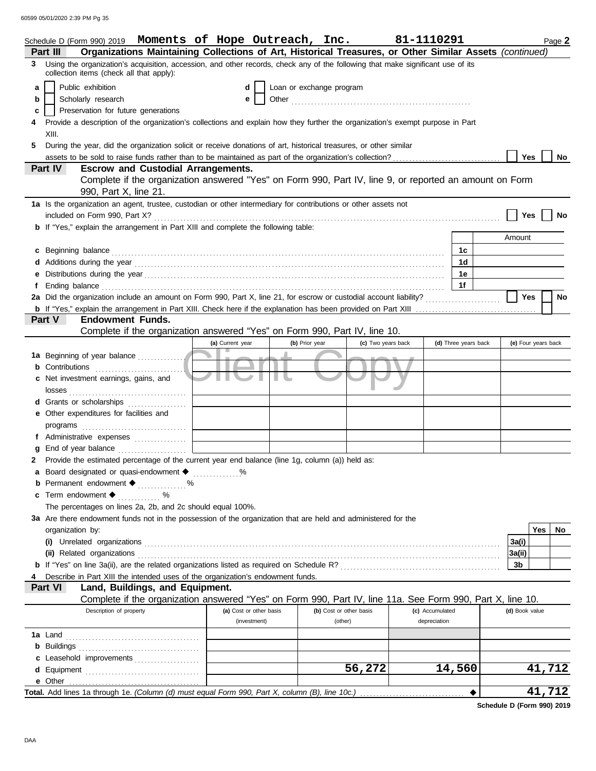|    | Schedule D (Form 990) 2019 Moments of Hope Outreach, Inc.                                                                                                                                                                            |                  |                         |                          |                         |                    | 81-1110291      |                      | Page 2              |
|----|--------------------------------------------------------------------------------------------------------------------------------------------------------------------------------------------------------------------------------------|------------------|-------------------------|--------------------------|-------------------------|--------------------|-----------------|----------------------|---------------------|
|    | Organizations Maintaining Collections of Art, Historical Treasures, or Other Similar Assets (continued)<br>Part III                                                                                                                  |                  |                         |                          |                         |                    |                 |                      |                     |
| 3  | Using the organization's acquisition, accession, and other records, check any of the following that make significant use of its<br>collection items (check all that apply):                                                          |                  |                         |                          |                         |                    |                 |                      |                     |
| a  | Public exhibition                                                                                                                                                                                                                    | d                |                         | Loan or exchange program |                         |                    |                 |                      |                     |
| b  | Scholarly research                                                                                                                                                                                                                   | е                |                         |                          |                         |                    |                 |                      |                     |
| c  | Preservation for future generations                                                                                                                                                                                                  |                  |                         |                          |                         |                    |                 |                      |                     |
|    | Provide a description of the organization's collections and explain how they further the organization's exempt purpose in Part                                                                                                       |                  |                         |                          |                         |                    |                 |                      |                     |
|    | XIII.                                                                                                                                                                                                                                |                  |                         |                          |                         |                    |                 |                      |                     |
| 5. | During the year, did the organization solicit or receive donations of art, historical treasures, or other similar                                                                                                                    |                  |                         |                          |                         |                    |                 |                      |                     |
|    |                                                                                                                                                                                                                                      |                  |                         |                          |                         |                    |                 |                      | <b>Yes</b><br>No.   |
|    | Part IV<br><b>Escrow and Custodial Arrangements.</b>                                                                                                                                                                                 |                  |                         |                          |                         |                    |                 |                      |                     |
|    | Complete if the organization answered "Yes" on Form 990, Part IV, line 9, or reported an amount on Form<br>990, Part X, line 21.                                                                                                     |                  |                         |                          |                         |                    |                 |                      |                     |
|    | 1a Is the organization an agent, trustee, custodian or other intermediary for contributions or other assets not                                                                                                                      |                  |                         |                          |                         |                    |                 |                      |                     |
|    |                                                                                                                                                                                                                                      |                  |                         |                          |                         |                    |                 |                      | Yes<br>No           |
|    | <b>b</b> If "Yes," explain the arrangement in Part XIII and complete the following table:                                                                                                                                            |                  |                         |                          |                         |                    |                 |                      |                     |
|    |                                                                                                                                                                                                                                      |                  |                         |                          |                         |                    |                 |                      | Amount              |
|    | c Beginning balance <b>contract the contract of the contract of the contract of the contract of the contract of the contract of the contract of the contract of the contract of the contract of the contract of the contract of </b> |                  |                         |                          |                         |                    |                 | 1c                   |                     |
|    |                                                                                                                                                                                                                                      |                  |                         |                          |                         |                    |                 | 1d                   |                     |
|    |                                                                                                                                                                                                                                      |                  |                         |                          |                         |                    |                 | 1е                   |                     |
|    | Ending balance <i>communical contract contract contract contract contract contract contract contract contract contract contract contract contract contract contract contract contract contract contract contract contract contra</i> |                  |                         |                          |                         |                    |                 | 1f                   |                     |
|    |                                                                                                                                                                                                                                      |                  |                         |                          |                         |                    |                 |                      | <b>Yes</b><br>No    |
|    |                                                                                                                                                                                                                                      |                  |                         |                          |                         |                    |                 |                      |                     |
|    | <b>Endowment Funds.</b><br>Part V                                                                                                                                                                                                    |                  |                         |                          |                         |                    |                 |                      |                     |
|    | Complete if the organization answered "Yes" on Form 990, Part IV, line 10.                                                                                                                                                           |                  |                         |                          |                         |                    |                 |                      |                     |
|    |                                                                                                                                                                                                                                      | (a) Current year |                         | (b) Prior year           |                         | (c) Two years back |                 | (d) Three years back | (e) Four years back |
|    | 1a Beginning of year balance                                                                                                                                                                                                         |                  |                         |                          |                         |                    |                 |                      |                     |
|    |                                                                                                                                                                                                                                      |                  |                         |                          |                         |                    |                 |                      |                     |
| c  | Net investment earnings, gains, and                                                                                                                                                                                                  |                  |                         |                          |                         |                    |                 |                      |                     |
|    |                                                                                                                                                                                                                                      |                  |                         |                          |                         |                    |                 |                      |                     |
|    | Grants or scholarships                                                                                                                                                                                                               |                  |                         |                          |                         |                    |                 |                      |                     |
| е  | Other expenditures for facilities and                                                                                                                                                                                                |                  |                         |                          |                         |                    |                 |                      |                     |
|    | programs                                                                                                                                                                                                                             |                  |                         |                          |                         |                    |                 |                      |                     |
|    | f Administrative expenses                                                                                                                                                                                                            |                  |                         |                          |                         |                    |                 |                      |                     |
|    |                                                                                                                                                                                                                                      |                  |                         |                          |                         |                    |                 |                      |                     |
|    | 2 Provide the estimated percentage of the current year end balance (line 1g, column (a)) held as:                                                                                                                                    |                  |                         |                          |                         |                    |                 |                      |                     |
|    | a Board designated or quasi-endowment $\blacklozenge$                                                                                                                                                                                | $\sim$           |                         |                          |                         |                    |                 |                      |                     |
|    | <b>b</b> Permanent endowment $\bullet$ %                                                                                                                                                                                             |                  |                         |                          |                         |                    |                 |                      |                     |
|    | Term endowment ◆<br>. %                                                                                                                                                                                                              |                  |                         |                          |                         |                    |                 |                      |                     |
|    | The percentages on lines 2a, 2b, and 2c should equal 100%.                                                                                                                                                                           |                  |                         |                          |                         |                    |                 |                      |                     |
|    | 3a Are there endowment funds not in the possession of the organization that are held and administered for the                                                                                                                        |                  |                         |                          |                         |                    |                 |                      |                     |
|    | organization by:                                                                                                                                                                                                                     |                  |                         |                          |                         |                    |                 |                      | Yes<br>No           |
|    |                                                                                                                                                                                                                                      |                  |                         |                          |                         |                    |                 |                      | 3a(i)               |
|    | (ii) Related organizations                                                                                                                                                                                                           |                  |                         |                          |                         |                    |                 |                      | 3a(ii)              |
|    |                                                                                                                                                                                                                                      |                  |                         |                          |                         |                    |                 |                      | 3b                  |
|    | Describe in Part XIII the intended uses of the organization's endowment funds.                                                                                                                                                       |                  |                         |                          |                         |                    |                 |                      |                     |
|    | Part VI<br>Land, Buildings, and Equipment.                                                                                                                                                                                           |                  |                         |                          |                         |                    |                 |                      |                     |
|    | Complete if the organization answered "Yes" on Form 990, Part IV, line 11a. See Form 990, Part X, line 10.                                                                                                                           |                  |                         |                          |                         |                    |                 |                      |                     |
|    | Description of property                                                                                                                                                                                                              |                  | (a) Cost or other basis |                          | (b) Cost or other basis |                    | (c) Accumulated |                      | (d) Book value      |
|    |                                                                                                                                                                                                                                      |                  | (investment)            |                          | (other)                 |                    | depreciation    |                      |                     |
|    | 1a Land                                                                                                                                                                                                                              |                  |                         |                          |                         |                    |                 |                      |                     |
|    | <b>b</b> Buildings                                                                                                                                                                                                                   |                  |                         |                          |                         |                    |                 |                      |                     |
|    | c Leasehold improvements                                                                                                                                                                                                             |                  |                         |                          |                         |                    |                 |                      |                     |
|    |                                                                                                                                                                                                                                      |                  |                         |                          |                         | 56,272             |                 | 14,560               | 41,712              |
|    |                                                                                                                                                                                                                                      |                  |                         |                          |                         |                    |                 |                      |                     |
|    |                                                                                                                                                                                                                                      |                  |                         |                          |                         |                    |                 |                      | 41,712              |

**Schedule D (Form 990) 2019**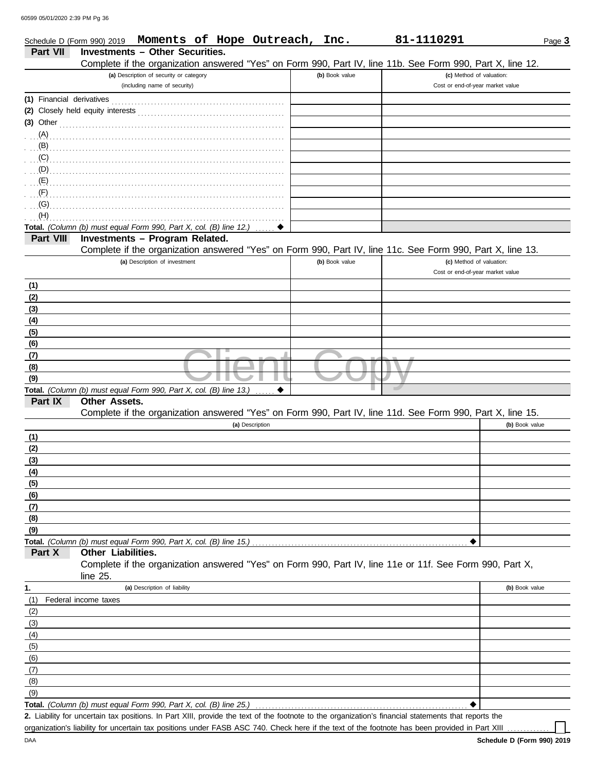|                           | Schedule D (Form 990) 2019 Moments of Hope Outreach, Inc.          |                                         |                 |                | 81-1110291                                                                                                 | Page 3         |
|---------------------------|--------------------------------------------------------------------|-----------------------------------------|-----------------|----------------|------------------------------------------------------------------------------------------------------------|----------------|
| <b>Part VII</b>           | <b>Investments - Other Securities.</b>                             |                                         |                 |                |                                                                                                            |                |
|                           |                                                                    |                                         |                 |                | Complete if the organization answered "Yes" on Form 990, Part IV, line 11b. See Form 990, Part X, line 12. |                |
|                           |                                                                    | (a) Description of security or category |                 | (b) Book value | (c) Method of valuation:                                                                                   |                |
|                           |                                                                    | (including name of security)            |                 |                | Cost or end-of-year market value                                                                           |                |
| (1) Financial derivatives |                                                                    |                                         |                 |                |                                                                                                            |                |
|                           |                                                                    |                                         |                 |                |                                                                                                            |                |
|                           | $(3)$ Other                                                        |                                         |                 |                |                                                                                                            |                |
|                           |                                                                    |                                         |                 |                |                                                                                                            |                |
| $(B)$ .                   |                                                                    |                                         |                 |                |                                                                                                            |                |
|                           |                                                                    |                                         |                 |                |                                                                                                            |                |
|                           |                                                                    |                                         |                 |                |                                                                                                            |                |
|                           |                                                                    |                                         |                 |                |                                                                                                            |                |
| $(F)$ .                   |                                                                    |                                         |                 |                |                                                                                                            |                |
| (G)                       |                                                                    |                                         |                 |                |                                                                                                            |                |
| (H)                       |                                                                    |                                         |                 |                |                                                                                                            |                |
|                           | Total. (Column (b) must equal Form 990, Part X, col. (B) line 12.) |                                         |                 |                |                                                                                                            |                |
| Part VIII                 | Investments - Program Related.                                     |                                         |                 |                |                                                                                                            |                |
|                           |                                                                    |                                         |                 |                | Complete if the organization answered "Yes" on Form 990, Part IV, line 11c. See Form 990, Part X, line 13. |                |
|                           |                                                                    | (a) Description of investment           |                 | (b) Book value | (c) Method of valuation:                                                                                   |                |
|                           |                                                                    |                                         |                 |                | Cost or end-of-year market value                                                                           |                |
| (1)                       |                                                                    |                                         |                 |                |                                                                                                            |                |
| (2)                       |                                                                    |                                         |                 |                |                                                                                                            |                |
| (3)                       |                                                                    |                                         |                 |                |                                                                                                            |                |
| (4)                       |                                                                    |                                         |                 |                |                                                                                                            |                |
| (5)                       |                                                                    |                                         |                 |                |                                                                                                            |                |
| (6)                       |                                                                    |                                         |                 |                |                                                                                                            |                |
| (7)                       |                                                                    |                                         |                 |                |                                                                                                            |                |
| (8)                       |                                                                    |                                         |                 |                |                                                                                                            |                |
| (9)                       |                                                                    |                                         |                 |                |                                                                                                            |                |
|                           | Total. (Column (b) must equal Form 990, Part X, col. (B) line 13.) |                                         |                 |                | m.                                                                                                         |                |
| Part IX                   | Other Assets.                                                      |                                         |                 |                |                                                                                                            |                |
|                           |                                                                    |                                         |                 |                | Complete if the organization answered "Yes" on Form 990, Part IV, line 11d. See Form 990, Part X, line 15. |                |
|                           |                                                                    |                                         | (a) Description |                |                                                                                                            | (b) Book value |
| (1)                       |                                                                    |                                         |                 |                |                                                                                                            |                |
| (2)                       |                                                                    |                                         |                 |                |                                                                                                            |                |
| (3)                       |                                                                    |                                         |                 |                |                                                                                                            |                |
| (4)                       |                                                                    |                                         |                 |                |                                                                                                            |                |
| (5)                       |                                                                    |                                         |                 |                |                                                                                                            |                |
| (6)                       |                                                                    |                                         |                 |                |                                                                                                            |                |
| (7)                       |                                                                    |                                         |                 |                |                                                                                                            |                |
| (8)                       |                                                                    |                                         |                 |                |                                                                                                            |                |
| (9)                       |                                                                    |                                         |                 |                |                                                                                                            |                |
|                           | Total. (Column (b) must equal Form 990, Part X, col. (B) line 15.) |                                         |                 |                |                                                                                                            |                |
| Part X                    | Other Liabilities.                                                 |                                         |                 |                |                                                                                                            |                |
|                           |                                                                    |                                         |                 |                | Complete if the organization answered "Yes" on Form 990, Part IV, line 11e or 11f. See Form 990, Part X,   |                |
|                           | line 25.                                                           |                                         |                 |                |                                                                                                            |                |
| 1.                        |                                                                    | (a) Description of liability            |                 |                |                                                                                                            | (b) Book value |
| (1)                       | Federal income taxes                                               |                                         |                 |                |                                                                                                            |                |
| (2)                       |                                                                    |                                         |                 |                |                                                                                                            |                |
| (3)                       |                                                                    |                                         |                 |                |                                                                                                            |                |
| (4)                       |                                                                    |                                         |                 |                |                                                                                                            |                |
| (5)                       |                                                                    |                                         |                 |                |                                                                                                            |                |
| (6)                       |                                                                    |                                         |                 |                |                                                                                                            |                |
| (7)                       |                                                                    |                                         |                 |                |                                                                                                            |                |
| (8)                       |                                                                    |                                         |                 |                |                                                                                                            |                |
| (9)                       |                                                                    |                                         |                 |                |                                                                                                            |                |
|                           | Total. (Column (b) must equal Form 990, Part X, col. (B) line 25.) |                                         |                 |                |                                                                                                            |                |

Liability for uncertain tax positions. In Part XIII, provide the text of the footnote to the organization's financial statements that reports the **2.** organization's liability for uncertain tax positions under FASB ASC 740. Check here if the text of the footnote has been provided in Part XIII .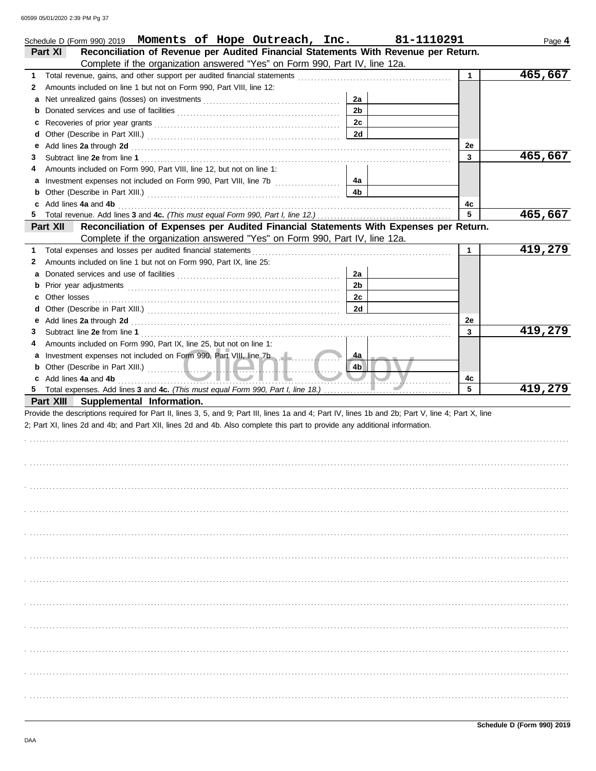|    | Schedule D (Form 990) 2019 Moments of Hope Outreach, Inc.                                                                                                                                                                      |                | 81-1110291 |              | Page 4  |
|----|--------------------------------------------------------------------------------------------------------------------------------------------------------------------------------------------------------------------------------|----------------|------------|--------------|---------|
|    | Reconciliation of Revenue per Audited Financial Statements With Revenue per Return.<br>Part XI                                                                                                                                 |                |            |              |         |
|    | Complete if the organization answered "Yes" on Form 990, Part IV, line 12a.                                                                                                                                                    |                |            |              |         |
| 1. | Total revenue, gains, and other support per audited financial statements [11] [11] Total revenue controlled that the statements [11] Total revenue of the statements and the statements of the statements of the statements of |                |            | $\mathbf{1}$ | 465,667 |
| 2  | Amounts included on line 1 but not on Form 990, Part VIII, line 12:                                                                                                                                                            |                |            |              |         |
| a  |                                                                                                                                                                                                                                | 2a             |            |              |         |
| b  |                                                                                                                                                                                                                                | 2 <sub>b</sub> |            |              |         |
| c  |                                                                                                                                                                                                                                | 2c             |            |              |         |
| d  |                                                                                                                                                                                                                                | 2d             |            |              |         |
| е  | Add lines 2a through 2d [11] Add [12] Add [12] Add lines 2a through 2d [12] Add lines 2a through 2d [12] Add [12] Add [12] Add [12] Add [12] Add [12] Add [12] Add [12] Add [12] Add [12] Add [12] Add [12] Add [12] Add [12]  |                |            | 2e           |         |
| 3  |                                                                                                                                                                                                                                |                |            | $\mathbf{3}$ | 465,667 |
| 4  | Amounts included on Form 990, Part VIII, line 12, but not on line 1:                                                                                                                                                           |                |            |              |         |
| a  |                                                                                                                                                                                                                                | 4a             |            |              |         |
| b  |                                                                                                                                                                                                                                | 4b             |            |              |         |
| c  | Add lines 4a and 4b                                                                                                                                                                                                            |                |            | 4c           |         |
| 5  |                                                                                                                                                                                                                                |                |            | 5            | 465,667 |
|    | Reconciliation of Expenses per Audited Financial Statements With Expenses per Return.<br>Part XII                                                                                                                              |                |            |              |         |
|    | Complete if the organization answered "Yes" on Form 990, Part IV, line 12a.                                                                                                                                                    |                |            |              |         |
| 1. |                                                                                                                                                                                                                                |                |            | $\mathbf{1}$ | 419,279 |
| 2  | Amounts included on line 1 but not on Form 990, Part IX, line 25:                                                                                                                                                              |                |            |              |         |
| a  |                                                                                                                                                                                                                                | 2a             |            |              |         |
| b  |                                                                                                                                                                                                                                | 2 <sub>b</sub> |            |              |         |
| c  |                                                                                                                                                                                                                                | 2c             |            |              |         |
| d  |                                                                                                                                                                                                                                | 2d             |            |              |         |
| е  | Add lines 2a through 2d [11] Add [12] Add [12] Add lines 2a through 2d [12] Add lines 2a through 2d [12] Add [12] Add [12] Add [12] Add [12] Add [12] Add [12] Add [12] Add [12] Add [12] Add [12] Add [12] Add [12] Add [12]  |                |            | 2e           |         |
| 3  |                                                                                                                                                                                                                                |                |            | 3            | 419,279 |
| 4  | Amounts included on Form 990, Part IX, line 25, but not on line 1:                                                                                                                                                             |                |            |              |         |
| a  | Investment expenses not included on Form 990, Part VIII, line 7b                                                                                                                                                               | <u>4a</u>      |            |              |         |
| b  |                                                                                                                                                                                                                                | 4 <sub>b</sub> |            |              |         |
| c  | Add lines 4a and 4b                                                                                                                                                                                                            |                |            | 4c           |         |
| 5  |                                                                                                                                                                                                                                |                |            | 5            | 419,279 |
|    | Part XIII Supplemental Information.                                                                                                                                                                                            |                |            |              |         |
|    | Provide the descriptions required for Part II, lines 3, 5, and 9; Part III, lines 1a and 4; Part IV, lines 1b and 2b; Part V, line 4; Part X, line                                                                             |                |            |              |         |
|    | 2; Part XI, lines 2d and 4b; and Part XII, lines 2d and 4b. Also complete this part to provide any additional information.                                                                                                     |                |            |              |         |
|    |                                                                                                                                                                                                                                |                |            |              |         |
|    |                                                                                                                                                                                                                                |                |            |              |         |
|    |                                                                                                                                                                                                                                |                |            |              |         |
|    |                                                                                                                                                                                                                                |                |            |              |         |
|    |                                                                                                                                                                                                                                |                |            |              |         |
|    |                                                                                                                                                                                                                                |                |            |              |         |
|    |                                                                                                                                                                                                                                |                |            |              |         |
|    |                                                                                                                                                                                                                                |                |            |              |         |
|    |                                                                                                                                                                                                                                |                |            |              |         |
|    |                                                                                                                                                                                                                                |                |            |              |         |
|    |                                                                                                                                                                                                                                |                |            |              |         |
|    |                                                                                                                                                                                                                                |                |            |              |         |
|    |                                                                                                                                                                                                                                |                |            |              |         |
|    |                                                                                                                                                                                                                                |                |            |              |         |
|    |                                                                                                                                                                                                                                |                |            |              |         |
|    |                                                                                                                                                                                                                                |                |            |              |         |
|    |                                                                                                                                                                                                                                |                |            |              |         |
|    |                                                                                                                                                                                                                                |                |            |              |         |
|    |                                                                                                                                                                                                                                |                |            |              |         |
|    |                                                                                                                                                                                                                                |                |            |              |         |
|    |                                                                                                                                                                                                                                |                |            |              |         |
|    |                                                                                                                                                                                                                                |                |            |              |         |
|    |                                                                                                                                                                                                                                |                |            |              |         |
|    |                                                                                                                                                                                                                                |                |            |              |         |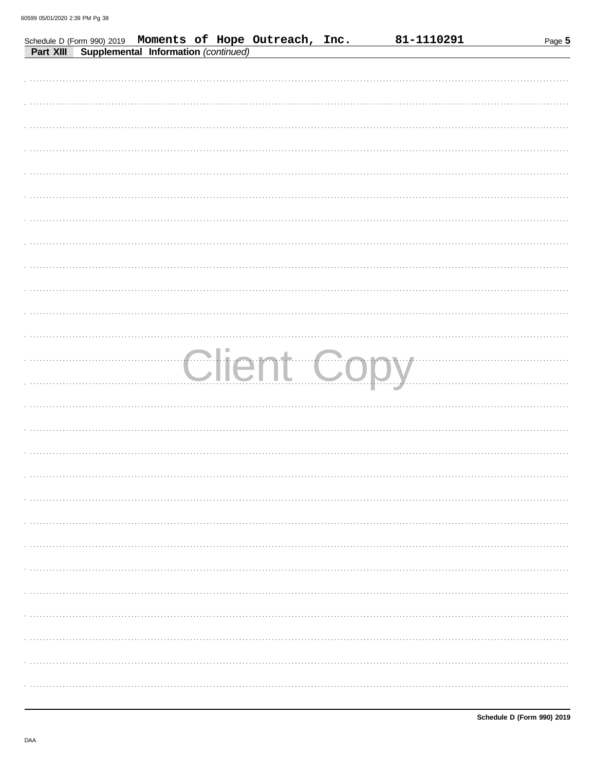|           | Schedule D (Form 990) 2019 Moments of Hope Outreach, Inc. |  | 81-1110291  | Page 5 |
|-----------|-----------------------------------------------------------|--|-------------|--------|
| Part XIII | Supplemental Information (continued)                      |  |             |        |
|           |                                                           |  |             |        |
|           |                                                           |  |             |        |
|           |                                                           |  |             |        |
|           |                                                           |  |             |        |
|           |                                                           |  |             |        |
|           |                                                           |  |             |        |
|           |                                                           |  |             |        |
|           |                                                           |  |             |        |
|           |                                                           |  |             |        |
|           |                                                           |  |             |        |
|           |                                                           |  |             |        |
|           |                                                           |  |             |        |
|           |                                                           |  |             |        |
|           |                                                           |  |             |        |
|           |                                                           |  |             |        |
|           |                                                           |  | Client Copy |        |
|           |                                                           |  |             |        |
|           |                                                           |  |             |        |
|           |                                                           |  |             |        |
|           |                                                           |  |             |        |
|           |                                                           |  |             |        |
|           |                                                           |  |             |        |
|           |                                                           |  |             |        |
|           |                                                           |  |             |        |
|           |                                                           |  |             |        |
|           |                                                           |  |             |        |
|           |                                                           |  |             |        |
|           |                                                           |  |             |        |
|           |                                                           |  |             |        |
|           |                                                           |  |             |        |
|           |                                                           |  |             |        |
|           |                                                           |  |             |        |
|           |                                                           |  |             |        |
|           |                                                           |  |             |        |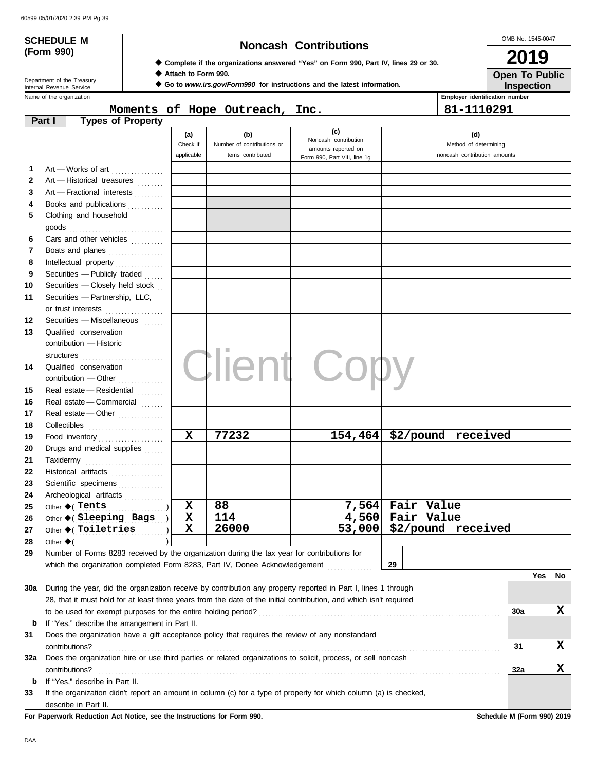# **(Form 990)**

Department of the Treasury<br>Internal Revenue Service

# **SCHEDULE M Noncash Contributions**

u **Complete if the organizations answered "Yes" on Form 990, Part IV, lines 29 or 30.**

◆ Attach to Form 990.

◆ Go to *www.irs.gov/Form990* for instructions and the latest information.

Name of the organization **Employer identification number Employer identification number Inspection**

OMB No. 1545-0047

**Open To Public 2019**

## **Moments of Hope Outreach, Inc. 81-1110291**

|              |                                                                                                                    |             | nomence or nope oucreacn,  |                                                     |                              |     |     |     |
|--------------|--------------------------------------------------------------------------------------------------------------------|-------------|----------------------------|-----------------------------------------------------|------------------------------|-----|-----|-----|
|              | <b>Types of Property</b><br>Part I                                                                                 |             |                            |                                                     |                              |     |     |     |
|              |                                                                                                                    | (a)         | (b)                        | (c)                                                 | (d)                          |     |     |     |
|              |                                                                                                                    | Check if    | Number of contributions or | Noncash contribution                                | Method of determining        |     |     |     |
|              |                                                                                                                    | applicable  | items contributed          | amounts reported on<br>Form 990, Part VIII, line 1g | noncash contribution amounts |     |     |     |
| 1            | Art - Works of art                                                                                                 |             |                            |                                                     |                              |     |     |     |
| $\mathbf{2}$ | Art - Historical treasures                                                                                         |             |                            |                                                     |                              |     |     |     |
| 3            | Art - Fractional interests                                                                                         |             |                            |                                                     |                              |     |     |     |
|              |                                                                                                                    |             |                            |                                                     |                              |     |     |     |
| 4            | Books and publications                                                                                             |             |                            |                                                     |                              |     |     |     |
| 5            | Clothing and household                                                                                             |             |                            |                                                     |                              |     |     |     |
|              | $\mathsf{goods}\xrightarrow{\hspace{0.5cm}}$                                                                       |             |                            |                                                     |                              |     |     |     |
| 6            | Cars and other vehicles                                                                                            |             |                            |                                                     |                              |     |     |     |
| 7            | Boats and planes                                                                                                   |             |                            |                                                     |                              |     |     |     |
| 8            | Intellectual property                                                                                              |             |                            |                                                     |                              |     |     |     |
| 9            | Securities - Publicly traded                                                                                       |             |                            |                                                     |                              |     |     |     |
| 10           | Securities - Closely held stock                                                                                    |             |                            |                                                     |                              |     |     |     |
| 11           | Securities - Partnership, LLC,                                                                                     |             |                            |                                                     |                              |     |     |     |
|              | or trust interests                                                                                                 |             |                            |                                                     |                              |     |     |     |
| 12           | Securities - Miscellaneous [11111]                                                                                 |             |                            |                                                     |                              |     |     |     |
| 13           | Qualified conservation                                                                                             |             |                            |                                                     |                              |     |     |     |
|              | contribution - Historic                                                                                            |             |                            |                                                     |                              |     |     |     |
|              |                                                                                                                    |             |                            |                                                     |                              |     |     |     |
| 14           | Qualified conservation                                                                                             |             |                            |                                                     |                              |     |     |     |
|              | contribution - Other                                                                                               |             |                            |                                                     |                              |     |     |     |
| 15           | Real estate - Residential                                                                                          |             |                            |                                                     |                              |     |     |     |
| 16           | Real estate - Commercial                                                                                           |             |                            |                                                     |                              |     |     |     |
| 17           | Real estate - Other                                                                                                |             |                            |                                                     |                              |     |     |     |
| 18           |                                                                                                                    |             |                            |                                                     |                              |     |     |     |
| 19           | Food inventory                                                                                                     | $\mathbf x$ | 77232                      | 154, 464                                            | \$2/pound received           |     |     |     |
| 20           | Drugs and medical supplies                                                                                         |             |                            |                                                     |                              |     |     |     |
| 21           |                                                                                                                    |             |                            |                                                     |                              |     |     |     |
| 22           | Historical artifacts                                                                                               |             |                            |                                                     |                              |     |     |     |
| 23           | Scientific specimens                                                                                               |             |                            |                                                     |                              |     |     |     |
| 24           | Archeological artifacts                                                                                            |             |                            |                                                     |                              |     |     |     |
| 25           | Other $\blacklozenge$ (Tents $\qquad \qquad$ .)                                                                    | X           | 88                         | 7,564                                               | Fair Value                   |     |     |     |
| 26           | Other $\blacklozenge$ (Sleeping Bags                                                                               | X           | 114                        | 4,560                                               | Fair Value                   |     |     |     |
| 27           | Other $\triangle$ (Toiletries                                                                                      | X           | 26000                      | 53,000                                              | \$2/pound received           |     |     |     |
| 28           | Other $\blacklozenge$ (                                                                                            |             |                            |                                                     |                              |     |     |     |
| 29           | Number of Forms 8283 received by the organization during the tax year for contributions for                        |             |                            |                                                     |                              |     |     |     |
|              | which the organization completed Form 8283, Part IV, Donee Acknowledgement                                         |             |                            |                                                     | 29                           |     |     |     |
|              |                                                                                                                    |             |                            |                                                     |                              |     | Yes | No. |
| 30a          | During the year, did the organization receive by contribution any property reported in Part I, lines 1 through     |             |                            |                                                     |                              |     |     |     |
|              | 28, that it must hold for at least three years from the date of the initial contribution, and which isn't required |             |                            |                                                     |                              |     |     |     |
|              |                                                                                                                    |             |                            |                                                     |                              | 30a |     | x   |
| b            | If "Yes," describe the arrangement in Part II.                                                                     |             |                            |                                                     |                              |     |     |     |
| 31           | Does the organization have a gift acceptance policy that requires the review of any nonstandard                    |             |                            |                                                     |                              |     |     |     |
|              | contributions?                                                                                                     |             |                            |                                                     |                              | 31  |     | x   |
| 32a          | Does the organization hire or use third parties or related organizations to solicit, process, or sell noncash      |             |                            |                                                     |                              |     |     |     |
|              | contributions?                                                                                                     |             |                            |                                                     |                              | 32a |     | X   |
| b            | If "Yes," describe in Part II.                                                                                     |             |                            |                                                     |                              |     |     |     |
| 33           | If the organization didn't report an amount in column (c) for a type of property for which column (a) is checked,  |             |                            |                                                     |                              |     |     |     |
|              | describe in Part II.                                                                                               |             |                            |                                                     |                              |     |     |     |

**For Paperwork Reduction Act Notice, see the Instructions for Form 990. Schedule M (Form 990) 2019**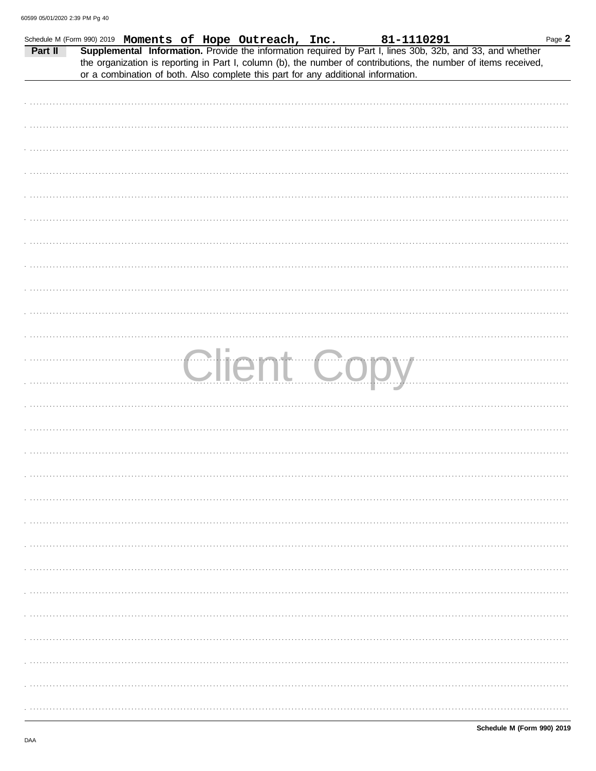|         |  | Schedule M (Form 990) 2019 Moments of Hope Outreach, Inc.                         | 81-1110291                                                                                                                                                                                                                   | Page 2 |
|---------|--|-----------------------------------------------------------------------------------|------------------------------------------------------------------------------------------------------------------------------------------------------------------------------------------------------------------------------|--------|
| Part II |  |                                                                                   | Supplemental Information. Provide the information required by Part I, lines 30b, 32b, and 33, and whether<br>the organization is reporting in Part I, column (b), the number of contributions, the number of items received, |        |
|         |  | or a combination of both. Also complete this part for any additional information. |                                                                                                                                                                                                                              |        |
|         |  |                                                                                   |                                                                                                                                                                                                                              |        |
|         |  |                                                                                   |                                                                                                                                                                                                                              |        |
|         |  |                                                                                   |                                                                                                                                                                                                                              |        |
|         |  |                                                                                   |                                                                                                                                                                                                                              |        |
|         |  |                                                                                   |                                                                                                                                                                                                                              |        |
|         |  |                                                                                   |                                                                                                                                                                                                                              |        |
|         |  |                                                                                   |                                                                                                                                                                                                                              |        |
|         |  |                                                                                   |                                                                                                                                                                                                                              |        |
|         |  |                                                                                   |                                                                                                                                                                                                                              |        |
|         |  |                                                                                   |                                                                                                                                                                                                                              |        |
|         |  |                                                                                   |                                                                                                                                                                                                                              |        |
|         |  |                                                                                   | Client Copy                                                                                                                                                                                                                  |        |
|         |  |                                                                                   |                                                                                                                                                                                                                              |        |
|         |  |                                                                                   |                                                                                                                                                                                                                              |        |
|         |  |                                                                                   |                                                                                                                                                                                                                              |        |
|         |  |                                                                                   |                                                                                                                                                                                                                              |        |
|         |  |                                                                                   |                                                                                                                                                                                                                              |        |
|         |  |                                                                                   |                                                                                                                                                                                                                              |        |
|         |  |                                                                                   |                                                                                                                                                                                                                              |        |
|         |  |                                                                                   |                                                                                                                                                                                                                              |        |
|         |  |                                                                                   |                                                                                                                                                                                                                              |        |
|         |  |                                                                                   |                                                                                                                                                                                                                              |        |
|         |  |                                                                                   |                                                                                                                                                                                                                              |        |
|         |  |                                                                                   |                                                                                                                                                                                                                              |        |
|         |  |                                                                                   |                                                                                                                                                                                                                              |        |
|         |  |                                                                                   |                                                                                                                                                                                                                              |        |
|         |  |                                                                                   |                                                                                                                                                                                                                              |        |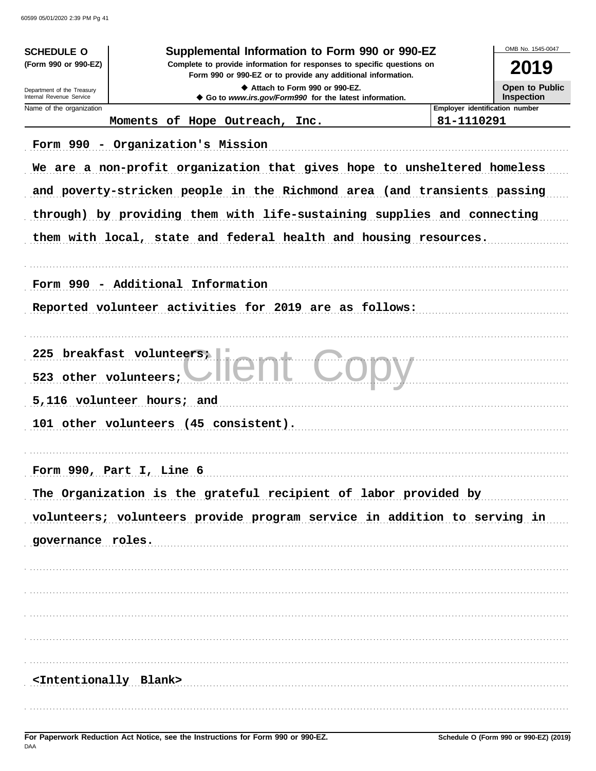| <b>SCHEDULE O</b>                                      | Supplemental Information to Form 990 or 990-EZ                                                                                                                                                                                                                       | OMB No. 1545-0047                   |  |  |
|--------------------------------------------------------|----------------------------------------------------------------------------------------------------------------------------------------------------------------------------------------------------------------------------------------------------------------------|-------------------------------------|--|--|
| (Form 990 or 990-EZ)                                   | Complete to provide information for responses to specific questions on<br>Form 990 or 990-EZ or to provide any additional information.                                                                                                                               |                                     |  |  |
| Department of the Treasury<br>Internal Revenue Service | ♦ Attach to Form 990 or 990-EZ.<br>♦ Go to www.irs.gov/Form990 for the latest information.                                                                                                                                                                           | Open to Public<br><b>Inspection</b> |  |  |
| Name of the organization                               |                                                                                                                                                                                                                                                                      | Employer identification number      |  |  |
|                                                        | Moments of Hope Outreach, Inc.                                                                                                                                                                                                                                       | 81-1110291                          |  |  |
|                                                        | Form 990 - Organization's Mission<br>We are a non-profit organization that gives hope to unsheltered homeless<br>and poverty-stricken people in the Richmond area (and transients passing<br>through) by providing them with life-sustaining supplies and connecting |                                     |  |  |
|                                                        | them with local, state and federal health and housing resources.                                                                                                                                                                                                     |                                     |  |  |
|                                                        | Form 990 - Additional Information                                                                                                                                                                                                                                    |                                     |  |  |
|                                                        | Reported volunteer activities for 2019 are as follows:                                                                                                                                                                                                               |                                     |  |  |
| 523 other volunteers;                                  | 225 breakfast volunteers;<br>5,116 volunteer hours; and                                                                                                                                                                                                              |                                     |  |  |
|                                                        | 101 other volunteers (45 consistent).                                                                                                                                                                                                                                |                                     |  |  |
|                                                        | Form 990, Part I, Line 6                                                                                                                                                                                                                                             |                                     |  |  |
|                                                        | The Organization is the grateful recipient of labor provided by                                                                                                                                                                                                      |                                     |  |  |
|                                                        | volunteers; volunteers provide program service in addition to serving in                                                                                                                                                                                             |                                     |  |  |
| governance roles.                                      |                                                                                                                                                                                                                                                                      |                                     |  |  |
|                                                        |                                                                                                                                                                                                                                                                      |                                     |  |  |
|                                                        |                                                                                                                                                                                                                                                                      |                                     |  |  |
|                                                        |                                                                                                                                                                                                                                                                      |                                     |  |  |
|                                                        |                                                                                                                                                                                                                                                                      |                                     |  |  |
|                                                        |                                                                                                                                                                                                                                                                      |                                     |  |  |
|                                                        |                                                                                                                                                                                                                                                                      |                                     |  |  |
| <intentionally blank=""></intentionally>               |                                                                                                                                                                                                                                                                      |                                     |  |  |
|                                                        |                                                                                                                                                                                                                                                                      |                                     |  |  |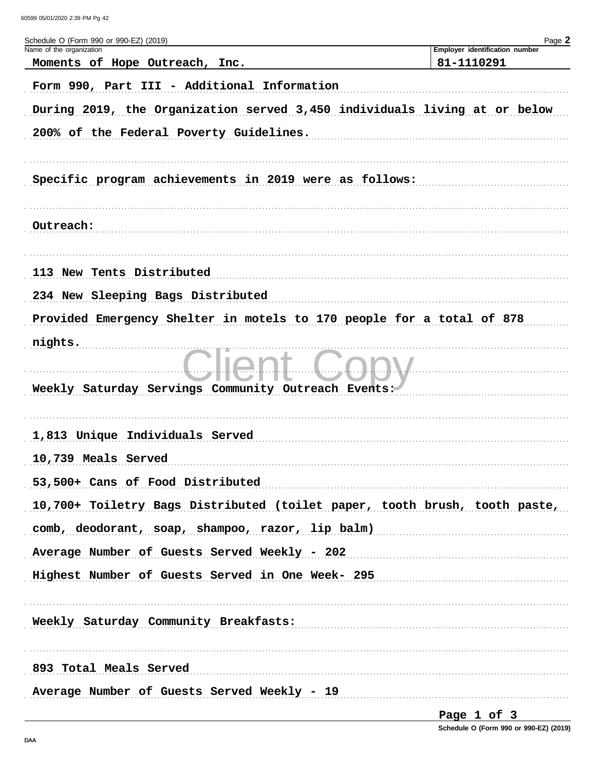| Schedule O (Form 990 or 990-EZ) (2019)                                     | Page 2                                       |
|----------------------------------------------------------------------------|----------------------------------------------|
| Name of the organization<br>Moments of Hope Outreach, Inc.                 | Employer identification number<br>81-1110291 |
| Form 990, Part III - Additional Information                                |                                              |
| During 2019, the Organization served 3,450 individuals living at or below  |                                              |
| 200% of the Federal Poverty Guidelines.                                    |                                              |
| Specific program achievements in 2019 were as follows:                     |                                              |
| Outreach:                                                                  |                                              |
| 113 New Tents Distributed                                                  |                                              |
| 234 New Sleeping Bags Distributed                                          |                                              |
| Provided Emergency Shelter in motels to 170 people for a total of 878      |                                              |
| nights.                                                                    |                                              |
| Weekly Saturday Servings Community Outreach Events:                        |                                              |
| 1,813 Unique Individuals Served                                            |                                              |
| 10,739 Meals Served                                                        |                                              |
| 53,500+ Cans of Food Distributed                                           |                                              |
| 10,700+ Toiletry Bags Distributed (toilet paper, tooth brush, tooth paste, |                                              |
| comb, deodorant, soap, shampoo, razor, lip balm)                           |                                              |
| Average Number of Guests Served Weekly - 202                               |                                              |
| Highest Number of Guests Served in One Week- 295                           |                                              |
| Weekly Saturday Community Breakfasts:                                      |                                              |
| 893 Total Meals Served                                                     |                                              |
| Average Number of Guests Served Weekly - 19                                |                                              |

Schedule O (Form 990 or 990-EZ) (2019)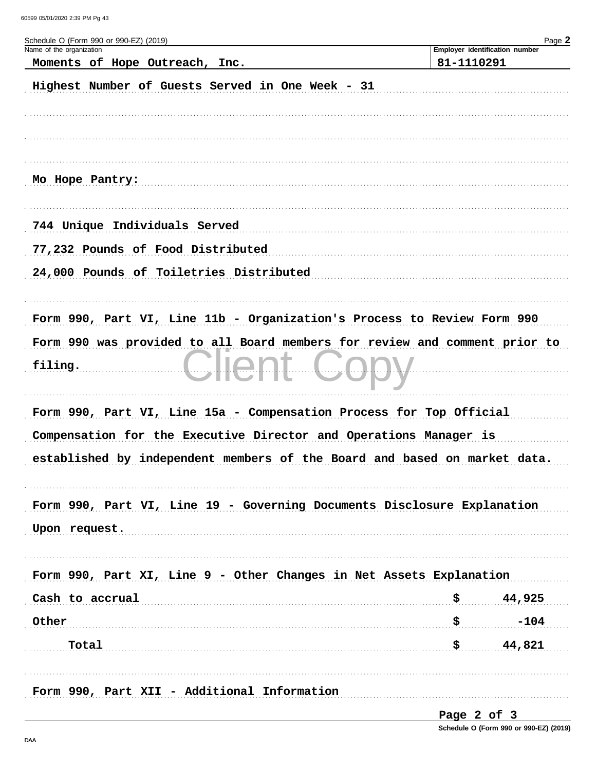| Schedule O (Form 990 or 990-EZ) (2019)                                     | Page 2                                       |
|----------------------------------------------------------------------------|----------------------------------------------|
| Name of the organization<br>Moments of Hope Outreach, Inc.                 | Employer identification number<br>81-1110291 |
| Highest Number of Guests Served in One Week - 31                           |                                              |
|                                                                            |                                              |
|                                                                            |                                              |
|                                                                            |                                              |
|                                                                            |                                              |
| Mo Hope Pantry:                                                            |                                              |
|                                                                            |                                              |
| 744 Unique Individuals Served                                              |                                              |
| 77,232 Pounds of Food Distributed                                          |                                              |
| 24,000 Pounds of Toiletries Distributed                                    |                                              |
|                                                                            |                                              |
| Form 990, Part VI, Line 11b - Organization's Process to Review Form 990    |                                              |
| Form 990 was provided to all Board members for review and comment prior to |                                              |
| filing.                                                                    |                                              |
|                                                                            |                                              |
| Form 990, Part VI, Line 15a - Compensation Process for Top Official        |                                              |
| Compensation for the Executive Director and Operations Manager is          |                                              |
| established by independent members of the Board and based on market data.  |                                              |
|                                                                            |                                              |
| Form 990, Part VI, Line 19 - Governing Documents Disclosure Explanation    |                                              |
| Upon request.                                                              |                                              |
|                                                                            |                                              |
| Form 990, Part XI, Line 9 - Other Changes in Net Assets Explanation        |                                              |
| Cash to accrual                                                            | 44,925                                       |
|                                                                            | \$.                                          |
| Other                                                                      | \$<br>$-104$                                 |
| Total                                                                      | \$.<br>44,821                                |
|                                                                            |                                              |
| Form 990, Part XII - Additional Information                                |                                              |
|                                                                            |                                              |

Page 2 of 3

Schedule O (Form 990 or 990-EZ) (2019)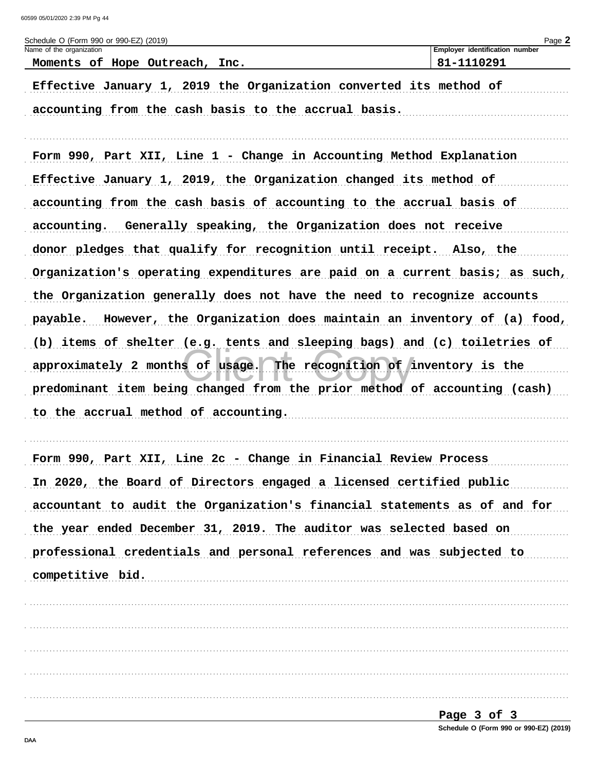| Schedule O (Form 990 or 990-EZ) (2019)                                                                                                    | Page 2                                              |
|-------------------------------------------------------------------------------------------------------------------------------------------|-----------------------------------------------------|
| Name of the organization<br>Moments of Hope Outreach, Inc.                                                                                | <b>Employer identification number</b><br>81-1110291 |
| Effective January 1, 2019 the Organization converted its method of                                                                        |                                                     |
| accounting from the cash basis to the accrual basis.                                                                                      |                                                     |
|                                                                                                                                           |                                                     |
| Form 990, Part XII, Line 1 - Change in Accounting Method Explanation<br>Effective January 1, 2019, the Organization changed its method of |                                                     |
| accounting from the cash basis of accounting to the accrual basis of                                                                      |                                                     |
| accounting. Generally speaking, the Organization does not receive                                                                         |                                                     |
| donor pledges that qualify for recognition until receipt. Also, the                                                                       |                                                     |
| Organization's operating expenditures are paid on a current basis; as such,                                                               |                                                     |
| the Organization generally does not have the need to recognize accounts                                                                   |                                                     |
| payable. However, the Organization does maintain an inventory of (a) food,                                                                |                                                     |
| (b) items of shelter (e.g. tents and sleeping bags) and (c) toiletries of                                                                 |                                                     |
| approximately 2 months of usage. The recognition of inventory is the                                                                      |                                                     |
| predominant item being changed from the prior method of accounting (cash)                                                                 |                                                     |
| to the accrual method of accounting.                                                                                                      |                                                     |
|                                                                                                                                           |                                                     |
| Form 990, Part XII, Line 2c - Change in Financial Review Process                                                                          |                                                     |
| In 2020, the Board of Directors engaged a licensed certified public                                                                       |                                                     |
| accountant to audit the Organization's financial statements as of and for                                                                 |                                                     |
| the year ended December 31, 2019. The auditor was selected based on                                                                       |                                                     |
| professional credentials and personal references and was subjected to                                                                     |                                                     |
| competitive bid.                                                                                                                          |                                                     |
|                                                                                                                                           |                                                     |
|                                                                                                                                           |                                                     |
|                                                                                                                                           |                                                     |
|                                                                                                                                           |                                                     |
|                                                                                                                                           |                                                     |

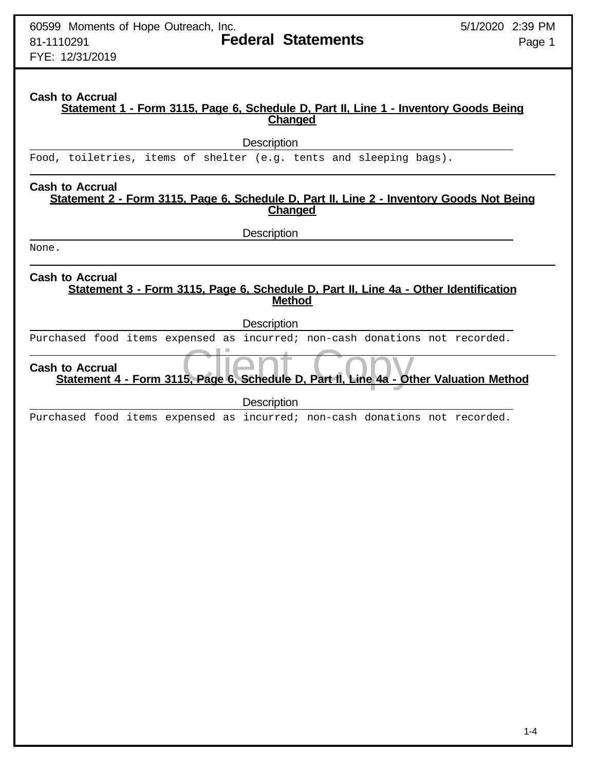| <b>Cash to Accrual</b><br>Statement 1 - Form 3115, Page 6, Schedule D, Part II, Line 1 - Inventory Goods Being                         |
|----------------------------------------------------------------------------------------------------------------------------------------|
| <b>Changed</b>                                                                                                                         |
| <b>Description</b>                                                                                                                     |
| Food, toiletries, items of shelter (e.g. tents and sleeping bags).                                                                     |
| <b>Cash to Accrual</b><br>Statement 2 - Form 3115, Page 6, Schedule D, Part II, Line 2 - Inventory Goods Not Being<br><b>Changed</b>   |
| <b>Description</b>                                                                                                                     |
| None.                                                                                                                                  |
| <b>Cash to Accrual</b><br>Statement 3 - Form 3115, Page 6, Schedule D, Part II, Line 4a - Other Identification<br><b>Method</b>        |
| <b>Description</b>                                                                                                                     |
| Purchased food items expensed as incurred; non-cash donations not recorded.                                                            |
| <b>Cash to Accrual</b><br>Statement 4 - Form 3115, Page 6, Schedule D, Part II, Line 4a - Other Valuation Method<br><b>Description</b> |
| Purchased food items expensed as incurred; non-cash donations not recorded.                                                            |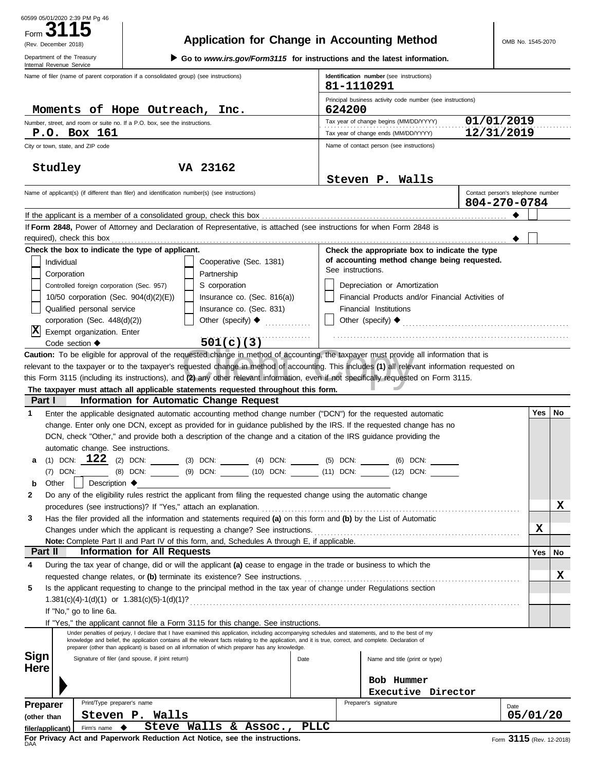| 60599 05/01/2020 2:39 PM Pg 46                         |
|--------------------------------------------------------|
| Form 3115                                              |
| (Rev. December 2018)                                   |
| Department of the Treasury<br>Internal Revenue Service |

## **POMB No. 1500 18 1900 Application for Change in Accounting Method** Method MB No. 1545-2070

**Go to** *www.irs.gov/Form3115* **for instructions and the latest information.**

| Name of filer (name of parent corporation if a consolidated group) (see instructions) |                                                                            |                                                                                                |  |                                                                                                                                                                                                                                                                                                                                                                                                                     | Identification number (see instructions)<br>81-1110291 |                                                                      |                                                                                                                                                                                                                                                                                            |                                                   |          |            |    |
|---------------------------------------------------------------------------------------|----------------------------------------------------------------------------|------------------------------------------------------------------------------------------------|--|---------------------------------------------------------------------------------------------------------------------------------------------------------------------------------------------------------------------------------------------------------------------------------------------------------------------------------------------------------------------------------------------------------------------|--------------------------------------------------------|----------------------------------------------------------------------|--------------------------------------------------------------------------------------------------------------------------------------------------------------------------------------------------------------------------------------------------------------------------------------------|---------------------------------------------------|----------|------------|----|
| Moments of Hope Outreach,<br>Inc.                                                     |                                                                            |                                                                                                |  |                                                                                                                                                                                                                                                                                                                                                                                                                     |                                                        | Principal business activity code number (see instructions)<br>624200 |                                                                                                                                                                                                                                                                                            |                                                   |          |            |    |
|                                                                                       | Number, street, and room or suite no. If a P.O. box, see the instructions. |                                                                                                |  |                                                                                                                                                                                                                                                                                                                                                                                                                     |                                                        | Tax year of change begins (MM/DD/YYYY)                               | 01/01/2019                                                                                                                                                                                                                                                                                 |                                                   |          |            |    |
|                                                                                       | P.O. Box 161                                                               |                                                                                                |  |                                                                                                                                                                                                                                                                                                                                                                                                                     |                                                        | Tax year of change ends (MM/DD/YYYY)                                 | 12/31/2019                                                                                                                                                                                                                                                                                 |                                                   |          |            |    |
|                                                                                       | City or town, state, and ZIP code                                          |                                                                                                |  |                                                                                                                                                                                                                                                                                                                                                                                                                     |                                                        |                                                                      | Name of contact person (see instructions)                                                                                                                                                                                                                                                  |                                                   |          |            |    |
|                                                                                       | Studley                                                                    |                                                                                                |  | VA 23162                                                                                                                                                                                                                                                                                                                                                                                                            |                                                        |                                                                      | Steven P. Walls                                                                                                                                                                                                                                                                            |                                                   |          |            |    |
|                                                                                       |                                                                            | Name of applicant(s) (if different than filer) and identification number(s) (see instructions) |  |                                                                                                                                                                                                                                                                                                                                                                                                                     |                                                        |                                                                      |                                                                                                                                                                                                                                                                                            | Contact person's telephone number<br>804-270-0784 |          |            |    |
|                                                                                       |                                                                            |                                                                                                |  |                                                                                                                                                                                                                                                                                                                                                                                                                     |                                                        |                                                                      |                                                                                                                                                                                                                                                                                            |                                                   |          |            |    |
|                                                                                       |                                                                            |                                                                                                |  | If Form 2848, Power of Attorney and Declaration of Representative, is attached (see instructions for when Form 2848 is                                                                                                                                                                                                                                                                                              |                                                        |                                                                      |                                                                                                                                                                                                                                                                                            |                                                   |          |            |    |
|                                                                                       |                                                                            | required), check this box<br>Check the box to indicate the type of applicant.                  |  |                                                                                                                                                                                                                                                                                                                                                                                                                     |                                                        |                                                                      |                                                                                                                                                                                                                                                                                            |                                                   |          |            |    |
|                                                                                       | Individual<br>Corporation                                                  |                                                                                                |  | Cooperative (Sec. 1381)<br>Partnership                                                                                                                                                                                                                                                                                                                                                                              |                                                        | See instructions.                                                    | Check the appropriate box to indicate the type<br>of accounting method change being requested.                                                                                                                                                                                             |                                                   |          |            |    |
|                                                                                       |                                                                            | Controlled foreign corporation (Sec. 957)<br>10/50 corporation (Sec. 904(d)(2)(E))             |  | S corporation<br>Insurance co. (Sec. 816(a))                                                                                                                                                                                                                                                                                                                                                                        |                                                        |                                                                      | Depreciation or Amortization<br>Financial Products and/or Financial Activities of                                                                                                                                                                                                          |                                                   |          |            |    |
|                                                                                       |                                                                            | Qualified personal service                                                                     |  | Insurance co. (Sec. 831)                                                                                                                                                                                                                                                                                                                                                                                            |                                                        |                                                                      | Financial Institutions                                                                                                                                                                                                                                                                     |                                                   |          |            |    |
|                                                                                       |                                                                            | corporation (Sec. 448(d)(2))                                                                   |  | Other (specify) $\blacklozenge$                                                                                                                                                                                                                                                                                                                                                                                     |                                                        |                                                                      | Other (specify) $\blacklozenge$                                                                                                                                                                                                                                                            |                                                   |          |            |    |
| ΙX                                                                                    |                                                                            | Exempt organization. Enter                                                                     |  |                                                                                                                                                                                                                                                                                                                                                                                                                     |                                                        |                                                                      |                                                                                                                                                                                                                                                                                            |                                                   |          |            |    |
|                                                                                       | Code section $\blacklozenge$                                               |                                                                                                |  | 501(c)(3)                                                                                                                                                                                                                                                                                                                                                                                                           |                                                        |                                                                      |                                                                                                                                                                                                                                                                                            |                                                   |          |            |    |
|                                                                                       |                                                                            |                                                                                                |  |                                                                                                                                                                                                                                                                                                                                                                                                                     |                                                        |                                                                      | Caution: To be eligible for approval of the requested change in method of accounting, the taxpayer must provide all information that is<br>relevant to the taxpayer or to the taxpayer's requested change in method of accounting. This includes (1) all relevant information requested on |                                                   |          |            |    |
|                                                                                       |                                                                            |                                                                                                |  |                                                                                                                                                                                                                                                                                                                                                                                                                     |                                                        |                                                                      | this Form 3115 (including its instructions), and (2) any other relevant information, even if not specifically requested on Form 3115.                                                                                                                                                      |                                                   |          |            |    |
|                                                                                       |                                                                            |                                                                                                |  | The taxpayer must attach all applicable statements requested throughout this form.                                                                                                                                                                                                                                                                                                                                  |                                                        |                                                                      |                                                                                                                                                                                                                                                                                            |                                                   |          |            |    |
| Part I                                                                                |                                                                            |                                                                                                |  | <b>Information for Automatic Change Request</b>                                                                                                                                                                                                                                                                                                                                                                     |                                                        |                                                                      |                                                                                                                                                                                                                                                                                            |                                                   |          |            |    |
| 1                                                                                     |                                                                            |                                                                                                |  | Enter the applicable designated automatic accounting method change number ("DCN") for the requested automatic                                                                                                                                                                                                                                                                                                       |                                                        |                                                                      |                                                                                                                                                                                                                                                                                            |                                                   |          | <b>Yes</b> | No |
|                                                                                       |                                                                            |                                                                                                |  |                                                                                                                                                                                                                                                                                                                                                                                                                     |                                                        |                                                                      | change. Enter only one DCN, except as provided for in guidance published by the IRS. If the requested change has no                                                                                                                                                                        |                                                   |          |            |    |
|                                                                                       |                                                                            |                                                                                                |  | DCN, check "Other," and provide both a description of the change and a citation of the IRS guidance providing the                                                                                                                                                                                                                                                                                                   |                                                        |                                                                      |                                                                                                                                                                                                                                                                                            |                                                   |          |            |    |
|                                                                                       |                                                                            | automatic change. See instructions.                                                            |  |                                                                                                                                                                                                                                                                                                                                                                                                                     |                                                        |                                                                      |                                                                                                                                                                                                                                                                                            |                                                   |          |            |    |
| a                                                                                     |                                                                            |                                                                                                |  |                                                                                                                                                                                                                                                                                                                                                                                                                     |                                                        |                                                                      | (1) DCN: $122$ (2) DCN: (3) DCN: (4) DCN: (5) DCN: (6) DCN: (6) DCN:                                                                                                                                                                                                                       |                                                   |          |            |    |
|                                                                                       | (7) DCN:                                                                   |                                                                                                |  |                                                                                                                                                                                                                                                                                                                                                                                                                     |                                                        |                                                                      | (8) DCN: (9) DCN: (10) DCN: (11) DCN: (12) DCN: (20)                                                                                                                                                                                                                                       |                                                   |          |            |    |
| b                                                                                     | Other                                                                      | Description $\blacklozenge$                                                                    |  |                                                                                                                                                                                                                                                                                                                                                                                                                     |                                                        |                                                                      |                                                                                                                                                                                                                                                                                            |                                                   |          |            |    |
| 2                                                                                     |                                                                            |                                                                                                |  | Do any of the eligibility rules restrict the applicant from filing the requested change using the automatic change                                                                                                                                                                                                                                                                                                  |                                                        |                                                                      |                                                                                                                                                                                                                                                                                            |                                                   |          |            |    |
|                                                                                       |                                                                            | procedures (see instructions)? If "Yes," attach an explanation.                                |  |                                                                                                                                                                                                                                                                                                                                                                                                                     |                                                        |                                                                      |                                                                                                                                                                                                                                                                                            |                                                   |          |            | x  |
| 3                                                                                     |                                                                            |                                                                                                |  | Has the filer provided all the information and statements required (a) on this form and (b) by the List of Automatic                                                                                                                                                                                                                                                                                                |                                                        |                                                                      |                                                                                                                                                                                                                                                                                            |                                                   |          |            |    |
|                                                                                       |                                                                            |                                                                                                |  | Changes under which the applicant is requesting a change? See instructions.                                                                                                                                                                                                                                                                                                                                         |                                                        |                                                                      |                                                                                                                                                                                                                                                                                            |                                                   |          | x          |    |
|                                                                                       |                                                                            |                                                                                                |  | Note: Complete Part II and Part IV of this form, and, Schedules A through E, if applicable.                                                                                                                                                                                                                                                                                                                         |                                                        |                                                                      |                                                                                                                                                                                                                                                                                            |                                                   |          |            |    |
| Part II                                                                               |                                                                            | <b>Information for All Requests</b>                                                            |  |                                                                                                                                                                                                                                                                                                                                                                                                                     |                                                        |                                                                      |                                                                                                                                                                                                                                                                                            |                                                   |          | <b>Yes</b> | No |
| 4                                                                                     |                                                                            |                                                                                                |  | During the tax year of change, did or will the applicant (a) cease to engage in the trade or business to which the                                                                                                                                                                                                                                                                                                  |                                                        |                                                                      |                                                                                                                                                                                                                                                                                            |                                                   |          |            |    |
|                                                                                       |                                                                            |                                                                                                |  | requested change relates, or (b) terminate its existence? See instructions.                                                                                                                                                                                                                                                                                                                                         |                                                        |                                                                      |                                                                                                                                                                                                                                                                                            |                                                   |          |            | x  |
| 5                                                                                     |                                                                            |                                                                                                |  | Is the applicant requesting to change to the principal method in the tax year of change under Regulations section                                                                                                                                                                                                                                                                                                   |                                                        |                                                                      |                                                                                                                                                                                                                                                                                            |                                                   |          |            |    |
|                                                                                       |                                                                            | $1.381(c)(4)-1(d)(1)$ or $1.381(c)(5)-1(d)(1)?$                                                |  |                                                                                                                                                                                                                                                                                                                                                                                                                     |                                                        |                                                                      |                                                                                                                                                                                                                                                                                            |                                                   |          |            |    |
|                                                                                       |                                                                            | If "No," go to line 6a.                                                                        |  |                                                                                                                                                                                                                                                                                                                                                                                                                     |                                                        |                                                                      |                                                                                                                                                                                                                                                                                            |                                                   |          |            |    |
|                                                                                       |                                                                            |                                                                                                |  | If "Yes," the applicant cannot file a Form 3115 for this change. See instructions.                                                                                                                                                                                                                                                                                                                                  |                                                        |                                                                      |                                                                                                                                                                                                                                                                                            |                                                   |          |            |    |
|                                                                                       |                                                                            |                                                                                                |  | Under penalties of perjury, I declare that I have examined this application, including accompanying schedules and statements, and to the best of my<br>knowledge and belief, the application contains all the relevant facts relating to the application, and it is true, correct, and complete. Declaration of<br>preparer (other than applicant) is based on all information of which preparer has any knowledge. |                                                        |                                                                      |                                                                                                                                                                                                                                                                                            |                                                   |          |            |    |
| <b>Sign</b>                                                                           |                                                                            | Signature of filer (and spouse, if joint return)                                               |  |                                                                                                                                                                                                                                                                                                                                                                                                                     | Date                                                   |                                                                      | Name and title (print or type)                                                                                                                                                                                                                                                             |                                                   |          |            |    |
| <b>Here</b>                                                                           |                                                                            |                                                                                                |  |                                                                                                                                                                                                                                                                                                                                                                                                                     |                                                        |                                                                      |                                                                                                                                                                                                                                                                                            |                                                   |          |            |    |
|                                                                                       |                                                                            |                                                                                                |  |                                                                                                                                                                                                                                                                                                                                                                                                                     |                                                        |                                                                      | Bob Hummer                                                                                                                                                                                                                                                                                 |                                                   |          |            |    |
|                                                                                       |                                                                            |                                                                                                |  |                                                                                                                                                                                                                                                                                                                                                                                                                     |                                                        |                                                                      | Executive Director                                                                                                                                                                                                                                                                         |                                                   |          |            |    |
| Preparer                                                                              |                                                                            | Print/Type preparer's name                                                                     |  |                                                                                                                                                                                                                                                                                                                                                                                                                     |                                                        |                                                                      | Preparer's signature                                                                                                                                                                                                                                                                       |                                                   | Date     |            |    |
| (other than                                                                           |                                                                            | Steven P. Walls                                                                                |  |                                                                                                                                                                                                                                                                                                                                                                                                                     |                                                        |                                                                      |                                                                                                                                                                                                                                                                                            |                                                   | 05/01/20 |            |    |
|                                                                                       | filer/applicant)                                                           | Firm's name $\blacklozenge$                                                                    |  | Steve Walls & Assoc., PLLC                                                                                                                                                                                                                                                                                                                                                                                          |                                                        |                                                                      |                                                                                                                                                                                                                                                                                            |                                                   |          |            |    |

For Privacy Act and Paperwork Reduction Act Notice, see the instructions.<br>DAA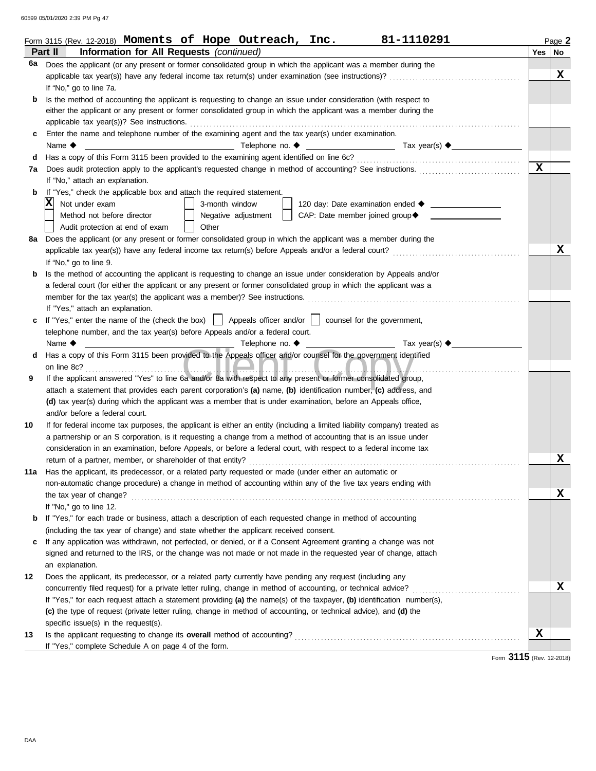|    | 81-1110291<br>Form 3115 (Rev. 12-2018) Moments of Hope Outreach, Inc.                                                    |             | Page 2    |
|----|--------------------------------------------------------------------------------------------------------------------------|-------------|-----------|
|    | Information for All Requests (continued)<br>Part II                                                                      | Yes         | <b>No</b> |
| 6а | Does the applicant (or any present or former consolidated group in which the applicant was a member during the           |             |           |
|    |                                                                                                                          |             | х         |
|    | If "No," go to line 7a.                                                                                                  |             |           |
| b  | Is the method of accounting the applicant is requesting to change an issue under consideration (with respect to          |             |           |
|    | either the applicant or any present or former consolidated group in which the applicant was a member during the          |             |           |
|    |                                                                                                                          |             |           |
| c  | Enter the name and telephone number of the examining agent and the tax year(s) under examination.                        |             |           |
|    | Name $\blacklozenge$                                                                                                     |             |           |
| d  |                                                                                                                          |             |           |
| 7a | Does audit protection apply to the applicant's requested change in method of accounting? See instructions.               | $\mathbf x$ |           |
|    | If "No," attach an explanation.                                                                                          |             |           |
| b  | If "Yes," check the applicable box and attach the required statement.                                                    |             |           |
|    | X<br>Not under exam<br>3-month window<br>120 day: Date examination ended ♦                                               |             |           |
|    | CAP: Date member joined group◆<br>Method not before director<br>Negative adjustment                                      |             |           |
|    | Other<br>Audit protection at end of exam                                                                                 |             |           |
| 8а | Does the applicant (or any present or former consolidated group in which the applicant was a member during the           |             |           |
|    |                                                                                                                          |             | X         |
|    | If "No," go to line 9.                                                                                                   |             |           |
| b  | Is the method of accounting the applicant is requesting to change an issue under consideration by Appeals and/or         |             |           |
|    | a federal court (for either the applicant or any present or former consolidated group in which the applicant was a       |             |           |
|    |                                                                                                                          |             |           |
|    | If "Yes," attach an explanation.                                                                                         |             |           |
|    | If "Yes," enter the name of the (check the box) $\vert$ Appeals officer and/or $\vert$ counsel for the government,       |             |           |
|    | telephone number, and the tax year(s) before Appeals and/or a federal court.                                             |             |           |
|    | Tax year(s) $\blacklozenge$<br>$\blacksquare$ Telephone no. $\blacklozenge$<br>Name $\blacklozenge$                      |             |           |
| d  | Has a copy of this Form 3115 been provided to the Appeals officer and/or counsel for the government identified           |             |           |
|    |                                                                                                                          |             |           |
| 9  | If the applicant answered "Yes" to line 6a and/or 8a with respect to any present or former consolidated group,           |             |           |
|    | attach a statement that provides each parent corporation's (a) name, (b) identification number, (c) address, and         |             |           |
|    | (d) tax year(s) during which the applicant was a member that is under examination, before an Appeals office,             |             |           |
|    | and/or before a federal court.                                                                                           |             |           |
| 10 | If for federal income tax purposes, the applicant is either an entity (including a limited liability company) treated as |             |           |
|    | a partnership or an S corporation, is it requesting a change from a method of accounting that is an issue under          |             |           |
|    | consideration in an examination, before Appeals, or before a federal court, with respect to a federal income tax         |             |           |
|    | return of a partner, member, or shareholder of that entity?                                                              |             | х         |
|    | 11a Has the applicant, its predecessor, or a related party requested or made (under either an automatic or               |             |           |
|    | non-automatic change procedure) a change in method of accounting within any of the five tax years ending with            |             |           |
|    | the tax year of change?                                                                                                  |             | X         |
|    | If "No," go to line 12.                                                                                                  |             |           |
| b  | If "Yes," for each trade or business, attach a description of each requested change in method of accounting              |             |           |
|    | (including the tax year of change) and state whether the applicant received consent.                                     |             |           |
| c  | If any application was withdrawn, not perfected, or denied, or if a Consent Agreement granting a change was not          |             |           |
|    | signed and returned to the IRS, or the change was not made or not made in the requested year of change, attach           |             |           |
|    | an explanation.                                                                                                          |             |           |
| 12 | Does the applicant, its predecessor, or a related party currently have pending any request (including any                |             |           |
|    | concurrently filed request) for a private letter ruling, change in method of accounting, or technical advice?            |             | х         |
|    | If "Yes," for each request attach a statement providing (a) the name(s) of the taxpayer, (b) identification number(s),   |             |           |
|    | (c) the type of request (private letter ruling, change in method of accounting, or technical advice), and (d) the        |             |           |
|    | specific issue(s) in the request(s).                                                                                     |             |           |
| 13 |                                                                                                                          | X           |           |
|    | If "Yes," complete Schedule A on page 4 of the form.                                                                     |             |           |

Form **3115** (Rev. 12-2018)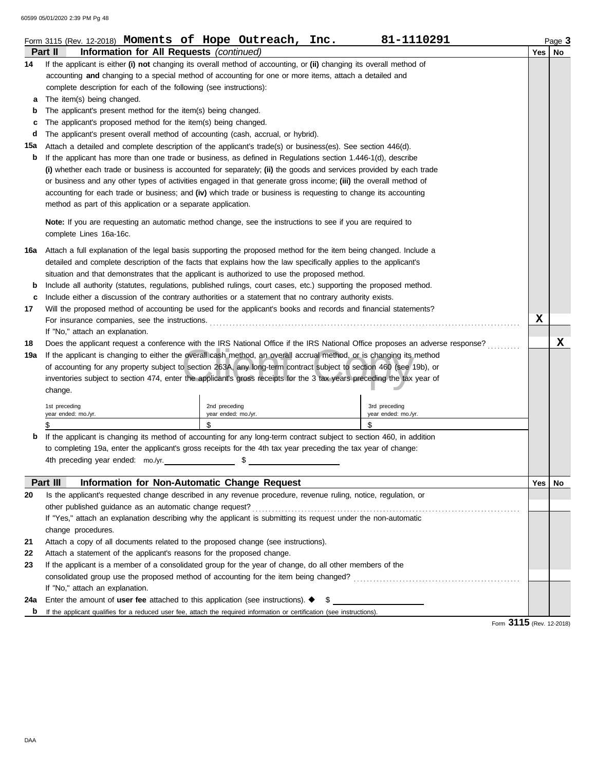|          | Form 3115 (Rev. 12-2018) Moments of Hope Outreach, Inc.                                                                                                                                                                                     |                                      |      | 81-1110291                           |     | Page 3   |
|----------|---------------------------------------------------------------------------------------------------------------------------------------------------------------------------------------------------------------------------------------------|--------------------------------------|------|--------------------------------------|-----|----------|
|          | Information for All Requests (continued)<br>Part II                                                                                                                                                                                         |                                      |      |                                      |     | Yes   No |
| 14       | If the applicant is either (i) not changing its overall method of accounting, or (ii) changing its overall method of                                                                                                                        |                                      |      |                                      |     |          |
|          | accounting and changing to a special method of accounting for one or more items, attach a detailed and                                                                                                                                      |                                      |      |                                      |     |          |
|          | complete description for each of the following (see instructions):                                                                                                                                                                          |                                      |      |                                      |     |          |
| а        | The item(s) being changed.                                                                                                                                                                                                                  |                                      |      |                                      |     |          |
| b        | The applicant's present method for the item(s) being changed.                                                                                                                                                                               |                                      |      |                                      |     |          |
|          | The applicant's proposed method for the item(s) being changed.                                                                                                                                                                              |                                      |      |                                      |     |          |
| d        | The applicant's present overall method of accounting (cash, accrual, or hybrid).                                                                                                                                                            |                                      |      |                                      |     |          |
| 15a<br>b | Attach a detailed and complete description of the applicant's trade(s) or business(es). See section 446(d).<br>If the applicant has more than one trade or business, as defined in Regulations section 1.446-1(d), describe                 |                                      |      |                                      |     |          |
|          | (i) whether each trade or business is accounted for separately; (ii) the goods and services provided by each trade                                                                                                                          |                                      |      |                                      |     |          |
|          | or business and any other types of activities engaged in that generate gross income; (iii) the overall method of                                                                                                                            |                                      |      |                                      |     |          |
|          | accounting for each trade or business; and (iv) which trade or business is requesting to change its accounting                                                                                                                              |                                      |      |                                      |     |          |
|          | method as part of this application or a separate application.                                                                                                                                                                               |                                      |      |                                      |     |          |
|          | Note: If you are requesting an automatic method change, see the instructions to see if you are required to                                                                                                                                  |                                      |      |                                      |     |          |
|          | complete Lines 16a-16c.                                                                                                                                                                                                                     |                                      |      |                                      |     |          |
| 16a      | Attach a full explanation of the legal basis supporting the proposed method for the item being changed. Include a                                                                                                                           |                                      |      |                                      |     |          |
|          | detailed and complete description of the facts that explains how the law specifically applies to the applicant's                                                                                                                            |                                      |      |                                      |     |          |
|          | situation and that demonstrates that the applicant is authorized to use the proposed method.                                                                                                                                                |                                      |      |                                      |     |          |
| b        | Include all authority (statutes, regulations, published rulings, court cases, etc.) supporting the proposed method.                                                                                                                         |                                      |      |                                      |     |          |
| c        | Include either a discussion of the contrary authorities or a statement that no contrary authority exists.                                                                                                                                   |                                      |      |                                      |     |          |
| 17       | Will the proposed method of accounting be used for the applicant's books and records and financial statements?                                                                                                                              |                                      |      |                                      |     |          |
|          | For insurance companies, see the instructions.                                                                                                                                                                                              |                                      |      |                                      | x   |          |
|          | If "No," attach an explanation.                                                                                                                                                                                                             |                                      |      |                                      |     |          |
| 18       | Does the applicant request a conference with the IRS National Office if the IRS National Office proposes an adverse response?                                                                                                               |                                      |      |                                      |     | х        |
| 19a      | If the applicant is changing to either the overall cash method, an overall accrual method, or is changing its method<br>of accounting for any property subject to section 263A, any long-term contract subject to section 460 (see 19b), or |                                      |      |                                      |     |          |
|          | inventories subject to section 474, enter the applicant's gross receipts for the 3 tax years preceding the tax year of                                                                                                                      |                                      |      |                                      |     |          |
|          | change.                                                                                                                                                                                                                                     |                                      |      |                                      |     |          |
|          |                                                                                                                                                                                                                                             |                                      |      |                                      |     |          |
|          | 1st preceding<br>year ended: mo./yr.                                                                                                                                                                                                        | 2nd preceding<br>year ended: mo./yr. |      | 3rd preceding<br>year ended: mo./yr. |     |          |
|          | S                                                                                                                                                                                                                                           | \$.                                  |      |                                      |     |          |
| b        | If the applicant is changing its method of accounting for any long-term contract subject to section 460, in addition                                                                                                                        |                                      |      |                                      |     |          |
|          | to completing 19a, enter the applicant's gross receipts for the 4th tax year preceding the tax year of change:                                                                                                                              |                                      |      |                                      |     |          |
|          | 4th preceding year ended: mo./yr.                                                                                                                                                                                                           | \$                                   |      |                                      |     |          |
|          | Part III<br>Information for Non-Automatic Change Request                                                                                                                                                                                    |                                      |      |                                      | Yes | No       |
| 20       | Is the applicant's requested change described in any revenue procedure, revenue ruling, notice, regulation, or                                                                                                                              |                                      |      |                                      |     |          |
|          | other published guidance as an automatic change request?                                                                                                                                                                                    |                                      |      |                                      |     |          |
|          | If "Yes," attach an explanation describing why the applicant is submitting its request under the non-automatic                                                                                                                              |                                      |      |                                      |     |          |
|          | change procedures.                                                                                                                                                                                                                          |                                      |      |                                      |     |          |
| 21<br>22 | Attach a copy of all documents related to the proposed change (see instructions).<br>Attach a statement of the applicant's reasons for the proposed change.                                                                                 |                                      |      |                                      |     |          |
| 23       | If the applicant is a member of a consolidated group for the year of change, do all other members of the                                                                                                                                    |                                      |      |                                      |     |          |
|          | consolidated group use the proposed method of accounting for the item being changed?                                                                                                                                                        |                                      |      |                                      |     |          |
|          | If "No," attach an explanation.                                                                                                                                                                                                             |                                      |      |                                      |     |          |
| 24a      | Enter the amount of user fee attached to this application (see instructions). $\blacklozenge$                                                                                                                                               |                                      | - \$ |                                      |     |          |
| b        | If the applicant qualifies for a reduced user fee, attach the required information or certification (see instructions).                                                                                                                     |                                      |      |                                      |     |          |
|          |                                                                                                                                                                                                                                             |                                      |      |                                      |     |          |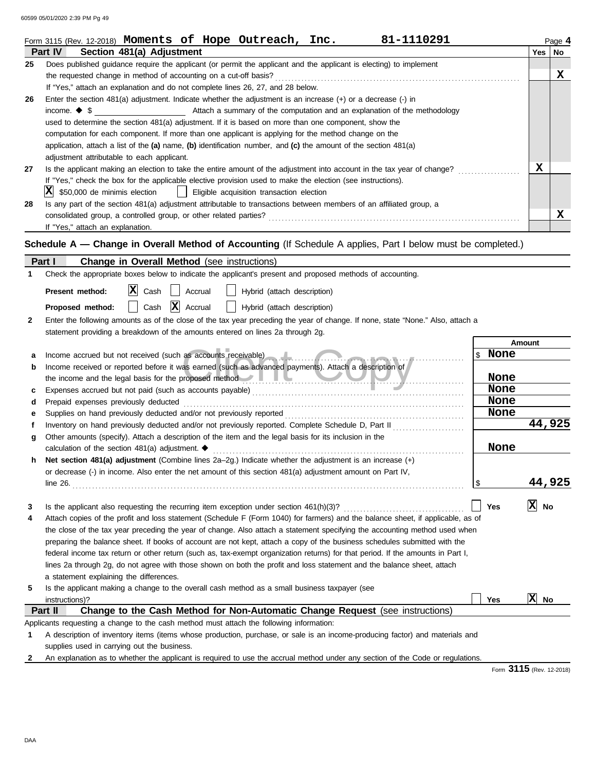|    | 81-1110291<br>Form 3115 (Rev. 12-2018) Moments of Hope Outreach, Inc.                                                   |     | Page 4 |
|----|-------------------------------------------------------------------------------------------------------------------------|-----|--------|
|    | Section 481(a) Adjustment<br><b>Part IV</b>                                                                             | Yes | No     |
| 25 | Does published guidance require the applicant (or permit the applicant and the applicant is electing) to implement      |     |        |
|    | the requested change in method of accounting on a cut-off basis?                                                        |     | х      |
|    | If "Yes," attach an explanation and do not complete lines 26, 27, and 28 below.                                         |     |        |
| 26 | Enter the section $481(a)$ adjustment. Indicate whether the adjustment is an increase $(+)$ or a decrease $(-)$ in      |     |        |
|    | Attach a summary of the computation and an explanation of the methodology<br>income. $\blacklozenge$ \$                 |     |        |
|    | used to determine the section 481(a) adjustment. If it is based on more than one component, show the                    |     |        |
|    | computation for each component. If more than one applicant is applying for the method change on the                     |     |        |
|    | application, attach a list of the (a) name, (b) identification number, and (c) the amount of the section $481(a)$       |     |        |
|    | adjustment attributable to each applicant.                                                                              |     |        |
| 27 | Is the applicant making an election to take the entire amount of the adjustment into account in the tax year of change? | х   |        |
|    | If "Yes," check the box for the applicable elective provision used to make the election (see instructions).             |     |        |
|    | $ \mathbf{X} $ \$50,000 de minimis election $  \cdot  $ Eligible acquisition transaction election                       |     |        |
| 28 | Is any part of the section 481(a) adjustment attributable to transactions between members of an affiliated group, a     |     |        |
|    | consolidated group, a controlled group, or other related parties?                                                       |     | х      |
|    | If "Yes," attach an explanation.                                                                                        |     |        |

## **Schedule A — Change in Overall Method of Accounting** (If Schedule A applies, Part I below must be completed.)

|    | Part I<br><b>Change in Overall Method</b> (see instructions)                                                                    |            |                                       |
|----|---------------------------------------------------------------------------------------------------------------------------------|------------|---------------------------------------|
| 1  | Check the appropriate boxes below to indicate the applicant's present and proposed methods of accounting.                       |            |                                       |
|    | $ \mathbf{x} $<br>Cash<br>Accrual<br>Hybrid (attach description)<br>Present method:                                             |            |                                       |
|    | $ \mathbf{x} $<br>Accrual<br>Proposed method:<br>Cash<br>Hybrid (attach description)                                            |            |                                       |
| 2  | Enter the following amounts as of the close of the tax year preceding the year of change. If none, state "None." Also, attach a |            |                                       |
|    | statement providing a breakdown of the amounts entered on lines 2a through 2g.                                                  |            |                                       |
|    |                                                                                                                                 |            | <b>Amount</b>                         |
| а  | Income accrued but not received (such as accounts receivable)                                                                   | \$ None    |                                       |
| b  | Income received or reported before it was earned (such as advanced payments). Attach a description of                           |            |                                       |
|    | the income and the legal basis for the proposed method <b>Alternative and the legal basis</b> for the proposed method           | None       |                                       |
| c  |                                                                                                                                 | None       |                                       |
| d  | Prepaid expenses previously deducted                                                                                            | None       |                                       |
| е  | Supplies on hand previously deducted and/or not previously reported                                                             | None       |                                       |
| f  | Inventory on hand previously deducted and/or not previously reported. Complete Schedule D, Part II [[[[[[[[[[[                  |            | 44,925                                |
| g  | Other amounts (specify). Attach a description of the item and the legal basis for its inclusion in the                          |            |                                       |
|    | calculation of the section 481(a) adjustment. $\blacklozenge$                                                                   | None       |                                       |
| h. | Net section 481(a) adjustment (Combine lines $2a-2g$ .) Indicate whether the adjustment is an increase $(+)$                    |            |                                       |
|    | or decrease (-) in income. Also enter the net amount of this section 481(a) adjustment amount on Part IV,                       |            |                                       |
|    | line $26$ .                                                                                                                     | S          | 44,925                                |
| 3  | Is the applicant also requesting the recurring item exception under section 461(h)(3)?                                          | <b>Yes</b> | $\vert \mathbf{x} \vert$<br><b>No</b> |
| 4  | Attach copies of the profit and loss statement (Schedule F (Form 1040) for farmers) and the balance sheet, if applicable, as of |            |                                       |
|    | the close of the tax year preceding the year of change. Also attach a statement specifying the accounting method used when      |            |                                       |
|    | preparing the balance sheet. If books of account are not kept, attach a copy of the business schedules submitted with the       |            |                                       |
|    | federal income tax return or other return (such as, tax-exempt organization returns) for that period. If the amounts in Part I, |            |                                       |
|    | lines 2a through 2g, do not agree with those shown on both the profit and loss statement and the balance sheet, attach          |            |                                       |
|    | a statement explaining the differences.                                                                                         |            |                                       |
| 5  | Is the applicant making a change to the overall cash method as a small business taxpayer (see                                   |            |                                       |
|    | instructions)?                                                                                                                  | Yes        | $\mathbf{x}$<br><b>No</b>             |
|    | Change to the Cash Method for Non-Automatic Change Request (see instructions)<br>Part II                                        |            |                                       |
|    | Applicants requesting a change to the cash method must attach the following information:                                        |            |                                       |
| 1  | A description of inventory items (items whose production, purchase, or sale is an income-producing factor) and materials and    |            |                                       |
|    | supplies used in carrying out the business.                                                                                     |            |                                       |
| 2  | An explanation as to whether the applicant is required to use the accrual method under any section of the Code or regulations.  |            |                                       |

Form **3115** (Rev. 12-2018)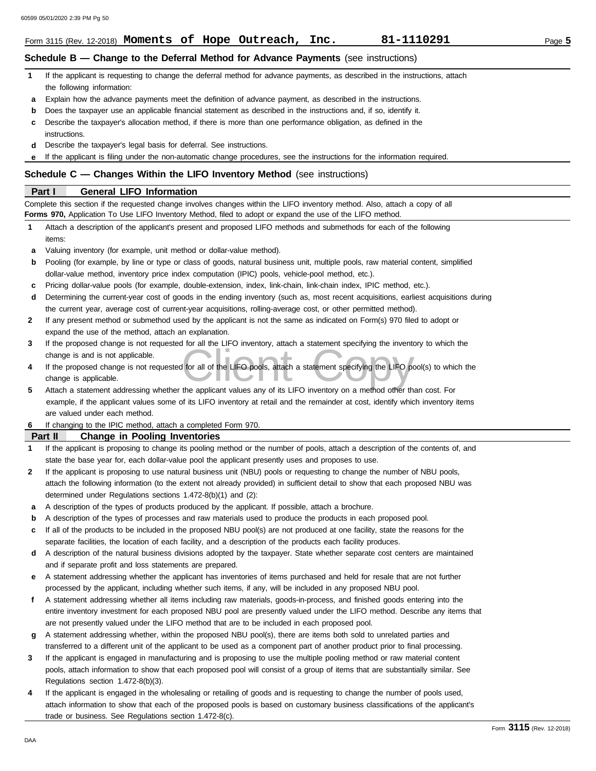- the following information: If the applicant is requesting to change the deferral method for advance payments, as described in the instructions, attach **1**
- Explain how the advance payments meet the definition of advance payment, as described in the instructions. **a**
- **b** Does the taxpayer use an applicable financial statement as described in the instructions and, if so, identify it.
- Describe the taxpayer's allocation method, if there is more than one performance obligation, as defined in the **c**
- **instructions**
- Describe the taxpayer's legal basis for deferral. See instructions. **d**
- If the applicant is filing under the non-automatic change procedures, see the instructions for the information required. **e**

#### **Schedule C — Changes Within the LIFO Inventory Method** (see instructions)

#### **Part I General LIFO Information**

**Forms 970,** Application To Use LIFO Inventory Method, filed to adopt or expand the use of the LIFO method. Complete this section if the requested change involves changes within the LIFO inventory method. Also, attach a copy of all

- **1** Attach a description of the applicant's present and proposed LIFO methods and submethods for each of the following items:
- **a** Valuing inventory (for example, unit method or dollar-value method).
- **b** Pooling (for example, by line or type or class of goods, natural business unit, multiple pools, raw material content, simplified dollar-value method, inventory price index computation (IPIC) pools, vehicle-pool method, etc.).
- **c** Pricing dollar-value pools (for example, double-extension, index, link-chain, link-chain index, IPIC method, etc.).
- **d** Determining the current-year cost of goods in the ending inventory (such as, most recent acquisitions, earliest acquisitions during the current year, average cost of current-year acquisitions, rolling-average cost, or other permitted method).
- **2** If any present method or submethod used by the applicant is not the same as indicated on Form(s) 970 filed to adopt or expand the use of the method, attach an explanation.
- **3** If the proposed change is not requested for all the LIFO inventory, attach a statement specifying the inventory to which the change is and is not applicable.
- for all of the LIFO pools, attach a statement specifying the LIFO pools. **4** If the proposed change is not requested for all of the LIFO pools, attach a statement specifying the LIFO pool(s) to which the change is applicable.
- **5** Attach a statement addressing whether the applicant values any of its LIFO inventory on a method other than cost. For example, if the applicant values some of its LIFO inventory at retail and the remainder at cost, identify which inventory items are valued under each method.
- **6** If changing to the IPIC method, attach a completed Form 970.

#### **Part II Change in Pooling Inventories**

- **1** If the applicant is proposing to change its pooling method or the number of pools, attach a description of the contents of, and state the base year for, each dollar-value pool the applicant presently uses and proposes to use.
- **2** If the applicant is proposing to use natural business unit (NBU) pools or requesting to change the number of NBU pools, attach the following information (to the extent not already provided) in sufficient detail to show that each proposed NBU was determined under Regulations sections 1.472-8(b)(1) and (2):
- **a** A description of the types of products produced by the applicant. If possible, attach a brochure.
- **b** A description of the types of processes and raw materials used to produce the products in each proposed pool.
- **c** If all of the products to be included in the proposed NBU pool(s) are not produced at one facility, state the reasons for the separate facilities, the location of each facility, and a description of the products each facility produces.
- **d** A description of the natural business divisions adopted by the taxpayer. State whether separate cost centers are maintained and if separate profit and loss statements are prepared.
- **e** A statement addressing whether the applicant has inventories of items purchased and held for resale that are not further processed by the applicant, including whether such items, if any, will be included in any proposed NBU pool.
- **f** A statement addressing whether all items including raw materials, goods-in-process, and finished goods entering into the entire inventory investment for each proposed NBU pool are presently valued under the LIFO method. Describe any items that are not presently valued under the LIFO method that are to be included in each proposed pool.
- A statement addressing whether, within the proposed NBU pool(s), there are items both sold to unrelated parties and **g** transferred to a different unit of the applicant to be used as a component part of another product prior to final processing.
- If the applicant is engaged in manufacturing and is proposing to use the multiple pooling method or raw material content pools, attach information to show that each proposed pool will consist of a group of items that are substantially similar. See Regulations section 1.472-8(b)(3). **3**
- trade or business. See Regulations section 1.472-8(c). attach information to show that each of the proposed pools is based on customary business classifications of the applicant's If the applicant is engaged in the wholesaling or retailing of goods and is requesting to change the number of pools used, **4**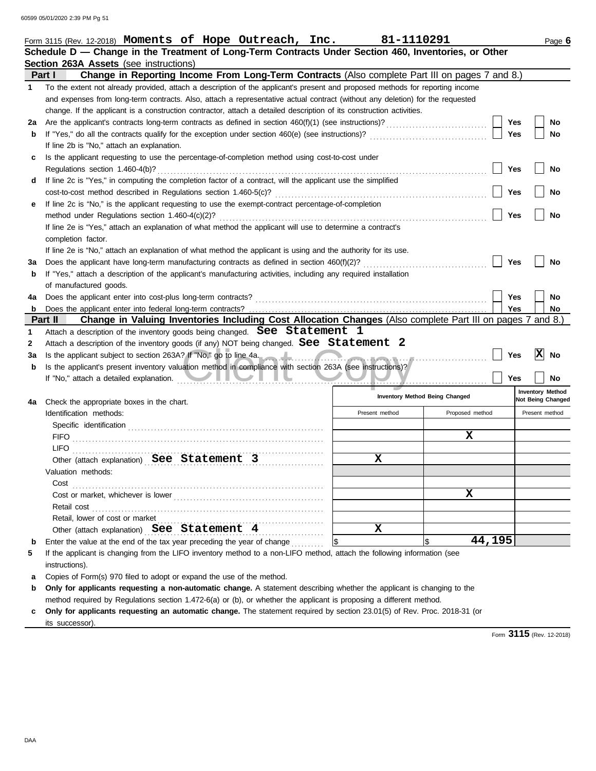|                                                                                                                      | Form 3115 (Rev. 12-2018) Moments of Hope Outreach, Inc.                                                                       | 81-1110291                            |                 | Page 6                                       |  |  |  |
|----------------------------------------------------------------------------------------------------------------------|-------------------------------------------------------------------------------------------------------------------------------|---------------------------------------|-----------------|----------------------------------------------|--|--|--|
|                                                                                                                      | Schedule D — Change in the Treatment of Long-Term Contracts Under Section 460, Inventories, or Other                          |                                       |                 |                                              |  |  |  |
|                                                                                                                      | <b>Section 263A Assets (see instructions)</b>                                                                                 |                                       |                 |                                              |  |  |  |
|                                                                                                                      | Change in Reporting Income From Long-Term Contracts (Also complete Part III on pages 7 and 8.)<br>Part I                      |                                       |                 |                                              |  |  |  |
| 1                                                                                                                    | To the extent not already provided, attach a description of the applicant's present and proposed methods for reporting income |                                       |                 |                                              |  |  |  |
|                                                                                                                      | and expenses from long-term contracts. Also, attach a representative actual contract (without any deletion) for the requested |                                       |                 |                                              |  |  |  |
|                                                                                                                      | change. If the applicant is a construction contractor, attach a detailed description of its construction activities.          |                                       |                 |                                              |  |  |  |
| 2a                                                                                                                   | Are the applicant's contracts long-term contracts as defined in section $460(f)(1)$ (see instructions)?<br>Yes                |                                       |                 |                                              |  |  |  |
|                                                                                                                      | <b>b</b> If "Yes," do all the contracts qualify for the exception under section 460(e) (see instructions)?                    |                                       |                 | Yes<br>No                                    |  |  |  |
|                                                                                                                      | If line 2b is "No," attach an explanation.                                                                                    |                                       |                 |                                              |  |  |  |
| C                                                                                                                    | Is the applicant requesting to use the percentage-of-completion method using cost-to-cost under                               |                                       |                 |                                              |  |  |  |
|                                                                                                                      | Regulations section 1.460-4(b)?                                                                                               |                                       |                 | Yes<br>No                                    |  |  |  |
|                                                                                                                      | d If line 2c is "Yes," in computing the completion factor of a contract, will the applicant use the simplified                |                                       |                 |                                              |  |  |  |
|                                                                                                                      | cost-to-cost method described in Regulations section 1.460-5(c)?                                                              |                                       |                 | Yes<br>No                                    |  |  |  |
| е                                                                                                                    | If line 2c is "No," is the applicant requesting to use the exempt-contract percentage-of-completion                           |                                       |                 |                                              |  |  |  |
|                                                                                                                      | method under Regulations section 1.460-4(c)(2)?                                                                               |                                       |                 | Yes<br>No                                    |  |  |  |
|                                                                                                                      | If line 2e is "Yes," attach an explanation of what method the applicant will use to determine a contract's                    |                                       |                 |                                              |  |  |  |
|                                                                                                                      | completion factor.                                                                                                            |                                       |                 |                                              |  |  |  |
|                                                                                                                      | If line 2e is "No," attach an explanation of what method the applicant is using and the authority for its use.                |                                       |                 |                                              |  |  |  |
| за                                                                                                                   |                                                                                                                               |                                       |                 | Yes<br>No                                    |  |  |  |
| If "Yes," attach a description of the applicant's manufacturing activities, including any required installation<br>b |                                                                                                                               |                                       |                 |                                              |  |  |  |
|                                                                                                                      | of manufactured goods.                                                                                                        |                                       |                 |                                              |  |  |  |
| 4a                                                                                                                   | Does the applicant enter into cost-plus long-term contracts?                                                                  |                                       |                 | Yes<br>No                                    |  |  |  |
| b                                                                                                                    | Does the applicant enter into federal long-term contracts?                                                                    |                                       |                 | <b>Yes</b><br>No                             |  |  |  |
|                                                                                                                      | Change in Valuing Inventories Including Cost Allocation Changes (Also complete Part III on pages 7 and 8.<br>Part II          |                                       |                 |                                              |  |  |  |
| 1                                                                                                                    | Attach a description of the inventory goods being changed. See Statement 1                                                    |                                       |                 |                                              |  |  |  |
| 2                                                                                                                    | Attach a description of the inventory goods (if any) NOT being changed. See Statement 2                                       |                                       |                 | X<br>No                                      |  |  |  |
| За                                                                                                                   | Is the applicant subject to section 263A? If "No," go to line 4a.<br>Yes                                                      |                                       |                 |                                              |  |  |  |
| b                                                                                                                    | Is the applicant's present inventory valuation method in compliance with section 263A (see instructions)?                     |                                       |                 |                                              |  |  |  |
|                                                                                                                      | If "No," attach a detailed explanation.                                                                                       |                                       |                 | Yes<br>No                                    |  |  |  |
|                                                                                                                      |                                                                                                                               | <b>Inventory Method Being Changed</b> |                 | <b>Inventory Method</b><br>Not Being Changed |  |  |  |
| 4a                                                                                                                   | Check the appropriate boxes in the chart.<br>Identification methods:                                                          | Present method                        | Proposed method | Present method                               |  |  |  |
|                                                                                                                      |                                                                                                                               |                                       |                 |                                              |  |  |  |
|                                                                                                                      | <b>FIFO</b>                                                                                                                   |                                       | x               |                                              |  |  |  |
|                                                                                                                      | LIFO                                                                                                                          |                                       |                 |                                              |  |  |  |
|                                                                                                                      | Other (attach explanation) See Statement 3                                                                                    | х                                     |                 |                                              |  |  |  |
|                                                                                                                      | Valuation methods:                                                                                                            |                                       |                 |                                              |  |  |  |
|                                                                                                                      | Cost                                                                                                                          |                                       |                 |                                              |  |  |  |
|                                                                                                                      |                                                                                                                               |                                       | X               |                                              |  |  |  |
|                                                                                                                      | Retail cost                                                                                                                   |                                       |                 |                                              |  |  |  |
|                                                                                                                      | Retail, lower of cost or market                                                                                               |                                       |                 |                                              |  |  |  |
|                                                                                                                      | Other (attach explanation) See Statement 4                                                                                    | X                                     |                 |                                              |  |  |  |
| b                                                                                                                    | Enter the value at the end of the tax year preceding the year of change                                                       | \$<br>1\$                             | 44,195          |                                              |  |  |  |
| 5                                                                                                                    | If the applicant is changing from the LIFO inventory method to a non-LIFO method, attach the following information (see       |                                       |                 |                                              |  |  |  |
|                                                                                                                      | instructions).                                                                                                                |                                       |                 |                                              |  |  |  |
|                                                                                                                      |                                                                                                                               |                                       |                 |                                              |  |  |  |

**a** Copies of Form(s) 970 filed to adopt or expand the use of the method.

**b Only for applicants requesting a non-automatic change.** A statement describing whether the applicant is changing to the method required by Regulations section 1.472-6(a) or (b), or whether the applicant is proposing a different method.

**c Only for applicants requesting an automatic change.** The statement required by section 23.01(5) of Rev. Proc. 2018-31 (or its successor).

Form **3115** (Rev. 12-2018)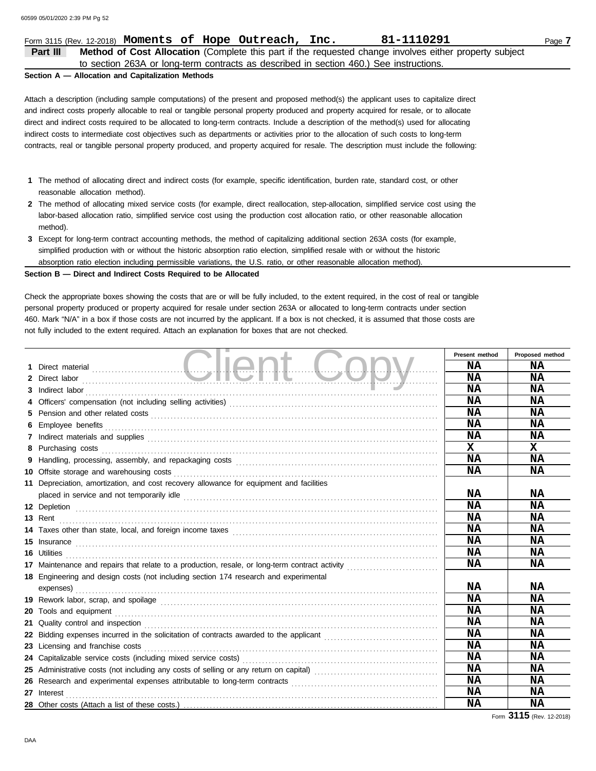## Form 3115 (Rev. 12-2018) Page **7 Moments of Hope Outreach, Inc. 81-1110291**

**Part III Method of Cost Allocation** (Complete this part if the requested change involves either property subject to section 263A or long-term contracts as described in section 460.) See instructions.

#### **Section A — Allocation and Capitalization Methods**

Attach a description (including sample computations) of the present and proposed method(s) the applicant uses to capitalize direct and indirect costs properly allocable to real or tangible personal property produced and property acquired for resale, or to allocate direct and indirect costs required to be allocated to long-term contracts. Include a description of the method(s) used for allocating indirect costs to intermediate cost objectives such as departments or activities prior to the allocation of such costs to long-term contracts, real or tangible personal property produced, and property acquired for resale. The description must include the following:

- **1** The method of allocating direct and indirect costs (for example, specific identification, burden rate, standard cost, or other reasonable allocation method).
- **2** The method of allocating mixed service costs (for example, direct reallocation, step-allocation, simplified service cost using the labor-based allocation ratio, simplified service cost using the production cost allocation ratio, or other reasonable allocation method).
- **3** Except for long-term contract accounting methods, the method of capitalizing additional section 263A costs (for example, simplified production with or without the historic absorption ratio election, simplified resale with or without the historic absorption ratio election including permissible variations, the U.S. ratio, or other reasonable allocation method).

**Section B — Direct and Indirect Costs Required to be Allocated**

Check the appropriate boxes showing the costs that are or will be fully included, to the extent required, in the cost of real or tangible personal property produced or property acquired for resale under section 263A or allocated to long-term contracts under section 460. Mark "N/A" in a box if those costs are not incurred by the applicant. If a box is not checked, it is assumed that those costs are not fully included to the extent required. Attach an explanation for boxes that are not checked.

|                                                                                                                                                                                                                                      | Present method          | Proposed method |
|--------------------------------------------------------------------------------------------------------------------------------------------------------------------------------------------------------------------------------------|-------------------------|-----------------|
| 1 Direct material <b>1 Direct Material 1 Direct Material</b><br>.mn                                                                                                                                                                  | <b>NA</b>               | <b>NA</b>       |
|                                                                                                                                                                                                                                      | <b>NA</b>               | <b>NA</b>       |
|                                                                                                                                                                                                                                      | <b>NA</b>               | <b>NA</b>       |
| 4 Officers' compensation (not including selling activities) [11] contain the container compensation (not including selling activities) [11] container container container and activities of the container container container        | <b>NA</b>               | <b>NA</b>       |
|                                                                                                                                                                                                                                      | <b>NA</b>               | <b>NA</b>       |
| 6 Employee benefits                                                                                                                                                                                                                  | <b>NA</b>               | <b>NA</b>       |
| 7 Indirect materials and supplies entertainment and supplies and supplies are set of the supplies of the supplies of the supplies of the supplies of the supplies of the supplies of the supplies of the supplies of the suppl       | <b>NA</b>               | <b>NA</b>       |
| 8 Purchasing costs                                                                                                                                                                                                                   | $\overline{\mathbf{x}}$ | x               |
|                                                                                                                                                                                                                                      | <b>NA</b>               | <b>NA</b>       |
|                                                                                                                                                                                                                                      | <b>NA</b>               | <b>NA</b>       |
| 11 Depreciation, amortization, and cost recovery allowance for equipment and facilities                                                                                                                                              |                         |                 |
|                                                                                                                                                                                                                                      | <b>NA</b>               | <b>NA</b>       |
| 12 Depletion <b>contract the contract of the contract of the contract of the contract of the contract of the contract of the contract of the contract of the contract of the contract of the contract of the contract of the con</b> | <b>NA</b>               | <b>NA</b>       |
|                                                                                                                                                                                                                                      | <b>NA</b>               | <b>NA</b>       |
|                                                                                                                                                                                                                                      | <b>NA</b>               | <b>NA</b>       |
| 15 Insurance <b>contract the contract of the contract of the contract of the contract of the contract of the contract of the contract of the contract of the contract of the contract of the contract of the contract of the con</b> | NA                      | <b>NA</b>       |
| 16 Utilities <b>construction of the construction of the Construction of the Construction of the Construction of the Construction of the Construction of the Construction of the Construction of the Construction of the Construc</b> | <b>NA</b>               | <b>NA</b>       |
| 17 Maintenance and repairs that relate to a production, resale, or long-term contract activity <i>maintenance</i> and repairs                                                                                                        | <b>NA</b>               | NA              |
| 18 Engineering and design costs (not including section 174 research and experimental                                                                                                                                                 |                         |                 |
|                                                                                                                                                                                                                                      | <b>NA</b>               | <b>NA</b>       |
|                                                                                                                                                                                                                                      | <b>NA</b>               | <b>NA</b>       |
| 20 Tools and equipment <i>communications</i> and all the contract of the contract of the contract of the contract of the contract of the contract of the contract of the contract of the contract of the contract of the contract o  | <b>NA</b>               | <b>NA</b>       |
| 21 Quality control and inspection <i>[11]</i> Quality control and inspection <i>[11]</i> Quality control and inspection <i>[11]</i> $\frac{1}{2}$                                                                                    | <b>NA</b>               | NA              |
|                                                                                                                                                                                                                                      | <b>NA</b>               | <b>NA</b>       |
| 23 Licensing and franchise costs                                                                                                                                                                                                     | <b>NA</b>               | <b>NA</b>       |
|                                                                                                                                                                                                                                      | <b>NA</b>               | <b>NA</b>       |
|                                                                                                                                                                                                                                      | <b>NA</b>               | NA              |
|                                                                                                                                                                                                                                      | <b>NA</b>               | <b>NA</b>       |
|                                                                                                                                                                                                                                      | <b>NA</b>               | <b>NA</b>       |
|                                                                                                                                                                                                                                      | <b>NA</b>               | <b>NA</b>       |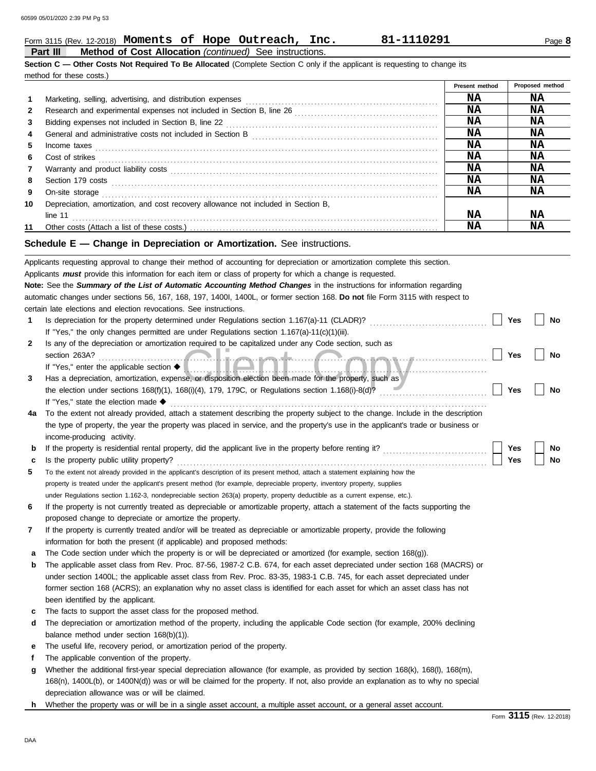### Form 3115 (Rev. 12-2018) Page **8 Moments of Hope Outreach, Inc. 81-1110291**

## **Part III Method of Cost Allocation** *(continued)* See instructions.

**Section C — Other Costs Not Required To Be Allocated** (Complete Section C only if the applicant is requesting to change its method for these costs.)

|                |                                                                                                                                                                                                                                    | Present method | Proposed method |
|----------------|------------------------------------------------------------------------------------------------------------------------------------------------------------------------------------------------------------------------------------|----------------|-----------------|
| $\mathbf{1}$   |                                                                                                                                                                                                                                    | NA             | NA              |
| $\mathbf{2}$   | Research and experimental expenses not included in Section B, line 26 [11] contains the section and experimental expenses not included in Section B, line 26                                                                       | <b>NA</b>      | NA              |
| 3              |                                                                                                                                                                                                                                    | <b>NA</b>      | NA              |
| $\overline{4}$ | General and administrative costs not included in Section B                                                                                                                                                                         | <b>NA</b>      | NA              |
| 5              | $hcome taxes \ldots$                                                                                                                                                                                                               | <b>NA</b>      | NA              |
| 6              | Cost of strikes <b>contained</b> and the cost of strikes <b>contained and the cost of strikes</b>                                                                                                                                  | <b>NA</b>      | NA              |
| $\overline{7}$ | Warranty and product liability costs [11] was contained a set of the state of the state of the state of the state of the state of the state of the state of the state of the state of the state of the state of the state of t     | <b>NA</b>      | NA              |
| 8              | Section 179 costs <b>contracts</b> and contracts are contracted as the contract of the contract of the contract of the contract of the contract of the contract of the contract of the contract of the contract of the contract of | NA             | NA              |
| 9              |                                                                                                                                                                                                                                    | NA             | NA              |
| 10             | Depreciation, amortization, and cost recovery allowance not included in Section B.                                                                                                                                                 |                |                 |
|                | line 11                                                                                                                                                                                                                            | NA             | NA              |
| 11             |                                                                                                                                                                                                                                    | NA             | NA              |

#### **Schedule E — Change in Depreciation or Amortization.** See instructions.

|    | Applicants requesting approval to change their method of accounting for depreciation or amortization complete this section.                                                                                                                                       |     |    |
|----|-------------------------------------------------------------------------------------------------------------------------------------------------------------------------------------------------------------------------------------------------------------------|-----|----|
|    | Applicants must provide this information for each item or class of property for which a change is requested.                                                                                                                                                      |     |    |
|    | Note: See the Summary of the List of Automatic Accounting Method Changes in the instructions for information regarding                                                                                                                                            |     |    |
|    | automatic changes under sections 56, 167, 168, 197, 1400I, 1400L, or former section 168. Do not file Form 3115 with respect to                                                                                                                                    |     |    |
|    | certain late elections and election revocations. See instructions.                                                                                                                                                                                                |     |    |
| 1. |                                                                                                                                                                                                                                                                   | Yes | No |
|    | If "Yes," the only changes permitted are under Regulations section 1.167(a)-11(c)(1)(iii).                                                                                                                                                                        |     |    |
| 2  | Is any of the depreciation or amortization required to be capitalized under any Code section, such as                                                                                                                                                             |     |    |
|    | section 263A?<br><b><i>La Propinsion de La Propinsion de la Propinsion de la Propinsion de la Propinsion de la Propinsion de la Propi</i></b>                                                                                                                     | Yes | No |
|    | If "Yes," enter the applicable section $\blacklozenge$                                                                                                                                                                                                            |     |    |
| 3  | Has a depreciation, amortization, expense, or disposition election been made for the property, such as                                                                                                                                                            |     |    |
|    |                                                                                                                                                                                                                                                                   | Yes | No |
|    | If "Yes," state the election made $\blacklozenge$                                                                                                                                                                                                                 |     |    |
| 4a | To the extent not already provided, attach a statement describing the property subject to the change. Include in the description                                                                                                                                  |     |    |
|    | the type of property, the year the property was placed in service, and the property's use in the applicant's trade or business or                                                                                                                                 |     |    |
|    | income-producing activity.                                                                                                                                                                                                                                        |     |    |
| b  |                                                                                                                                                                                                                                                                   | Yes | No |
| c  | Is the property public utility property?                                                                                                                                                                                                                          | Yes | No |
| 5  | To the extent not already provided in the applicant's description of its present method, attach a statement explaining how the                                                                                                                                    |     |    |
|    | property is treated under the applicant's present method (for example, depreciable property, inventory property, supplies                                                                                                                                         |     |    |
|    | under Regulations section 1.162-3, nondepreciable section 263(a) property, property deductible as a current expense, etc.).                                                                                                                                       |     |    |
| 6  | If the property is not currently treated as depreciable or amortizable property, attach a statement of the facts supporting the                                                                                                                                   |     |    |
|    | proposed change to depreciate or amortize the property.                                                                                                                                                                                                           |     |    |
| 7  | If the property is currently treated and/or will be treated as depreciable or amortizable property, provide the following                                                                                                                                         |     |    |
|    | information for both the present (if applicable) and proposed methods:                                                                                                                                                                                            |     |    |
| а  | The Code section under which the property is or will be depreciated or amortized (for example, section 168(g)).                                                                                                                                                   |     |    |
| b  | The applicable asset class from Rev. Proc. 87-56, 1987-2 C.B. 674, for each asset depreciated under section 168 (MACRS) or                                                                                                                                        |     |    |
|    | under section 1400L; the applicable asset class from Rev. Proc. 83-35, 1983-1 C.B. 745, for each asset depreciated under                                                                                                                                          |     |    |
|    | former section 168 (ACRS); an explanation why no asset class is identified for each asset for which an asset class has not                                                                                                                                        |     |    |
|    | been identified by the applicant.                                                                                                                                                                                                                                 |     |    |
| c  | The facts to support the asset class for the proposed method.                                                                                                                                                                                                     |     |    |
| d  | The depreciation or amortization method of the property, including the applicable Code section (for example, 200% declining                                                                                                                                       |     |    |
|    | balance method under section $168(b)(1)$ ).                                                                                                                                                                                                                       |     |    |
| е  | The useful life, recovery period, or amortization period of the property.                                                                                                                                                                                         |     |    |
| Ť. | The applicable convention of the property.                                                                                                                                                                                                                        |     |    |
| g  | Whether the additional first-year special depreciation allowance (for example, as provided by section 168(k), 168(l), 168(m),<br>168(n), 1400L(b), or 1400N(d)) was or will be claimed for the property. If not, also provide an explanation as to why no special |     |    |
|    | depreciation allowance was or will be claimed.                                                                                                                                                                                                                    |     |    |
|    |                                                                                                                                                                                                                                                                   |     |    |

**h** Whether the property was or will be in a single asset account, a multiple asset account, or a general asset account.